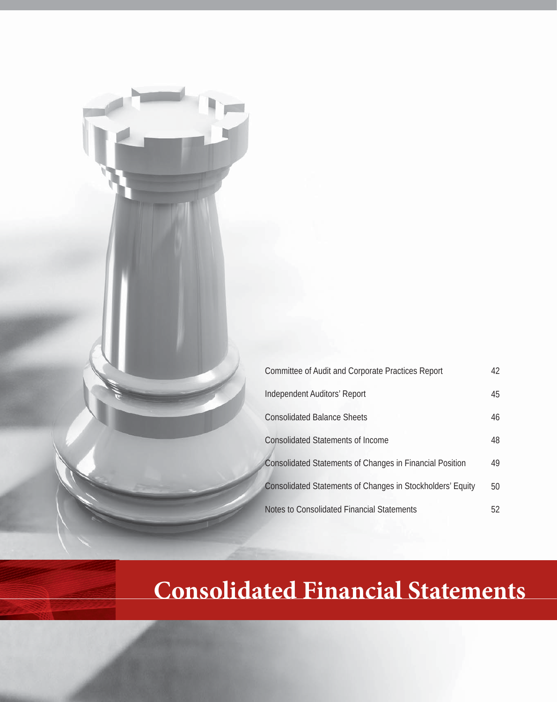| Committee of Audit and Corporate Practices Report          | 42 |
|------------------------------------------------------------|----|
| Independent Auditors' Report                               | 45 |
| <b>Consolidated Balance Sheets</b>                         | 46 |
| <b>Consolidated Statements of Income</b>                   | 48 |
| Consolidated Statements of Changes in Financial Position   | 49 |
| Consolidated Statements of Changes in Stockholders' Equity | 50 |
| Notes to Consolidated Financial Statements                 | 52 |

## **Consolidated Financial Statements**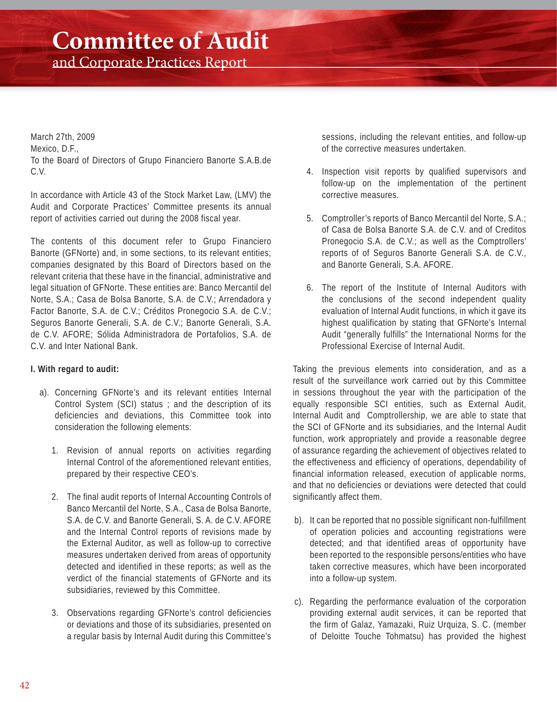## **Committee of Audit**

and Corporate Practices Report

March 27th, 2009 Mexico, D.F., To the Board of Directors of Grupo Financiero Banorte S.A.B.de C.V.

In accordance with Article 43 of the Stock Market Law, (LMV) the Audit and Corporate Practices' Committee presents its annual report of activities carried out during the 2008 fiscal year.

The contents of this document refer to Grupo Financiero Banorte (GFNorte) and, in some sections, to its relevant entities; companies designated by this Board of Directors based on the relevant criteria that these have in the financial, administrative and legal situation of GFNorte. These entities are: Banco Mercantil del Norte, S.A.; Casa de Bolsa Banorte, S.A. de C.V.; Arrendadora y Factor Banorte, S.A. de C.V.; Créditos Pronegocio S.A. de C.V.; Seguros Banorte Generali, S.A. de C.V.; Banorte Generali, S.A. de C.V. AFORE; Sólida Administradora de Portafolios, S.A. de C.V. and Inter National Bank.

#### **I. With regard to audit:**

- a). Concerning GFNorte's and its relevant entities Internal Control System (SCI) status ; and the description of its deficiencies and deviations, this Committee took into consideration the following elements:
	- 1. Revision of annual reports on activities regarding Internal Control of the aforementioned relevant entities, prepared by their respective CEO's.
	- 2. The final audit reports of Internal Accounting Controls of Banco Mercantil del Norte, S.A., Casa de Bolsa Banorte, S.A. de C.V. and Banorte Generali, S. A. de C.V. AFORE and the Internal Control reports of revisions made by the External Auditor, as well as follow-up to corrective measures undertaken derived from areas of opportunity detected and identified in these reports; as well as the verdict of the financial statements of GFNorte and its subsidiaries, reviewed by this Committee.
	- 3. Observations regarding GFNorte's control deficiencies or deviations and those of its subsidiaries, presented on a regular basis by Internal Audit during this Committee's

sessions, including the relevant entities, and follow-up of the corrective measures undertaken.

- 4. Inspection visit reports by qualified supervisors and follow-up on the implementation of the pertinent corrective measures.
- 5. Comptroller's reports of Banco Mercantil del Norte, S.A.; of Casa de Bolsa Banorte S.A. de C.V. and of Creditos Pronegocio S.A. de C.V.; as well as the Comptrollers' reports of of Seguros Banorte Generali S.A. de C.V., and Banorte Generali, S.A. AFORE.
- 6. The report of the Institute of Internal Auditors with the conclusions of the second independent quality evaluation of Internal Audit functions, in which it gave its highest qualification by stating that GFNorte's Internal Audit "generally fulfills" the International Norms for the Professional Exercise of Internal Audit.

Taking the previous elements into consideration, and as a result of the surveillance work carried out by this Committee in sessions throughout the year with the participation of the equally responsible SCI entities, such as External Audit, Internal Audit and Comptrollership, we are able to state that the SCI of GFNorte and its subsidiaries, and the Internal Audit function, work appropriately and provide a reasonable degree of assurance regarding the achievement of objectives related to the effectiveness and efficiency of operations, dependability of financial information released, execution of applicable norms, and that no deficiencies or deviations were detected that could significantly affect them.

- b). It can be reported that no possible significant non-fulfillment of operation policies and accounting registrations were detected; and that identified areas of opportunity have been reported to the responsible persons/entities who have taken corrective measures, which have been incorporated into a follow-up system.
- c). Regarding the performance evaluation of the corporation providing external audit services, it can be reported that the firm of Galaz, Yamazaki, Ruiz Urquiza, S. C. (member of Deloitte Touche Tohmatsu) has provided the highest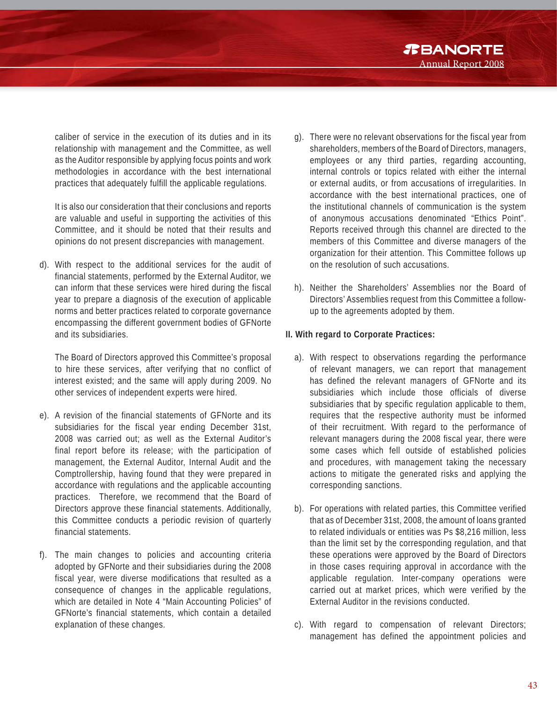*R***BANORTE** Annual Report 2008

caliber of service in the execution of its duties and in its relationship with management and the Committee, as well as the Auditor responsible by applying focus points and work methodologies in accordance with the best international practices that adequately fulfill the applicable regulations.

It is also our consideration that their conclusions and reports are valuable and useful in supporting the activities of this Committee, and it should be noted that their results and opinions do not present discrepancies with management.

d). With respect to the additional services for the audit of financial statements, performed by the External Auditor, we can inform that these services were hired during the fiscal year to prepare a diagnosis of the execution of applicable norms and better practices related to corporate governance encompassing the different government bodies of GFNorte and its subsidiaries.

 The Board of Directors approved this Committee's proposal to hire these services, after verifying that no conflict of interest existed; and the same will apply during 2009. No other services of independent experts were hired.

- e). A revision of the financial statements of GFNorte and its subsidiaries for the fiscal year ending December 31st, 2008 was carried out; as well as the External Auditor's final report before its release; with the participation of management, the External Auditor, Internal Audit and the Comptrollership, having found that they were prepared in accordance with regulations and the applicable accounting practices. Therefore, we recommend that the Board of Directors approve these financial statements. Additionally, this Committee conducts a periodic revision of quarterly financial statements.
- f). The main changes to policies and accounting criteria adopted by GFNorte and their subsidiaries during the 2008 fiscal year, were diverse modifications that resulted as a consequence of changes in the applicable regulations, which are detailed in Note 4 "Main Accounting Policies" of GFNorte's financial statements, which contain a detailed explanation of these changes.
- g). There were no relevant observations for the fiscal year from shareholders, members of the Board of Directors, managers, employees or any third parties, regarding accounting, internal controls or topics related with either the internal or external audits, or from accusations of irregularities. In accordance with the best international practices, one of the institutional channels of communication is the system of anonymous accusations denominated "Ethics Point". Reports received through this channel are directed to the members of this Committee and diverse managers of the organization for their attention. This Committee follows up on the resolution of such accusations.
- h). Neither the Shareholders' Assemblies nor the Board of Directors' Assemblies request from this Committee a followup to the agreements adopted by them.

#### **II. With regard to Corporate Practices:**

- a). With respect to observations regarding the performance of relevant managers, we can report that management has defined the relevant managers of GFNorte and its subsidiaries which include those officials of diverse subsidiaries that by specific regulation applicable to them, requires that the respective authority must be informed of their recruitment. With regard to the performance of relevant managers during the 2008 fiscal year, there were some cases which fell outside of established policies and procedures, with management taking the necessary actions to mitigate the generated risks and applying the corresponding sanctions.
- b). For operations with related parties, this Committee verified that as of December 31st, 2008, the amount of loans granted to related individuals or entities was Ps \$8,216 million, less than the limit set by the corresponding regulation, and that these operations were approved by the Board of Directors in those cases requiring approval in accordance with the applicable regulation. Inter-company operations were carried out at market prices, which were verified by the External Auditor in the revisions conducted.
- c). With regard to compensation of relevant Directors; management has defined the appointment policies and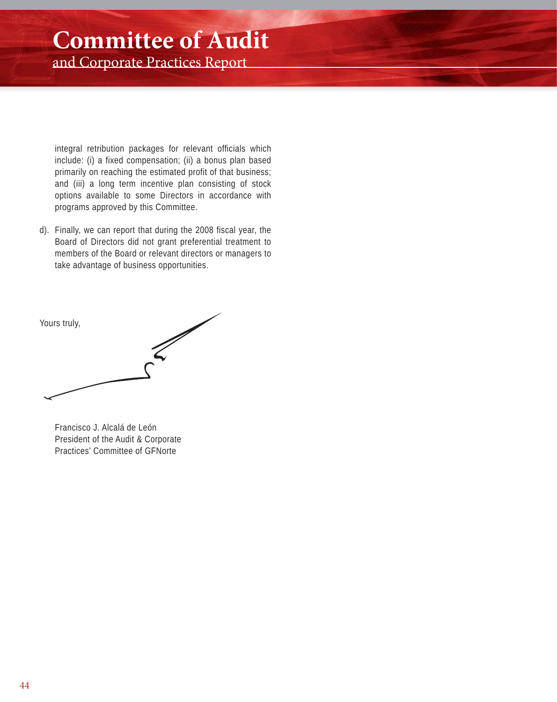## **Committee of Audit**

and Corporate Practices Report

integral retribution packages for relevant officials which include: (i) a fixed compensation; (ii) a bonus plan based primarily on reaching the estimated profit of that business; and (iii) a long term incentive plan consisting of stock options available to some Directors in accordance with programs approved by this Committee.

d). Finally, we can report that during the 2008 fiscal year, the Board of Directors did not grant preferential treatment to members of the Board or relevant directors or managers to take advantage of business opportunities.

Yours truly,

Francisco J. Alcalá de León President of the Audit & Corporate Practices' Committee of GFNorte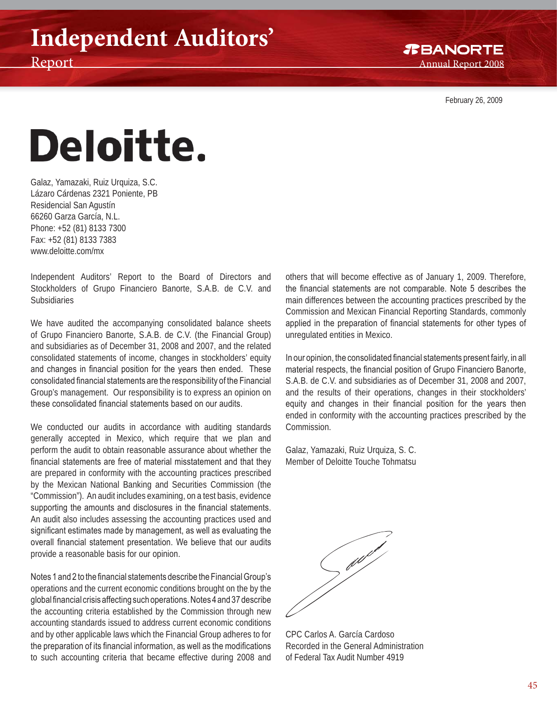February 26, 2009

# Deloitte.

Galaz, Yamazaki, Ruiz Urquiza, S.C. Lázaro Cárdenas 2321 Poniente, PB Residencial San Agustín 66260 Garza García, N.L. Phone: +52 (81) 8133 7300 Fax: +52 (81) 8133 7383 www.deloitte.com/mx

Independent Auditors' Report to the Board of Directors and Stockholders of Grupo Financiero Banorte, S.A.B. de C.V. and Subsidiaries

We have audited the accompanying consolidated balance sheets of Grupo Financiero Banorte, S.A.B. de C.V. (the Financial Group) and subsidiaries as of December 31, 2008 and 2007, and the related consolidated statements of income, changes in stockholders' equity and changes in financial position for the years then ended. These consolidated financial statements are the responsibility of the Financial Group's management. Our responsibility is to express an opinion on these consolidated financial statements based on our audits.

We conducted our audits in accordance with auditing standards generally accepted in Mexico, which require that we plan and perform the audit to obtain reasonable assurance about whether the financial statements are free of material misstatement and that they are prepared in conformity with the accounting practices prescribed by the Mexican National Banking and Securities Commission (the "Commission"). An audit includes examining, on a test basis, evidence supporting the amounts and disclosures in the financial statements. An audit also includes assessing the accounting practices used and significant estimates made by management, as well as evaluating the overall financial statement presentation. We believe that our audits provide a reasonable basis for our opinion.

Notes 1 and 2 to the financial statements describe the Financial Group's operations and the current economic conditions brought on the by the global financial crisis affecting such operations. Notes 4 and 37 describe the accounting criteria established by the Commission through new accounting standards issued to address current economic conditions and by other applicable laws which the Financial Group adheres to for the preparation of its financial information, as well as the modifications to such accounting criteria that became effective during 2008 and others that will become effective as of January 1, 2009. Therefore, the financial statements are not comparable. Note 5 describes the main differences between the accounting practices prescribed by the Commission and Mexican Financial Reporting Standards, commonly applied in the preparation of financial statements for other types of unregulated entities in Mexico.

In our opinion, the consolidated financial statements present fairly, in all material respects, the financial position of Grupo Financiero Banorte, S.A.B. de C.V. and subsidiaries as of December 31, 2008 and 2007, and the results of their operations, changes in their stockholders' equity and changes in their financial position for the years then ended in conformity with the accounting practices prescribed by the Commission.

Galaz, Yamazaki, Ruiz Urquiza, S. C. Member of Deloitte Touche Tohmatsu

**Contract de la Cataluni**e

CPC Carlos A. García Cardoso Recorded in the General Administration of Federal Tax Audit Number 4919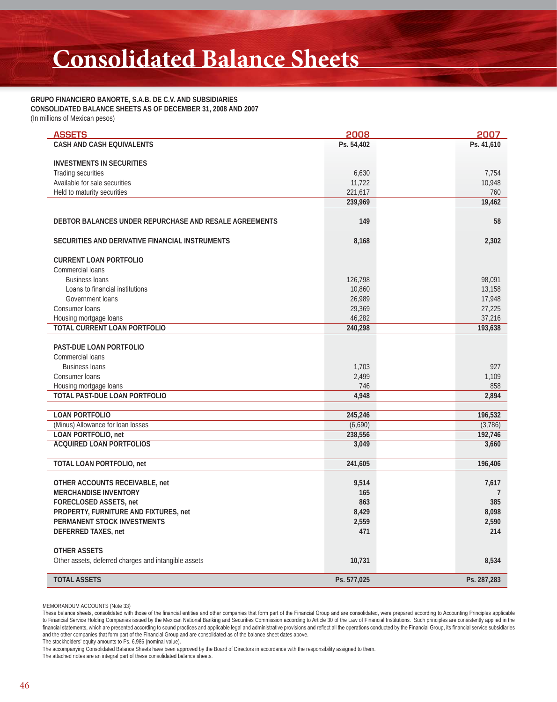## **Consolidated Balance Sheets**

#### **GRUPO FINANCIERO BANORTE, S.A.B. DE C.V. AND SUBSIDIARIES CONSOLIDATED BALANCE SHEETS AS OF DECEMBER 31, 2008 AND 2007** (In millions of Mexican pesos)

| <b>ASSETS</b>                                                   | 2008               | 2007               |
|-----------------------------------------------------------------|--------------------|--------------------|
| CASH AND CASH EQUIVALENTS                                       | Ps. 54,402         | Ps. 41,610         |
|                                                                 |                    |                    |
| <b>INVESTMENTS IN SECURITIES</b>                                |                    | 7,754              |
| Trading securities<br>Available for sale securities             | 6,630<br>11,722    | 10,948             |
| Held to maturity securities                                     | 221,617            | 760                |
|                                                                 | 239,969            | 19,462             |
|                                                                 |                    |                    |
| DEBTOR BALANCES UNDER REPURCHASE AND RESALE AGREEMENTS          | 149                | 58                 |
| SECURITIES AND DERIVATIVE FINANCIAL INSTRUMENTS                 | 8,168              | 2,302              |
| <b>CURRENT LOAN PORTFOLIO</b>                                   |                    |                    |
| Commercial loans                                                |                    |                    |
| <b>Business loans</b>                                           | 126,798            | 98,091             |
| Loans to financial institutions                                 | 10,860             | 13,158             |
| Government loans                                                | 26,989             | 17,948             |
| Consumer loans                                                  | 29,369             | 27,225             |
| Housing mortgage loans<br>TOTAL CURRENT LOAN PORTFOLIO          | 46,282<br>240,298  | 37,216             |
|                                                                 |                    | 193,638            |
| PAST-DUE LOAN PORTFOLIO                                         |                    |                    |
| Commercial loans                                                |                    |                    |
| <b>Business loans</b>                                           | 1,703              | 927                |
| Consumer loans                                                  | 2,499              | 1,109              |
| Housing mortgage loans                                          | 746                | 858                |
| TOTAL PAST-DUE LOAN PORTFOLIO                                   | 4,948              | 2,894              |
|                                                                 |                    |                    |
| <b>LOAN PORTFOLIO</b>                                           | 245,246            | 196,532            |
| (Minus) Allowance for loan losses<br><b>LOAN PORTFOLIO, net</b> | (6,690)<br>238,556 | (3,786)<br>192,746 |
| <b>ACQUIRED LOAN PORTFOLIOS</b>                                 | 3,049              | 3,660              |
|                                                                 |                    |                    |
| TOTAL LOAN PORTFOLIO, net                                       | 241,605            | 196,406            |
| OTHER ACCOUNTS RECEIVABLE, net                                  | 9,514              | 7,617              |
| <b>MERCHANDISE INVENTORY</b>                                    | 165                | 7                  |
| <b>FORECLOSED ASSETS, net</b>                                   | 863                | 385                |
| PROPERTY, FURNITURE AND FIXTURES, net                           | 8,429              | 8,098              |
| PERMANENT STOCK INVESTMENTS                                     | 2,559              | 2,590              |
| DEFERRED TAXES, net                                             | 471                | 214                |
|                                                                 |                    |                    |
| <b>OTHER ASSETS</b>                                             |                    |                    |
| Other assets, deferred charges and intangible assets            | 10,731             | 8,534              |
| <b>TOTAL ASSETS</b>                                             | Ps. 577,025        | Ps. 287,283        |

MEMORANDUM ACCOUNTS (Note 33)

The stockholders' equity amounts to Ps. 6,986 (nominal value).

The attached notes are an integral part of these consolidated balance sheets.

These balance sheets, consolidated with those of the financial entities and other companies that form part of the Financial Group and are consolidated, were prepared according to Accounting Principles applicable to Financial Service Holding Companies issued by the Mexican National Banking and Securities Commission according to Article 30 of the Law of Financial Institutions. Such principles are consistently applied in the financial statements, which are presented according to sound practices and applicable legal and administrative provisions and reflect all the operations conducted by the Financial Group, its financial service subsidiaries and the other companies that form part of the Financial Group and are consolidated as of the balance sheet dates above.

The accompanying Consolidated Balance Sheets have been approved by the Board of Directors in accordance with the responsibility assigned to them.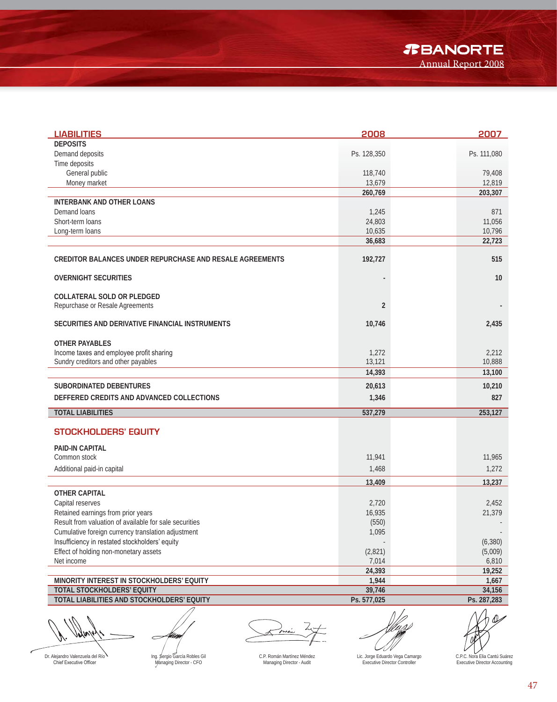*T***BANORTE** Annual Report 2008

| <b>LIABILITIES</b>                                                                      | 2008             | 2007                |
|-----------------------------------------------------------------------------------------|------------------|---------------------|
| <b>DEPOSITS</b>                                                                         |                  |                     |
| Demand deposits                                                                         | Ps. 128,350      | Ps. 111,080         |
| Time deposits                                                                           |                  |                     |
| General public                                                                          | 118,740          | 79,408              |
| Money market                                                                            | 13,679           | 12,819              |
|                                                                                         | 260,769          | 203,307             |
| <b>INTERBANK AND OTHER LOANS</b>                                                        |                  |                     |
| Demand loans<br>Short-term loans                                                        | 1,245            | 871                 |
| Long-term loans                                                                         | 24,803<br>10,635 | 11,056<br>10,796    |
|                                                                                         | 36,683           | 22,723              |
|                                                                                         |                  |                     |
| CREDITOR BALANCES UNDER REPURCHASE AND RESALE AGREEMENTS                                | 192,727          | 515                 |
|                                                                                         |                  |                     |
| <b>OVERNIGHT SECURITIES</b>                                                             |                  | 10                  |
|                                                                                         |                  |                     |
| <b>COLLATERAL SOLD OR PLEDGED</b>                                                       |                  |                     |
| Repurchase or Resale Agreements                                                         | $\overline{2}$   |                     |
| SECURITIES AND DERIVATIVE FINANCIAL INSTRUMENTS                                         | 10,746           | 2,435               |
|                                                                                         |                  |                     |
| <b>OTHER PAYABLES</b>                                                                   |                  |                     |
| Income taxes and employee profit sharing                                                | 1,272            | 2,212               |
| Sundry creditors and other payables                                                     | 13,121           | 10,888              |
|                                                                                         | 14,393           | 13,100              |
| <b>SUBORDINATED DEBENTURES</b>                                                          | 20,613           | 10,210              |
|                                                                                         |                  |                     |
| DEFFERED CREDITS AND ADVANCED COLLECTIONS                                               | 1,346            | 827                 |
| <b>TOTAL LIABILITIES</b>                                                                | 537,279          | 253,127             |
|                                                                                         |                  |                     |
| <b>STOCKHOLDERS' EQUITY</b>                                                             |                  |                     |
| <b>PAID-IN CAPITAL</b>                                                                  |                  |                     |
| Common stock                                                                            | 11,941           | 11,965              |
| Additional paid-in capital                                                              | 1,468            | 1,272               |
|                                                                                         |                  |                     |
|                                                                                         | 13,409           | 13,237              |
| <b>OTHER CAPITAL</b>                                                                    |                  |                     |
| Capital reserves                                                                        | 2,720            | 2,452               |
| Retained earnings from prior years                                                      | 16,935           | 21,379              |
| Result from valuation of available for sale securities                                  | (550)            |                     |
| Cumulative foreign currency translation adjustment                                      | 1,095            |                     |
| Insufficiency in restated stockholders' equity<br>Effect of holding non-monetary assets | (2,821)          | (6, 380)<br>(5,009) |
| Net income                                                                              | 7,014            | 6,810               |
|                                                                                         | 24,393           | 19,252              |
| MINORITY INTEREST IN STOCKHOLDERS' EQUITY                                               | 1,944            | 1,667               |
| TOTAL STOCKHOLDERS' EQUITY                                                              | 39,746           | 34,156              |
| TOTAL LIABILITIES AND STOCKHOLDERS' EQUITY                                              | Ps. 577,025      | Ps. 287,283         |
|                                                                                         |                  |                     |
| $\ell$ $\ell$ $\ell$                                                                    |                  |                     |

v/vi

CN 1

Lic. Jorge Eduardo Vega Camargo Executive Director Controller

11

C.P.C. Nora Elia Cantú Suárez Executive Director Accounting

ı

Dr. Alejandro Valenzuela del Río<br>Chief Executive Officer

Ing. Sergio García Robles Gil Managing Director - CFO

C.P. Román Martínez Méndez Managing Director - Audit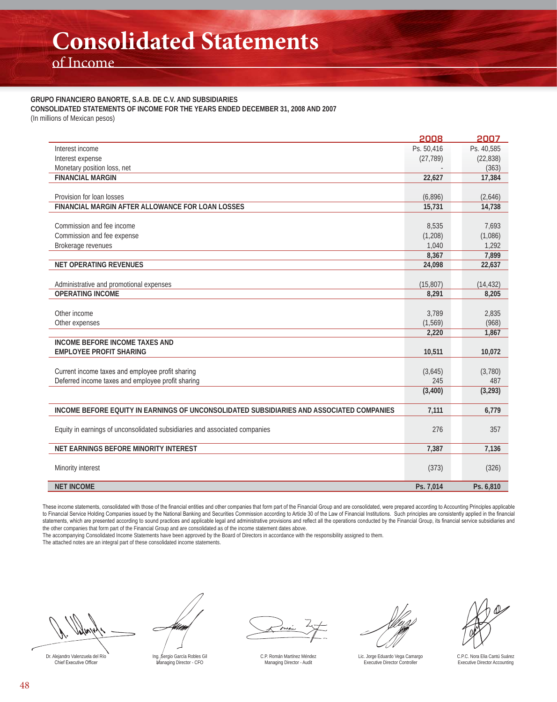of Income

#### **GRUPO FINANCIERO BANORTE, S.A.B. DE C.V. AND SUBSIDIARIES**

**CONSOLIDATED STATEMENTS OF INCOME FOR THE YEARS ENDED DECEMBER 31, 2008 AND 2007**

(In millions of Mexican pesos)

|                                                                                          | 2008       | 2007       |
|------------------------------------------------------------------------------------------|------------|------------|
| Interest income                                                                          | Ps. 50,416 | Ps. 40.585 |
| Interest expense                                                                         | (27, 789)  | (22, 838)  |
| Monetary position loss, net                                                              |            | (363)      |
| <b>FINANCIAL MARGIN</b>                                                                  | 22,627     | 17,384     |
|                                                                                          |            |            |
| Provision for loan losses                                                                | (6,896)    | (2,646)    |
| FINANCIAL MARGIN AFTER ALLOWANCE FOR LOAN LOSSES                                         | 15,731     | 14,738     |
|                                                                                          |            |            |
| Commission and fee income                                                                | 8,535      | 7,693      |
| Commission and fee expense                                                               | (1, 208)   | (1,086)    |
| Brokerage revenues                                                                       | 1,040      | 1,292      |
|                                                                                          | 8,367      | 7,899      |
| <b>NET OPERATING REVENUES</b>                                                            | 24,098     | 22,637     |
|                                                                                          |            |            |
| Administrative and promotional expenses                                                  | (15, 807)  | (14, 432)  |
| <b>OPERATING INCOME</b>                                                                  | 8,291      | 8,205      |
|                                                                                          |            |            |
| Other income                                                                             | 3,789      | 2,835      |
| Other expenses                                                                           | (1, 569)   | (968)      |
|                                                                                          | 2,220      | 1,867      |
| <b>INCOME BEFORE INCOME TAXES AND</b>                                                    |            |            |
| <b>EMPLOYEE PROFIT SHARING</b>                                                           | 10,511     | 10,072     |
|                                                                                          |            |            |
| Current income taxes and employee profit sharing                                         | (3,645)    | (3,780)    |
| Deferred income taxes and employee profit sharing                                        | 245        | 487        |
|                                                                                          | (3,400)    | (3, 293)   |
| INCOME BEFORE EQUITY IN EARNINGS OF UNCONSOLIDATED SUBSIDIARIES AND ASSOCIATED COMPANIES | 7,111      | 6,779      |
|                                                                                          |            |            |
| Equity in earnings of unconsolidated subsidiaries and associated companies               | 276        | 357        |
|                                                                                          |            |            |
| NET EARNINGS BEFORE MINORITY INTEREST                                                    | 7,387      | 7,136      |
|                                                                                          |            |            |
| Minority interest                                                                        | (373)      | (326)      |
| <b>NET INCOME</b>                                                                        | Ps. 7,014  | Ps. 6,810  |

These income statements, consolidated with those of the financial entities and other companies that form part of the Financial Group and are consolidated, were prepared according to Accounting Principles applicable to Financial Service Holding Companies issued by the National Banking and Securities Commission according to Article 30 of the Law of Financial Institutions. Such principles are consistently applied in the financial statements, which are presented according to sound practices and applicable legal and administrative provisions and reflect all the operations conducted by the Financial Group, its financial service subsidiaries and the other companies that form part of the Financial Group and are consolidated as of the income statement dates above.

The accompanying Consolidated Income Statements have been approved by the Board of Directors in accordance with the responsibility assigned to them. The attached notes are an integral part of these consolidated income statements.

Dr. Alejandro Valenzuela del Río<br>Chief Executive Officer

U Ing. Sergio García Robles Gil Managing Director - CFO

C.P. Román Martínez Méndez Managing Director - Audit

Lic. Jorge Eduardo Vega Camargo Executive Director Controller

C.P.C. Nora Elia Cantú Suárez Executive Director Accounting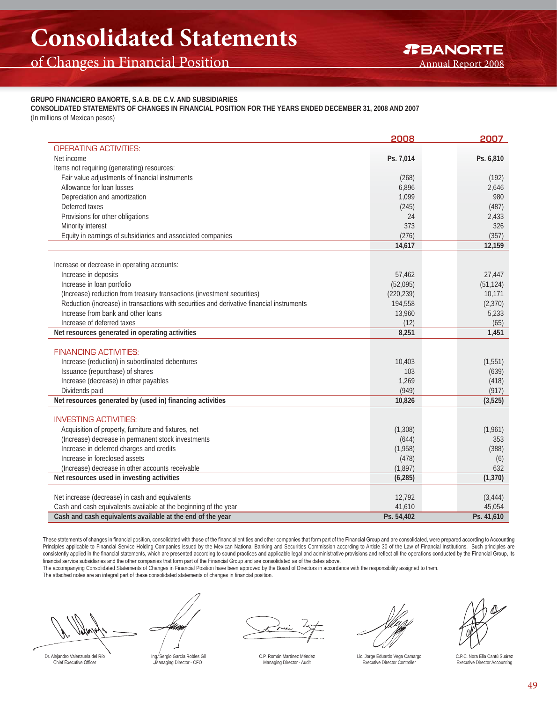#### **GRUPO FINANCIERO BANORTE, S.A.B. DE C.V. AND SUBSIDIARIES**

**CONSOLIDATED STATEMENTS OF CHANGES IN FINANCIAL POSITION FOR THE YEARS ENDED DECEMBER 31, 2008 AND 2007** (In millions of Mexican pesos)

| <b>OPERATING ACTIVITIES:</b><br>Net income<br>Ps. 7,014<br>Ps. 6,810<br>Items not requiring (generating) resources:<br>Fair value adjustments of financial instruments<br>(268)<br>(192)<br>Allowance for loan losses<br>6.896<br>2,646<br>Depreciation and amortization<br>1,099<br>980<br>Deferred taxes<br>(487)<br>(245)<br>Provisions for other obligations<br>24<br>2,433<br>373<br>Minority interest<br>326<br>(276)<br>(357)<br>Equity in earnings of subsidiaries and associated companies<br>14,617<br>12,159<br>Increase or decrease in operating accounts:<br>Increase in deposits<br>57,462<br>27,447<br>Increase in loan portfolio<br>(52,095)<br>(51, 124)<br>(Increase) reduction from treasury transactions (investment securities)<br>(220, 239)<br>10,171<br>Reduction (increase) in transactions with securities and derivative financial instruments<br>(2, 370)<br>194,558<br>Increase from bank and other loans<br>13,960<br>5,233<br>Increase of deferred taxes<br>(12)<br>(65)<br>Net resources generated in operating activities<br>8,251<br>1,451<br><b>FINANCING ACTIVITIES:</b><br>Increase (reduction) in subordinated debentures<br>(1, 551)<br>10,403<br>Issuance (repurchase) of shares<br>103<br>(639)<br>Increase (decrease) in other payables<br>1,269<br>(418)<br>Dividends paid<br>(949)<br>(917)<br>Net resources generated by (used in) financing activities<br>10,826<br>(3,525)<br><b>INVESTING ACTIVITIES:</b><br>Acquisition of property, furniture and fixtures, net<br>(1, 308)<br>(1,961)<br>(Increase) decrease in permanent stock investments<br>(644)<br>353<br>Increase in deferred charges and credits<br>(1,958)<br>(388)<br>Increase in foreclosed assets<br>(478)<br>(6)<br>(Increase) decrease in other accounts receivable<br>(1, 897)<br>632<br>Net resources used in investing activities<br>(6, 285)<br>(1, 370)<br>Net increase (decrease) in cash and equivalents<br>12,792<br>(3, 444)<br>Cash and cash equivalents available at the beginning of the year<br>41,610<br>45,054<br>Ps. 41,610<br>Cash and cash equivalents available at the end of the year<br>Ps. 54,402 | 2008 | 2007 |
|-----------------------------------------------------------------------------------------------------------------------------------------------------------------------------------------------------------------------------------------------------------------------------------------------------------------------------------------------------------------------------------------------------------------------------------------------------------------------------------------------------------------------------------------------------------------------------------------------------------------------------------------------------------------------------------------------------------------------------------------------------------------------------------------------------------------------------------------------------------------------------------------------------------------------------------------------------------------------------------------------------------------------------------------------------------------------------------------------------------------------------------------------------------------------------------------------------------------------------------------------------------------------------------------------------------------------------------------------------------------------------------------------------------------------------------------------------------------------------------------------------------------------------------------------------------------------------------------------------------------------------------------------------------------------------------------------------------------------------------------------------------------------------------------------------------------------------------------------------------------------------------------------------------------------------------------------------------------------------------------------------------------------------------------------------------------------------------------------------------------------------------------|------|------|
|                                                                                                                                                                                                                                                                                                                                                                                                                                                                                                                                                                                                                                                                                                                                                                                                                                                                                                                                                                                                                                                                                                                                                                                                                                                                                                                                                                                                                                                                                                                                                                                                                                                                                                                                                                                                                                                                                                                                                                                                                                                                                                                                         |      |      |
|                                                                                                                                                                                                                                                                                                                                                                                                                                                                                                                                                                                                                                                                                                                                                                                                                                                                                                                                                                                                                                                                                                                                                                                                                                                                                                                                                                                                                                                                                                                                                                                                                                                                                                                                                                                                                                                                                                                                                                                                                                                                                                                                         |      |      |
|                                                                                                                                                                                                                                                                                                                                                                                                                                                                                                                                                                                                                                                                                                                                                                                                                                                                                                                                                                                                                                                                                                                                                                                                                                                                                                                                                                                                                                                                                                                                                                                                                                                                                                                                                                                                                                                                                                                                                                                                                                                                                                                                         |      |      |
|                                                                                                                                                                                                                                                                                                                                                                                                                                                                                                                                                                                                                                                                                                                                                                                                                                                                                                                                                                                                                                                                                                                                                                                                                                                                                                                                                                                                                                                                                                                                                                                                                                                                                                                                                                                                                                                                                                                                                                                                                                                                                                                                         |      |      |
|                                                                                                                                                                                                                                                                                                                                                                                                                                                                                                                                                                                                                                                                                                                                                                                                                                                                                                                                                                                                                                                                                                                                                                                                                                                                                                                                                                                                                                                                                                                                                                                                                                                                                                                                                                                                                                                                                                                                                                                                                                                                                                                                         |      |      |
|                                                                                                                                                                                                                                                                                                                                                                                                                                                                                                                                                                                                                                                                                                                                                                                                                                                                                                                                                                                                                                                                                                                                                                                                                                                                                                                                                                                                                                                                                                                                                                                                                                                                                                                                                                                                                                                                                                                                                                                                                                                                                                                                         |      |      |
|                                                                                                                                                                                                                                                                                                                                                                                                                                                                                                                                                                                                                                                                                                                                                                                                                                                                                                                                                                                                                                                                                                                                                                                                                                                                                                                                                                                                                                                                                                                                                                                                                                                                                                                                                                                                                                                                                                                                                                                                                                                                                                                                         |      |      |
|                                                                                                                                                                                                                                                                                                                                                                                                                                                                                                                                                                                                                                                                                                                                                                                                                                                                                                                                                                                                                                                                                                                                                                                                                                                                                                                                                                                                                                                                                                                                                                                                                                                                                                                                                                                                                                                                                                                                                                                                                                                                                                                                         |      |      |
|                                                                                                                                                                                                                                                                                                                                                                                                                                                                                                                                                                                                                                                                                                                                                                                                                                                                                                                                                                                                                                                                                                                                                                                                                                                                                                                                                                                                                                                                                                                                                                                                                                                                                                                                                                                                                                                                                                                                                                                                                                                                                                                                         |      |      |
|                                                                                                                                                                                                                                                                                                                                                                                                                                                                                                                                                                                                                                                                                                                                                                                                                                                                                                                                                                                                                                                                                                                                                                                                                                                                                                                                                                                                                                                                                                                                                                                                                                                                                                                                                                                                                                                                                                                                                                                                                                                                                                                                         |      |      |
|                                                                                                                                                                                                                                                                                                                                                                                                                                                                                                                                                                                                                                                                                                                                                                                                                                                                                                                                                                                                                                                                                                                                                                                                                                                                                                                                                                                                                                                                                                                                                                                                                                                                                                                                                                                                                                                                                                                                                                                                                                                                                                                                         |      |      |
|                                                                                                                                                                                                                                                                                                                                                                                                                                                                                                                                                                                                                                                                                                                                                                                                                                                                                                                                                                                                                                                                                                                                                                                                                                                                                                                                                                                                                                                                                                                                                                                                                                                                                                                                                                                                                                                                                                                                                                                                                                                                                                                                         |      |      |
|                                                                                                                                                                                                                                                                                                                                                                                                                                                                                                                                                                                                                                                                                                                                                                                                                                                                                                                                                                                                                                                                                                                                                                                                                                                                                                                                                                                                                                                                                                                                                                                                                                                                                                                                                                                                                                                                                                                                                                                                                                                                                                                                         |      |      |
|                                                                                                                                                                                                                                                                                                                                                                                                                                                                                                                                                                                                                                                                                                                                                                                                                                                                                                                                                                                                                                                                                                                                                                                                                                                                                                                                                                                                                                                                                                                                                                                                                                                                                                                                                                                                                                                                                                                                                                                                                                                                                                                                         |      |      |
|                                                                                                                                                                                                                                                                                                                                                                                                                                                                                                                                                                                                                                                                                                                                                                                                                                                                                                                                                                                                                                                                                                                                                                                                                                                                                                                                                                                                                                                                                                                                                                                                                                                                                                                                                                                                                                                                                                                                                                                                                                                                                                                                         |      |      |
|                                                                                                                                                                                                                                                                                                                                                                                                                                                                                                                                                                                                                                                                                                                                                                                                                                                                                                                                                                                                                                                                                                                                                                                                                                                                                                                                                                                                                                                                                                                                                                                                                                                                                                                                                                                                                                                                                                                                                                                                                                                                                                                                         |      |      |
|                                                                                                                                                                                                                                                                                                                                                                                                                                                                                                                                                                                                                                                                                                                                                                                                                                                                                                                                                                                                                                                                                                                                                                                                                                                                                                                                                                                                                                                                                                                                                                                                                                                                                                                                                                                                                                                                                                                                                                                                                                                                                                                                         |      |      |
|                                                                                                                                                                                                                                                                                                                                                                                                                                                                                                                                                                                                                                                                                                                                                                                                                                                                                                                                                                                                                                                                                                                                                                                                                                                                                                                                                                                                                                                                                                                                                                                                                                                                                                                                                                                                                                                                                                                                                                                                                                                                                                                                         |      |      |
|                                                                                                                                                                                                                                                                                                                                                                                                                                                                                                                                                                                                                                                                                                                                                                                                                                                                                                                                                                                                                                                                                                                                                                                                                                                                                                                                                                                                                                                                                                                                                                                                                                                                                                                                                                                                                                                                                                                                                                                                                                                                                                                                         |      |      |
|                                                                                                                                                                                                                                                                                                                                                                                                                                                                                                                                                                                                                                                                                                                                                                                                                                                                                                                                                                                                                                                                                                                                                                                                                                                                                                                                                                                                                                                                                                                                                                                                                                                                                                                                                                                                                                                                                                                                                                                                                                                                                                                                         |      |      |
|                                                                                                                                                                                                                                                                                                                                                                                                                                                                                                                                                                                                                                                                                                                                                                                                                                                                                                                                                                                                                                                                                                                                                                                                                                                                                                                                                                                                                                                                                                                                                                                                                                                                                                                                                                                                                                                                                                                                                                                                                                                                                                                                         |      |      |
|                                                                                                                                                                                                                                                                                                                                                                                                                                                                                                                                                                                                                                                                                                                                                                                                                                                                                                                                                                                                                                                                                                                                                                                                                                                                                                                                                                                                                                                                                                                                                                                                                                                                                                                                                                                                                                                                                                                                                                                                                                                                                                                                         |      |      |
|                                                                                                                                                                                                                                                                                                                                                                                                                                                                                                                                                                                                                                                                                                                                                                                                                                                                                                                                                                                                                                                                                                                                                                                                                                                                                                                                                                                                                                                                                                                                                                                                                                                                                                                                                                                                                                                                                                                                                                                                                                                                                                                                         |      |      |
|                                                                                                                                                                                                                                                                                                                                                                                                                                                                                                                                                                                                                                                                                                                                                                                                                                                                                                                                                                                                                                                                                                                                                                                                                                                                                                                                                                                                                                                                                                                                                                                                                                                                                                                                                                                                                                                                                                                                                                                                                                                                                                                                         |      |      |
|                                                                                                                                                                                                                                                                                                                                                                                                                                                                                                                                                                                                                                                                                                                                                                                                                                                                                                                                                                                                                                                                                                                                                                                                                                                                                                                                                                                                                                                                                                                                                                                                                                                                                                                                                                                                                                                                                                                                                                                                                                                                                                                                         |      |      |
|                                                                                                                                                                                                                                                                                                                                                                                                                                                                                                                                                                                                                                                                                                                                                                                                                                                                                                                                                                                                                                                                                                                                                                                                                                                                                                                                                                                                                                                                                                                                                                                                                                                                                                                                                                                                                                                                                                                                                                                                                                                                                                                                         |      |      |
|                                                                                                                                                                                                                                                                                                                                                                                                                                                                                                                                                                                                                                                                                                                                                                                                                                                                                                                                                                                                                                                                                                                                                                                                                                                                                                                                                                                                                                                                                                                                                                                                                                                                                                                                                                                                                                                                                                                                                                                                                                                                                                                                         |      |      |
|                                                                                                                                                                                                                                                                                                                                                                                                                                                                                                                                                                                                                                                                                                                                                                                                                                                                                                                                                                                                                                                                                                                                                                                                                                                                                                                                                                                                                                                                                                                                                                                                                                                                                                                                                                                                                                                                                                                                                                                                                                                                                                                                         |      |      |
|                                                                                                                                                                                                                                                                                                                                                                                                                                                                                                                                                                                                                                                                                                                                                                                                                                                                                                                                                                                                                                                                                                                                                                                                                                                                                                                                                                                                                                                                                                                                                                                                                                                                                                                                                                                                                                                                                                                                                                                                                                                                                                                                         |      |      |
|                                                                                                                                                                                                                                                                                                                                                                                                                                                                                                                                                                                                                                                                                                                                                                                                                                                                                                                                                                                                                                                                                                                                                                                                                                                                                                                                                                                                                                                                                                                                                                                                                                                                                                                                                                                                                                                                                                                                                                                                                                                                                                                                         |      |      |
|                                                                                                                                                                                                                                                                                                                                                                                                                                                                                                                                                                                                                                                                                                                                                                                                                                                                                                                                                                                                                                                                                                                                                                                                                                                                                                                                                                                                                                                                                                                                                                                                                                                                                                                                                                                                                                                                                                                                                                                                                                                                                                                                         |      |      |
|                                                                                                                                                                                                                                                                                                                                                                                                                                                                                                                                                                                                                                                                                                                                                                                                                                                                                                                                                                                                                                                                                                                                                                                                                                                                                                                                                                                                                                                                                                                                                                                                                                                                                                                                                                                                                                                                                                                                                                                                                                                                                                                                         |      |      |
|                                                                                                                                                                                                                                                                                                                                                                                                                                                                                                                                                                                                                                                                                                                                                                                                                                                                                                                                                                                                                                                                                                                                                                                                                                                                                                                                                                                                                                                                                                                                                                                                                                                                                                                                                                                                                                                                                                                                                                                                                                                                                                                                         |      |      |
|                                                                                                                                                                                                                                                                                                                                                                                                                                                                                                                                                                                                                                                                                                                                                                                                                                                                                                                                                                                                                                                                                                                                                                                                                                                                                                                                                                                                                                                                                                                                                                                                                                                                                                                                                                                                                                                                                                                                                                                                                                                                                                                                         |      |      |
|                                                                                                                                                                                                                                                                                                                                                                                                                                                                                                                                                                                                                                                                                                                                                                                                                                                                                                                                                                                                                                                                                                                                                                                                                                                                                                                                                                                                                                                                                                                                                                                                                                                                                                                                                                                                                                                                                                                                                                                                                                                                                                                                         |      |      |
|                                                                                                                                                                                                                                                                                                                                                                                                                                                                                                                                                                                                                                                                                                                                                                                                                                                                                                                                                                                                                                                                                                                                                                                                                                                                                                                                                                                                                                                                                                                                                                                                                                                                                                                                                                                                                                                                                                                                                                                                                                                                                                                                         |      |      |
|                                                                                                                                                                                                                                                                                                                                                                                                                                                                                                                                                                                                                                                                                                                                                                                                                                                                                                                                                                                                                                                                                                                                                                                                                                                                                                                                                                                                                                                                                                                                                                                                                                                                                                                                                                                                                                                                                                                                                                                                                                                                                                                                         |      |      |

These statements of changes in financial position, consolidated with those of the financial entities and other companies that form part of the Financial Group and are consolidated, were prepared according to Accounting Principles applicable to Financial Service Holding Companies issued by the Mexican National Banking and Securities Commission according to Article 30 of the Law of Financial Institutions. Such principles are consistently applied in the financial statements, which are presented according to sound practices and applicable legal and administrative provisions and reflect all the operations conducted by the Financial Group, its financial service subsidiaries and the other companies that form part of the Financial Group and are consolidated as of the dates above.

The accompanying Consolidated Statements of Changes in Financial Position have been approved by the Board of Directors in accordance with the responsibility assigned to them. The attached notes are an integral part of these consolidated statements of changes in financial position.

Dr. Alejandro Valenzuela del Río Chief Executive Officer

Um

Ing. Sergio García Robles Gil Managing Director - CFO

C.P. Román Martínez Méndez Managing Director - Audit

Lic. Jorge Eduardo Vega Camargo Executive Director Controller

C.P.C. Nora Elia Cantú Suárez Executive Director Accounting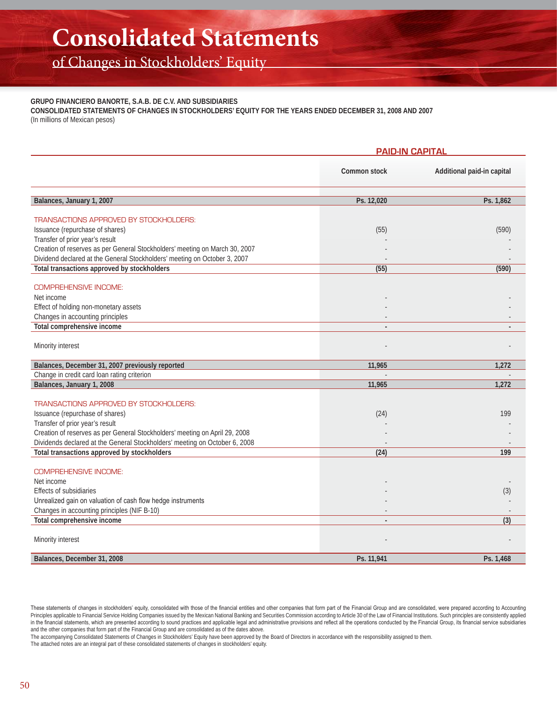of Changes in Stockholders' Equity

#### **GRUPO FINANCIERO BANORTE, S.A.B. DE C.V. AND SUBSIDIARIES**

**CONSOLIDATED STATEMENTS OF CHANGES IN STOCKHOLDERS' EQUITY FOR THE YEARS ENDED DECEMBER 31, 2008 AND 2007** (In millions of Mexican pesos)

|                                                                                  | <b>PAID-IN CAPITAL</b> |                            |  |
|----------------------------------------------------------------------------------|------------------------|----------------------------|--|
|                                                                                  | Common stock           | Additional paid-in capital |  |
| Balances, January 1, 2007                                                        | Ps. 12,020             | Ps. 1,862                  |  |
| <b>TRANSACTIONS APPROVED BY STOCKHOLDERS:</b>                                    |                        |                            |  |
| Issuance (repurchase of shares)                                                  | (55)                   | (590)                      |  |
| Transfer of prior year's result                                                  |                        |                            |  |
| Creation of reserves as per General Stockholders' meeting on March 30, 2007      |                        |                            |  |
| Dividend declared at the General Stockholders' meeting on October 3, 2007        |                        |                            |  |
| Total transactions approved by stockholders                                      | (55)                   | (590)                      |  |
| <b>COMPREHENSIVE INCOME:</b>                                                     |                        |                            |  |
| Net income                                                                       |                        |                            |  |
| Effect of holding non-monetary assets                                            |                        |                            |  |
| Changes in accounting principles                                                 |                        |                            |  |
| <b>Total comprehensive income</b>                                                | $\overline{a}$         |                            |  |
|                                                                                  |                        |                            |  |
| Minority interest                                                                |                        |                            |  |
|                                                                                  |                        |                            |  |
| Balances, December 31, 2007 previously reported                                  | 11,965                 | 1,272                      |  |
| Change in credit card loan rating criterion                                      |                        |                            |  |
| Balances, January 1, 2008                                                        | 11,965                 | 1,272                      |  |
|                                                                                  |                        |                            |  |
| <b>TRANSACTIONS APPROVED BY STOCKHOLDERS:</b><br>Issuance (repurchase of shares) |                        | 199                        |  |
| Transfer of prior year's result                                                  | (24)                   |                            |  |
| Creation of reserves as per General Stockholders' meeting on April 29, 2008      |                        |                            |  |
| Dividends declared at the General Stockholders' meeting on October 6, 2008       |                        |                            |  |
| Total transactions approved by stockholders                                      | (24)                   | 199                        |  |
|                                                                                  |                        |                            |  |
| <b>COMPREHENSIVE INCOME:</b>                                                     |                        |                            |  |
| Net income                                                                       |                        |                            |  |
| <b>Effects of subsidiaries</b>                                                   |                        | (3)                        |  |
| Unrealized gain on valuation of cash flow hedge instruments                      |                        |                            |  |
| Changes in accounting principles (NIF B-10)                                      |                        |                            |  |
| Total comprehensive income                                                       |                        | (3)                        |  |
|                                                                                  |                        |                            |  |
| Minority interest                                                                |                        |                            |  |
| Balances, December 31, 2008                                                      | Ps. 11,941             | Ps. 1,468                  |  |
|                                                                                  |                        |                            |  |

These statements of changes in stockholders' equity, consolidated with those of the financial entities and other companies that form part of the Financial Group and are consolidated, were prepared according to Accounting Principles applicable to Financial Service Holding Companies issued by the Mexican National Banking and Securities Commission according to Article 30 of the Law of Financial Institutions. Such principles are consistently a in the financial statements, which are presented according to sound practices and applicable legal and administrative provisions and reflect all the operations conducted by the Financial Group, its financial service subsid and the other companies that form part of the Financial Group and are consolidated as of the dates above.

The accompanying Consolidated Statements of Changes in Stockholders' Equity have been approved by the Board of Directors in accordance with the responsibility assigned to them.

The attached notes are an integral part of these consolidated statements of changes in stockholders' equity.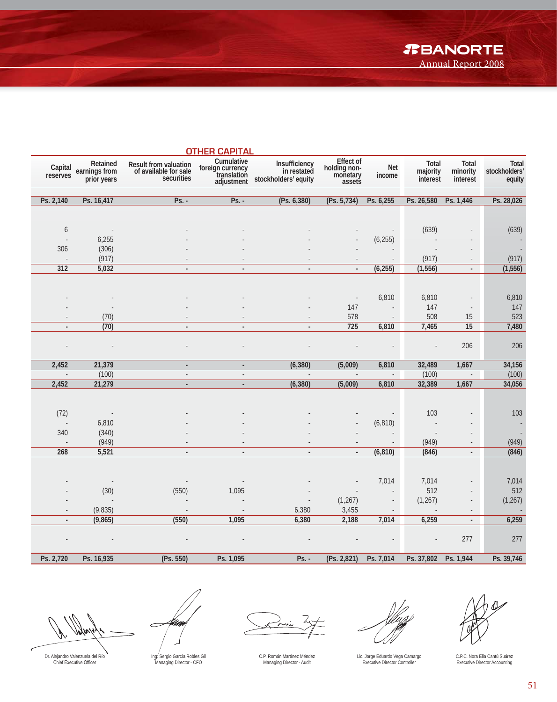|                          |                                          |                                                              | <b>OTHER CAPITAL</b>                                        |                                                      |                                                 |                         |                               |                                   |                                  |
|--------------------------|------------------------------------------|--------------------------------------------------------------|-------------------------------------------------------------|------------------------------------------------------|-------------------------------------------------|-------------------------|-------------------------------|-----------------------------------|----------------------------------|
| Capital<br>reserves      | Retained<br>earnings from<br>prior years | Result from valuation<br>of available for sale<br>securities | Cumulative<br>foreign currency<br>translation<br>adjustment | Insufficiency<br>in restated<br>stockholders' equity | Effect of<br>holding non-<br>monetary<br>assets | <b>Net</b><br>income    | Total<br>majority<br>interest | Total<br>minority<br>interest     | Total<br>stockholders'<br>equity |
|                          |                                          |                                                              |                                                             |                                                      |                                                 |                         |                               |                                   |                                  |
| Ps. 2,140                | Ps. 16,417                               | $Ps. -$                                                      | $Ps. -$                                                     | (Ps. 6, 380)                                         | (Ps. 5, 734)                                    | Ps. 6,255               | Ps. 26,580                    | Ps. 1,446                         | Ps. 28,026                       |
|                          |                                          |                                                              |                                                             |                                                      |                                                 |                         |                               |                                   |                                  |
| $\boldsymbol{6}$         | $\sim$                                   |                                                              |                                                             |                                                      |                                                 |                         | (639)                         |                                   | (639)                            |
| $\overline{a}$           | 6,255                                    |                                                              |                                                             |                                                      |                                                 | (6, 255)                |                               |                                   |                                  |
| 306                      | (306)                                    |                                                              |                                                             |                                                      |                                                 |                         | $\overline{\phantom{a}}$      |                                   |                                  |
|                          | (917)                                    |                                                              |                                                             |                                                      |                                                 |                         | (917)                         |                                   | (917)                            |
| 312                      | 5,032                                    |                                                              |                                                             |                                                      |                                                 | (6,255)                 | (1, 556)                      | $\blacksquare$                    | (1, 556)                         |
|                          |                                          |                                                              |                                                             |                                                      |                                                 |                         |                               |                                   |                                  |
|                          |                                          |                                                              |                                                             |                                                      |                                                 |                         |                               |                                   |                                  |
|                          |                                          |                                                              |                                                             |                                                      | $\overline{\phantom{a}}$                        | 6,810                   | 6,810                         |                                   | 6,810                            |
|                          |                                          |                                                              |                                                             |                                                      | 147                                             |                         | 147                           | $\overline{\phantom{a}}$          | 147                              |
|                          | (70)                                     |                                                              |                                                             |                                                      | 578                                             |                         | 508                           | 15                                | 523                              |
|                          | (70)                                     |                                                              | ÷.                                                          |                                                      | 725                                             | 6,810                   | 7,465                         | 15                                | 7,480                            |
|                          |                                          |                                                              |                                                             |                                                      |                                                 |                         |                               |                                   |                                  |
|                          | $\overline{\phantom{a}}$                 |                                                              |                                                             |                                                      |                                                 |                         | $\overline{a}$                | 206                               | 206                              |
|                          |                                          |                                                              |                                                             |                                                      |                                                 |                         |                               |                                   |                                  |
| 2,452<br>$\sim$          | 21,379                                   | $\blacksquare$                                               | $\overline{\phantom{a}}$                                    | (6, 380)<br>$\mathcal{L}$                            | (5,009)<br>$\mathbb{Z}$                         | 6,810<br>$\overline{a}$ | 32,489                        | 1,667<br>$\overline{\phantom{a}}$ | 34,156                           |
| 2,452                    | (100)<br>21,279                          | ÷,                                                           | ÷.                                                          | (6, 380)                                             |                                                 |                         | (100)<br>32,389               |                                   | (100)<br>34,056                  |
|                          |                                          | $\blacksquare$                                               | $\blacksquare$                                              |                                                      | (5,009)                                         | 6,810                   |                               | 1,667                             |                                  |
|                          |                                          |                                                              |                                                             |                                                      |                                                 |                         |                               |                                   |                                  |
| (72)                     | $\sim$ $-$                               |                                                              |                                                             |                                                      |                                                 |                         | 103                           |                                   | 103                              |
| $\sim$                   | 6,810                                    |                                                              |                                                             |                                                      |                                                 | (6, 810)                |                               |                                   | $\sim$                           |
| 340                      | (340)                                    |                                                              |                                                             |                                                      |                                                 |                         |                               |                                   |                                  |
|                          | (949)                                    |                                                              |                                                             |                                                      |                                                 |                         | (949)                         |                                   | (949)                            |
| 268                      | 5,521                                    | $\overline{\phantom{a}}$                                     | $\overline{\phantom{a}}$                                    | $\overline{\phantom{a}}$                             |                                                 | (6, 810)                | (846)                         | $\blacksquare$                    | (846)                            |
|                          |                                          |                                                              |                                                             |                                                      |                                                 |                         |                               |                                   |                                  |
|                          |                                          |                                                              |                                                             |                                                      |                                                 |                         |                               |                                   |                                  |
|                          |                                          |                                                              |                                                             |                                                      |                                                 | 7,014                   | 7,014                         |                                   | 7,014                            |
|                          | (30)                                     | (550)                                                        | 1,095                                                       |                                                      |                                                 |                         | 512                           |                                   | 512                              |
|                          |                                          |                                                              |                                                             |                                                      | (1, 267)                                        |                         | (1, 267)                      |                                   | (1, 267)                         |
|                          | (9,835)                                  |                                                              |                                                             | 6,380                                                | 3,455                                           |                         |                               |                                   |                                  |
| $\overline{\phantom{a}}$ | (9, 865)                                 | (550)                                                        | 1,095                                                       | 6,380                                                | 2,188                                           | 7,014                   | 6,259                         | $\blacksquare$                    | 6,259                            |
|                          |                                          |                                                              |                                                             |                                                      |                                                 |                         |                               |                                   |                                  |
|                          |                                          |                                                              |                                                             |                                                      |                                                 |                         |                               | 277                               | 277                              |
| Ps. 2,720                | Ps. 16,935                               | (Ps. 550)                                                    | Ps. 1,095                                                   | Ps. -                                                | (Ps. 2,821)                                     | Ps. 7,014               | Ps. 37,802 Ps. 1,944          |                                   | Ps. 39,746                       |
|                          |                                          |                                                              |                                                             |                                                      |                                                 |                         |                               |                                   |                                  |

w

Num  $\subset$ 

 $\frac{1}{\sqrt{2}}$ 

Lic. Jorge Eduardo Vega Camargo Executive Director Controller



C.P.C. Nora Elia Cantú Suárez Executive Director Accounting

Dr. Alejandro Valenzuela del Río<br>Chief Executive Officer

Ing. Sergio García Robles Gil Managing Director - CFO

C.P. Román Martínez Méndez Managing Director - Audit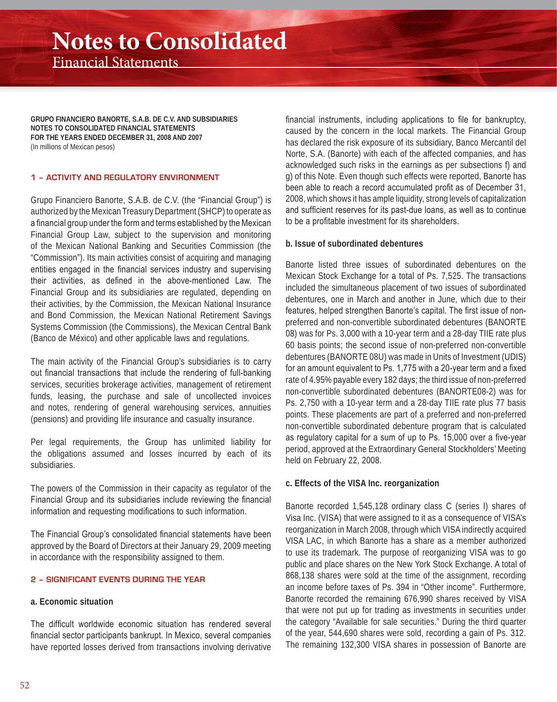**GRUPO FINANCIERO BANORTE, S.A.B. DE C.V. AND SUBSIDIARIES NOTES TO CONSOLIDATED FINANCIAL STATEMENTS FOR THE YEARS ENDED DECEMBER 31, 2008 AND 2007** (In millions of Mexican pesos)

#### **1 – ACTIVITY AND REGULATORY ENVIRONMENT**

Grupo Financiero Banorte, S.A.B. de C.V. (the "Financial Group") is authorized by the Mexican Treasury Department (SHCP) to operate as a financial group under the form and terms established by the Mexican Financial Group Law, subject to the supervision and monitoring of the Mexican National Banking and Securities Commission (the "Commission"). Its main activities consist of acquiring and managing entities engaged in the financial services industry and supervising their activities, as defined in the above-mentioned Law. The Financial Group and its subsidiaries are regulated, depending on their activities, by the Commission, the Mexican National Insurance and Bond Commission, the Mexican National Retirement Savings Systems Commission (the Commissions), the Mexican Central Bank (Banco de México) and other applicable laws and regulations.

The main activity of the Financial Group's subsidiaries is to carry out financial transactions that include the rendering of full-banking services, securities brokerage activities, management of retirement funds, leasing, the purchase and sale of uncollected invoices and notes, rendering of general warehousing services, annuities (pensions) and providing life insurance and casualty insurance.

Per legal requirements, the Group has unlimited liability for the obligations assumed and losses incurred by each of its subsidiaries.

The powers of the Commission in their capacity as regulator of the Financial Group and its subsidiaries include reviewing the financial information and requesting modifications to such information.

The Financial Group's consolidated financial statements have been approved by the Board of Directors at their January 29, 2009 meeting in accordance with the responsibility assigned to them.

#### **2 – SIGNIFICANT EVENTS DURING THE YEAR**

#### **a. Economic situation**

The difficult worldwide economic situation has rendered several financial sector participants bankrupt. In Mexico, several companies have reported losses derived from transactions involving derivative

financial instruments, including applications to file for bankruptcy. caused by the concern in the local markets. The Financial Group has declared the risk exposure of its subsidiary, Banco Mercantil del Norte, S.A. (Banorte) with each of the affected companies, and has acknowledged such risks in the earnings as per subsections f) and g) of this Note. Even though such effects were reported, Banorte has been able to reach a record accumulated profit as of December 31, 2008, which shows it has ample liquidity, strong levels of capitalization and sufficient reserves for its past-due loans, as well as to continue to be a profitable investment for its shareholders.

#### **b. Issue of subordinated debentures**

Banorte listed three issues of subordinated debentures on the Mexican Stock Exchange for a total of Ps. 7,525. The transactions included the simultaneous placement of two issues of subordinated debentures, one in March and another in June, which due to their features, helped strengthen Banorte's capital. The first issue of nonpreferred and non-convertible subordinated debentures (BANORTE 08) was for Ps. 3,000 with a 10-year term and a 28-day TIIE rate plus 60 basis points; the second issue of non-preferred non-convertible debentures (BANORTE 08U) was made in Units of Investment (UDIS) for an amount equivalent to Ps. 1,775 with a 20-year term and a fixed rate of 4.95% payable every 182 days; the third issue of non-preferred non-convertible subordinated debentures (BANORTE08-2) was for Ps. 2,750 with a 10-year term and a 28-day TIIE rate plus 77 basis points. These placements are part of a preferred and non-preferred non-convertible subordinated debenture program that is calculated as regulatory capital for a sum of up to Ps. 15,000 over a five-year period, approved at the Extraordinary General Stockholders' Meeting held on February 22, 2008.

#### **c. Effects of the VISA Inc. reorganization**

Banorte recorded 1,545,128 ordinary class C (series I) shares of Visa Inc. (VISA) that were assigned to it as a consequence of VISA's reorganization in March 2008, through which VISA indirectly acquired VISA LAC, in which Banorte has a share as a member authorized to use its trademark. The purpose of reorganizing VISA was to go public and place shares on the New York Stock Exchange. A total of 868,138 shares were sold at the time of the assignment, recording an income before taxes of Ps. 394 in "Other income". Furthermore, Banorte recorded the remaining 676,990 shares received by VISA that were not put up for trading as investments in securities under the category "Available for sale securities." During the third quarter of the year, 544,690 shares were sold, recording a gain of Ps. 312. The remaining 132,300 VISA shares in possession of Banorte are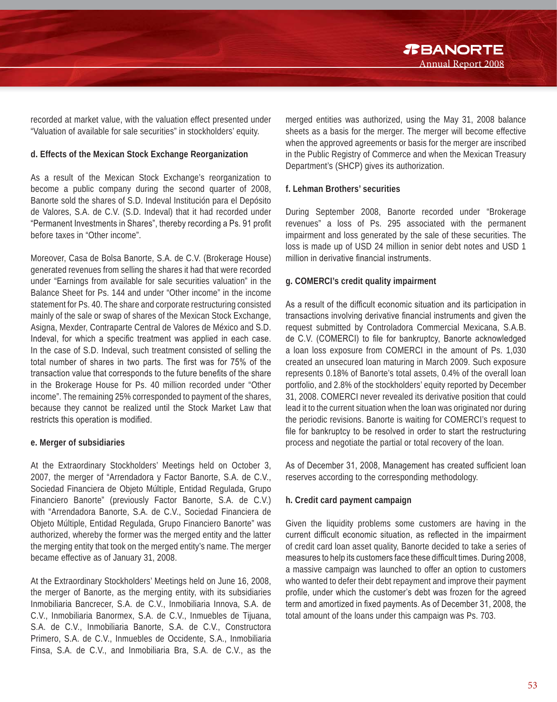recorded at market value, with the valuation effect presented under "Valuation of available for sale securities" in stockholders' equity.

#### **d. Effects of the Mexican Stock Exchange Reorganization**

As a result of the Mexican Stock Exchange's reorganization to become a public company during the second quarter of 2008, Banorte sold the shares of S.D. Indeval Institución para el Depósito de Valores, S.A. de C.V. (S.D. Indeval) that it had recorded under "Permanent Investments in Shares", thereby recording a Ps. 91 profit before taxes in "Other income".

Moreover, Casa de Bolsa Banorte, S.A. de C.V. (Brokerage House) generated revenues from selling the shares it had that were recorded under "Earnings from available for sale securities valuation" in the Balance Sheet for Ps. 144 and under "Other income" in the income statement for Ps. 40. The share and corporate restructuring consisted mainly of the sale or swap of shares of the Mexican Stock Exchange, Asigna, Mexder, Contraparte Central de Valores de México and S.D. Indeval, for which a specific treatment was applied in each case. In the case of S.D. Indeval, such treatment consisted of selling the total number of shares in two parts. The first was for 75% of the transaction value that corresponds to the future benefits of the share in the Brokerage House for Ps. 40 million recorded under "Other income". The remaining 25% corresponded to payment of the shares, because they cannot be realized until the Stock Market Law that restricts this operation is modified.

#### **e. Merger of subsidiaries**

At the Extraordinary Stockholders' Meetings held on October 3, 2007, the merger of "Arrendadora y Factor Banorte, S.A. de C.V., Sociedad Financiera de Objeto Múltiple, Entidad Regulada, Grupo Financiero Banorte" (previously Factor Banorte, S.A. de C.V.) with "Arrendadora Banorte, S.A. de C.V., Sociedad Financiera de Objeto Múltiple, Entidad Regulada, Grupo Financiero Banorte" was authorized, whereby the former was the merged entity and the latter the merging entity that took on the merged entity's name. The merger became effective as of January 31, 2008.

At the Extraordinary Stockholders' Meetings held on June 16, 2008, the merger of Banorte, as the merging entity, with its subsidiaries Inmobiliaria Bancrecer, S.A. de C.V., Inmobiliaria Innova, S.A. de C.V., Inmobiliaria Banormex, S.A. de C.V., Inmuebles de Tijuana, S.A. de C.V., Inmobiliaria Banorte, S.A. de C.V., Constructora Primero, S.A. de C.V., Inmuebles de Occidente, S.A., Inmobiliaria Finsa, S.A. de C.V., and Inmobiliaria Bra, S.A. de C.V., as the

merged entities was authorized, using the May 31, 2008 balance sheets as a basis for the merger. The merger will become effective when the approved agreements or basis for the merger are inscribed in the Public Registry of Commerce and when the Mexican Treasury Department's (SHCP) gives its authorization.

#### **f. Lehman Brothers' securities**

During September 2008, Banorte recorded under "Brokerage revenues" a loss of Ps. 295 associated with the permanent impairment and loss generated by the sale of these securities. The loss is made up of USD 24 million in senior debt notes and USD 1 million in derivative financial instruments

#### **g. COMERCI's credit quality impairment**

As a result of the difficult economic situation and its participation in transactions involving derivative financial instruments and given the request submitted by Controladora Commercial Mexicana, S.A.B. de C.V. (COMERCI) to file for bankruptcy, Banorte acknowledged a loan loss exposure from COMERCI in the amount of Ps. 1,030 created an unsecured loan maturing in March 2009. Such exposure represents 0.18% of Banorte's total assets, 0.4% of the overall loan portfolio, and 2.8% of the stockholders' equity reported by December 31, 2008. COMERCI never revealed its derivative position that could lead it to the current situation when the loan was originated nor during the periodic revisions. Banorte is waiting for COMERCI's request to file for bankruptcy to be resolved in order to start the restructuring process and negotiate the partial or total recovery of the loan.

As of December 31, 2008, Management has created sufficient loan reserves according to the corresponding methodology.

#### **h. Credit card payment campaign**

Given the liquidity problems some customers are having in the current difficult economic situation, as reflected in the impairment of credit card loan asset quality, Banorte decided to take a series of measures to help its customers face these difficult times. During 2008, a massive campaign was launched to offer an option to customers who wanted to defer their debt repayment and improve their payment profile, under which the customer's debt was frozen for the agreed term and amortized in fixed payments. As of December 31, 2008, the total amount of the loans under this campaign was Ps. 703.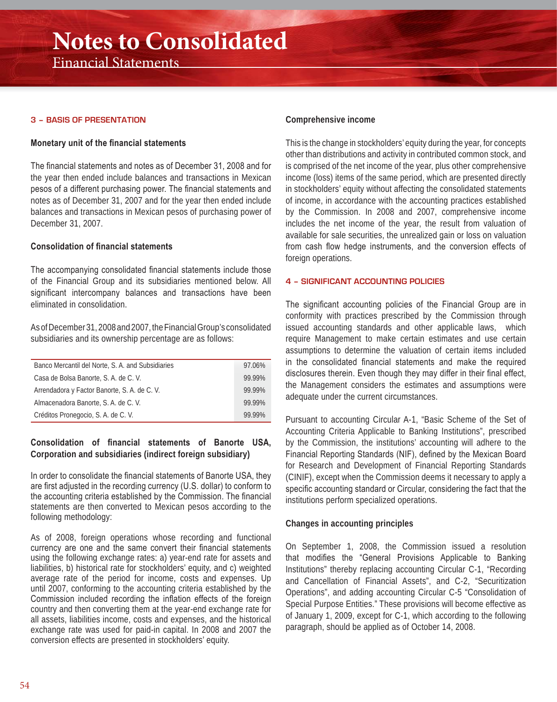#### **3 – BASIS OF PRESENTATION**

#### **Monetary unit of the financial statements**

The financial statements and notes as of December 31, 2008 and for the year then ended include balances and transactions in Mexican pesos of a different purchasing power. The financial statements and notes as of December 31, 2007 and for the year then ended include balances and transactions in Mexican pesos of purchasing power of December 31, 2007.

#### Consolidation of financial statements

The accompanying consolidated financial statements include those of the Financial Group and its subsidiaries mentioned below. All significant intercompany balances and transactions have been eliminated in consolidation.

As of December 31, 2008 and 2007, the Financial Group's consolidated subsidiaries and its ownership percentage are as follows:

| Banco Mercantil del Norte, S. A. and Subsidiaries | 97.06% |
|---------------------------------------------------|--------|
| Casa de Bolsa Banorte, S. A. de C. V.             | 99.99% |
| Arrendadora y Factor Banorte, S. A. de C. V.      | 99.99% |
| Almacenadora Banorte, S. A. de C. V.              | 99.99% |
| Créditos Pronegocio, S. A. de C. V.               | 99.99% |

#### Consolidation of financial statements of Banorte USA, **Corporation and subsidiaries (indirect foreign subsidiary)**

In order to consolidate the financial statements of Banorte USA, they are first adjusted in the recording currency (U.S. dollar) to conform to the accounting criteria established by the Commission. The financial statements are then converted to Mexican pesos according to the following methodology:

As of 2008, foreign operations whose recording and functional currency are one and the same convert their financial statements using the following exchange rates: a) year-end rate for assets and liabilities, b) historical rate for stockholders' equity, and c) weighted average rate of the period for income, costs and expenses. Up until 2007, conforming to the accounting criteria established by the Commission included recording the inflation effects of the foreign country and then converting them at the year-end exchange rate for all assets, liabilities income, costs and expenses, and the historical exchange rate was used for paid-in capital. In 2008 and 2007 the conversion effects are presented in stockholders' equity.

#### **Comprehensive income**

This is the change in stockholders' equity during the year, for concepts other than distributions and activity in contributed common stock, and is comprised of the net income of the year, plus other comprehensive income (loss) items of the same period, which are presented directly in stockholders' equity without affecting the consolidated statements of income, in accordance with the accounting practices established by the Commission. In 2008 and 2007, comprehensive income includes the net income of the year, the result from valuation of available for sale securities, the unrealized gain or loss on valuation from cash flow hedge instruments, and the conversion effects of foreign operations.

#### **4 – SIGNIFICANT ACCOUNTING POLICIES**

The significant accounting policies of the Financial Group are in conformity with practices prescribed by the Commission through issued accounting standards and other applicable laws, which require Management to make certain estimates and use certain assumptions to determine the valuation of certain items included in the consolidated financial statements and make the required disclosures therein. Even though they may differ in their final effect, the Management considers the estimates and assumptions were adequate under the current circumstances.

Pursuant to accounting Circular A-1, "Basic Scheme of the Set of Accounting Criteria Applicable to Banking Institutions", prescribed by the Commission, the institutions' accounting will adhere to the Financial Reporting Standards (NIF), defined by the Mexican Board for Research and Development of Financial Reporting Standards (CINIF), except when the Commission deems it necessary to apply a specific accounting standard or Circular, considering the fact that the institutions perform specialized operations.

#### **Changes in accounting principles**

On September 1, 2008, the Commission issued a resolution that modifies the "General Provisions Applicable to Banking Institutions" thereby replacing accounting Circular C-1, "Recording and Cancellation of Financial Assets", and C-2, "Securitization Operations", and adding accounting Circular C-5 "Consolidation of Special Purpose Entities." These provisions will become effective as of January 1, 2009, except for C-1, which according to the following paragraph, should be applied as of October 14, 2008.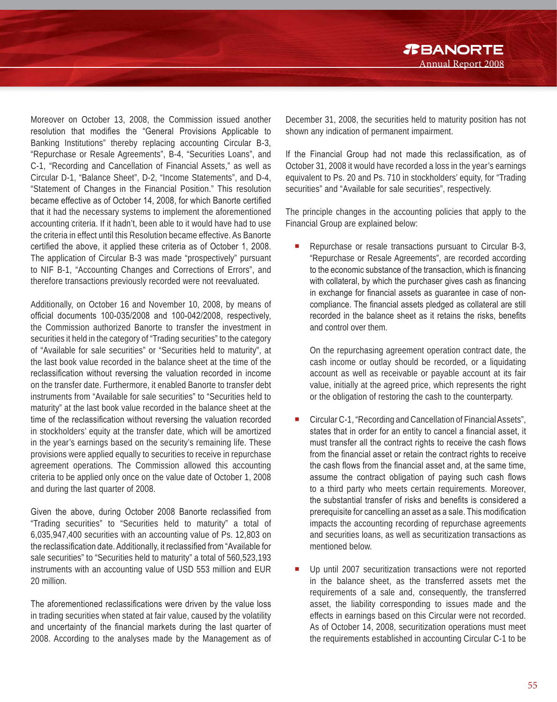Moreover on October 13, 2008, the Commission issued another resolution that modifies the "General Provisions Applicable to Banking Institutions" thereby replacing accounting Circular B-3, "Repurchase or Resale Agreements", B-4, "Securities Loans", and C-1, "Recording and Cancellation of Financial Assets," as well as Circular D-1, "Balance Sheet", D-2, "Income Statements", and D-4, "Statement of Changes in the Financial Position." This resolution became effective as of October 14, 2008, for which Banorte certified that it had the necessary systems to implement the aforementioned accounting criteria. If it hadn't, been able to it would have had to use the criteria in effect until this Resolution became effective. As Banorte certified the above, it applied these criteria as of October 1, 2008. The application of Circular B-3 was made "prospectively" pursuant to NIF B-1, "Accounting Changes and Corrections of Errors", and therefore transactions previously recorded were not reevaluated.

Additionally, on October 16 and November 10, 2008, by means of official documents 100-035/2008 and 100-042/2008, respectively, the Commission authorized Banorte to transfer the investment in securities it held in the category of "Trading securities" to the category of "Available for sale securities" or "Securities held to maturity", at the last book value recorded in the balance sheet at the time of the reclassification without reversing the valuation recorded in income on the transfer date. Furthermore, it enabled Banorte to transfer debt instruments from "Available for sale securities" to "Securities held to maturity" at the last book value recorded in the balance sheet at the time of the reclassification without reversing the valuation recorded in stockholders' equity at the transfer date, which will be amortized in the year's earnings based on the security's remaining life. These provisions were applied equally to securities to receive in repurchase agreement operations. The Commission allowed this accounting criteria to be applied only once on the value date of October 1, 2008 and during the last quarter of 2008.

Given the above, during October 2008 Banorte reclassified from "Trading securities" to "Securities held to maturity" a total of 6,035,947,400 securities with an accounting value of Ps. 12,803 on the reclassification date. Additionally, it reclassified from "Available for sale securities" to "Securities held to maturity" a total of 560,523,193 instruments with an accounting value of USD 553 million and EUR 20 million.

The aforementioned reclassifications were driven by the value loss in trading securities when stated at fair value, caused by the volatility and uncertainty of the financial markets during the last quarter of 2008. According to the analyses made by the Management as of

December 31, 2008, the securities held to maturity position has not shown any indication of permanent impairment.

Annual Report 2008

*R***BANORTE** 

If the Financial Group had not made this reclassification, as of October 31, 2008 it would have recorded a loss in the year's earnings equivalent to Ps. 20 and Ps. 710 in stockholders' equity, for "Trading securities" and "Available for sale securities", respectively.

The principle changes in the accounting policies that apply to the Financial Group are explained below:

 Repurchase or resale transactions pursuant to Circular B-3, "Repurchase or Resale Agreements", are recorded according to the economic substance of the transaction, which is financing with collateral, by which the purchaser gives cash as financing in exchange for financial assets as guarantee in case of noncompliance. The financial assets pledged as collateral are still recorded in the balance sheet as it retains the risks, benefits and control over them.

On the repurchasing agreement operation contract date, the cash income or outlay should be recorded, or a liquidating account as well as receivable or payable account at its fair value, initially at the agreed price, which represents the right or the obligation of restoring the cash to the counterparty.

- Circular C-1, "Recording and Cancellation of Financial Assets", states that in order for an entity to cancel a financial asset, it must transfer all the contract rights to receive the cash flows from the financial asset or retain the contract rights to receive the cash flows from the financial asset and, at the same time, assume the contract obligation of paying such cash flows to a third party who meets certain requirements. Moreover, the substantial transfer of risks and benefits is considered a prerequisite for cancelling an asset as a sale. This modification impacts the accounting recording of repurchase agreements and securities loans, as well as securitization transactions as mentioned below.
- Up until 2007 securitization transactions were not reported in the balance sheet, as the transferred assets met the requirements of a sale and, consequently, the transferred asset, the liability corresponding to issues made and the effects in earnings based on this Circular were not recorded. As of October 14, 2008, securitization operations must meet the requirements established in accounting Circular C-1 to be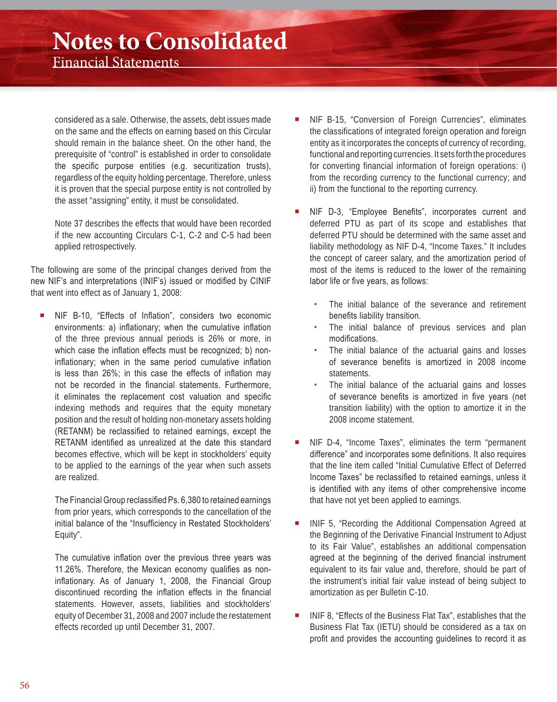considered as a sale. Otherwise, the assets, debt issues made on the same and the effects on earning based on this Circular should remain in the balance sheet. On the other hand, the prerequisite of "control" is established in order to consolidate the specific purpose entities (e.g. securitization trusts), regardless of the equity holding percentage. Therefore, unless it is proven that the special purpose entity is not controlled by the asset "assigning" entity, it must be consolidated.

Note 37 describes the effects that would have been recorded if the new accounting Circulars C-1, C-2 and C-5 had been applied retrospectively.

The following are some of the principal changes derived from the new NIF's and interpretations (INIF's) issued or modified by CINIF that went into effect as of January 1, 2008:

NIF B-10, "Effects of Inflation", considers two economic environments: a) inflationary; when the cumulative inflation of the three previous annual periods is 26% or more, in which case the inflation effects must be recognized; b) noninflationary; when in the same period cumulative inflation is less than  $26\%$ ; in this case the effects of inflation may not be recorded in the financial statements. Furthermore, it eliminates the replacement cost valuation and specific indexing methods and requires that the equity monetary position and the result of holding non-monetary assets holding (RETANM) be reclassified to retained earnings, except the RETANM identified as unrealized at the date this standard becomes effective, which will be kept in stockholders' equity to be applied to the earnings of the year when such assets are realized.

The Financial Group reclassified Ps. 6,380 to retained earnings from prior years, which corresponds to the cancellation of the initial balance of the "Insufficiency in Restated Stockholders' Equity".

The cumulative inflation over the previous three years was 11.26%. Therefore, the Mexican economy qualifies as noninflationary. As of January 1, 2008, the Financial Group discontinued recording the inflation effects in the financial statements. However, assets, liabilities and stockholders' equity of December 31, 2008 and 2007 include the restatement effects recorded up until December 31, 2007.

- NIF B-15, "Conversion of Foreign Currencies", eliminates the classifications of integrated foreign operation and foreign entity as it incorporates the concepts of currency of recording, functional and reporting currencies. It sets forth the procedures for converting financial information of foreign operations: i) from the recording currency to the functional currency; and ii) from the functional to the reporting currency.
- NIF D-3, "Employee Benefits", incorporates current and deferred PTU as part of its scope and establishes that deferred PTU should be determined with the same asset and liability methodology as NIF D-4, "Income Taxes." It includes the concept of career salary, and the amortization period of most of the items is reduced to the lower of the remaining labor life or five vears, as follows:
	- The initial balance of the severance and retirement benefits liability transition.
	- The initial balance of previous services and plan modifications.
	- The initial balance of the actuarial gains and losses of severance benefits is amortized in 2008 income statements.
	- The initial balance of the actuarial gains and losses of severance benefits is amortized in five years (net transition liability) with the option to amortize it in the 2008 income statement.
- NIF D-4, "Income Taxes", eliminates the term "permanent difference" and incorporates some definitions. It also requires that the line item called "Initial Cumulative Effect of Deferred Income Taxes" be reclassified to retained earnings, unless it is identified with any items of other comprehensive income that have not yet been applied to earnings.
- INIF 5, "Recording the Additional Compensation Agreed at the Beginning of the Derivative Financial Instrument to Adjust to its Fair Value", establishes an additional compensation agreed at the beginning of the derived financial instrument equivalent to its fair value and, therefore, should be part of the instrument's initial fair value instead of being subject to amortization as per Bulletin C-10.
- INIF 8, "Effects of the Business Flat Tax", establishes that the Business Flat Tax (IETU) should be considered as a tax on profit and provides the accounting guidelines to record it as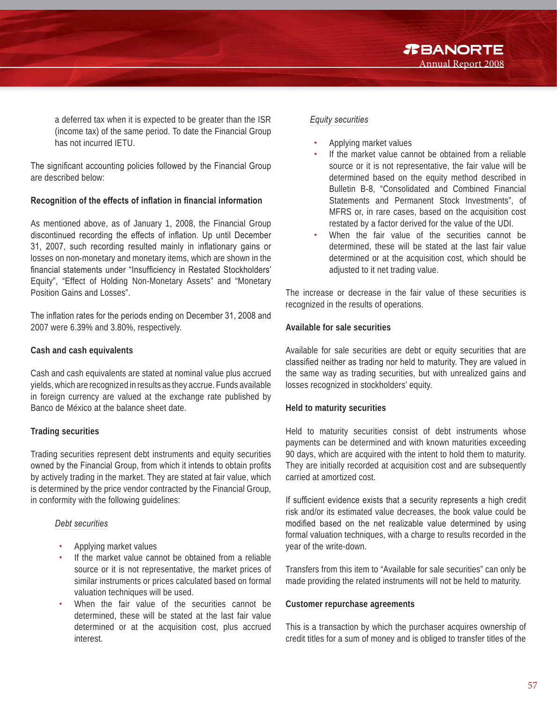a deferred tax when it is expected to be greater than the ISR (income tax) of the same period. To date the Financial Group has not incurred IETU.

The significant accounting policies followed by the Financial Group are described below:

#### **Recognition of the effects of inflation in financial information**

As mentioned above, as of January 1, 2008, the Financial Group discontinued recording the effects of inflation. Up until December 31, 2007, such recording resulted mainly in inflationary gains or losses on non-monetary and monetary items, which are shown in the financial statements under "Insufficiency in Restated Stockholders' Equity", "Effect of Holding Non-Monetary Assets" and "Monetary Position Gains and Losses".

The inflation rates for the periods ending on December 31, 2008 and 2007 were 6.39% and 3.80%, respectively.

#### **Cash and cash equivalents**

Cash and cash equivalents are stated at nominal value plus accrued yields, which are recognized in results as they accrue. Funds available in foreign currency are valued at the exchange rate published by Banco de México at the balance sheet date.

#### **Trading securities**

Trading securities represent debt instruments and equity securities owned by the Financial Group, from which it intends to obtain profits by actively trading in the market. They are stated at fair value, which is determined by the price vendor contracted by the Financial Group, in conformity with the following guidelines:

#### *Debt securities*

- Applying market values
- If the market value cannot be obtained from a reliable source or it is not representative, the market prices of similar instruments or prices calculated based on formal valuation techniques will be used.
- When the fair value of the securities cannot be determined, these will be stated at the last fair value determined or at the acquisition cost, plus accrued interest.

#### *Equity securities*

- Applying market values
- If the market value cannot be obtained from a reliable source or it is not representative, the fair value will be determined based on the equity method described in Bulletin B-8, "Consolidated and Combined Financial Statements and Permanent Stock Investments", of MFRS or, in rare cases, based on the acquisition cost restated by a factor derived for the value of the UDI.
- When the fair value of the securities cannot be determined, these will be stated at the last fair value determined or at the acquisition cost, which should be adiusted to it net trading value.

The increase or decrease in the fair value of these securities is recognized in the results of operations.

#### **Available for sale securities**

Available for sale securities are debt or equity securities that are classified neither as trading nor held to maturity. They are valued in the same way as trading securities, but with unrealized gains and losses recognized in stockholders' equity.

#### **Held to maturity securities**

Held to maturity securities consist of debt instruments whose payments can be determined and with known maturities exceeding 90 days, which are acquired with the intent to hold them to maturity. They are initially recorded at acquisition cost and are subsequently carried at amortized cost.

If sufficient evidence exists that a security represents a high credit risk and/or its estimated value decreases, the book value could be modified based on the net realizable value determined by using formal valuation techniques, with a charge to results recorded in the year of the write-down.

Transfers from this item to "Available for sale securities" can only be made providing the related instruments will not be held to maturity.

#### **Customer repurchase agreements**

This is a transaction by which the purchaser acquires ownership of credit titles for a sum of money and is obliged to transfer titles of the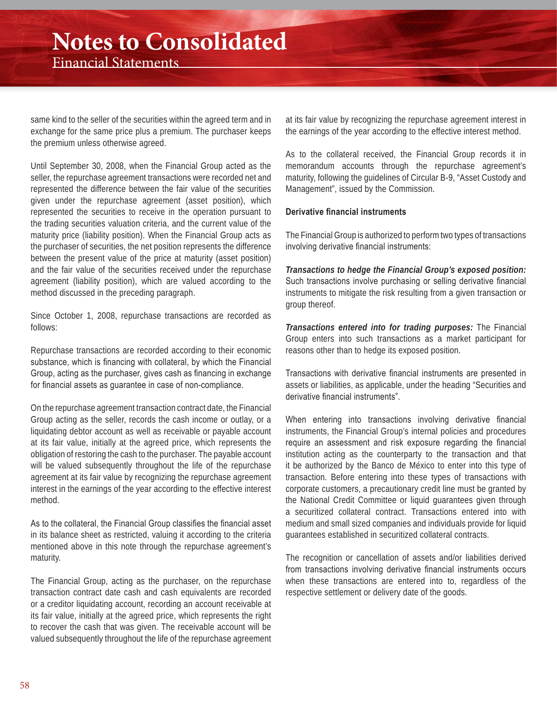same kind to the seller of the securities within the agreed term and in exchange for the same price plus a premium. The purchaser keeps the premium unless otherwise agreed.

Until September 30, 2008, when the Financial Group acted as the seller, the repurchase agreement transactions were recorded net and represented the difference between the fair value of the securities given under the repurchase agreement (asset position), which represented the securities to receive in the operation pursuant to the trading securities valuation criteria, and the current value of the maturity price (liability position). When the Financial Group acts as the purchaser of securities, the net position represents the difference between the present value of the price at maturity (asset position) and the fair value of the securities received under the repurchase agreement (liability position), which are valued according to the method discussed in the preceding paragraph.

Since October 1, 2008, repurchase transactions are recorded as follows:

Repurchase transactions are recorded according to their economic substance, which is financing with collateral, by which the Financial Group, acting as the purchaser, gives cash as financing in exchange for financial assets as guarantee in case of non-compliance.

On the repurchase agreement transaction contract date, the Financial Group acting as the seller, records the cash income or outlay, or a liquidating debtor account as well as receivable or payable account at its fair value, initially at the agreed price, which represents the obligation of restoring the cash to the purchaser. The payable account will be valued subsequently throughout the life of the repurchase agreement at its fair value by recognizing the repurchase agreement interest in the earnings of the year according to the effective interest method.

As to the collateral, the Financial Group classifies the financial asset in its balance sheet as restricted, valuing it according to the criteria mentioned above in this note through the repurchase agreement's maturity.

The Financial Group, acting as the purchaser, on the repurchase transaction contract date cash and cash equivalents are recorded or a creditor liquidating account, recording an account receivable at its fair value, initially at the agreed price, which represents the right to recover the cash that was given. The receivable account will be valued subsequently throughout the life of the repurchase agreement

at its fair value by recognizing the repurchase agreement interest in the earnings of the year according to the effective interest method.

As to the collateral received, the Financial Group records it in memorandum accounts through the repurchase agreement's maturity, following the guidelines of Circular B-9, "Asset Custody and Management", issued by the Commission.

#### Derivative financial instruments

The Financial Group is authorized to perform two types of transactions involving derivative financial instruments:

*Transactions to hedge the Financial Group's exposed position:*  Such transactions involve purchasing or selling derivative financial instruments to mitigate the risk resulting from a given transaction or group thereof.

*Transactions entered into for trading purposes:* The Financial Group enters into such transactions as a market participant for reasons other than to hedge its exposed position.

Transactions with derivative financial instruments are presented in assets or liabilities, as applicable, under the heading "Securities and derivative financial instruments".

When entering into transactions involving derivative financial instruments, the Financial Group's internal policies and procedures require an assessment and risk exposure regarding the financial institution acting as the counterparty to the transaction and that it be authorized by the Banco de México to enter into this type of transaction. Before entering into these types of transactions with corporate customers, a precautionary credit line must be granted by the National Credit Committee or liquid guarantees given through a securitized collateral contract. Transactions entered into with medium and small sized companies and individuals provide for liquid guarantees established in securitized collateral contracts.

The recognition or cancellation of assets and/or liabilities derived from transactions involving derivative financial instruments occurs when these transactions are entered into to, regardless of the respective settlement or delivery date of the goods.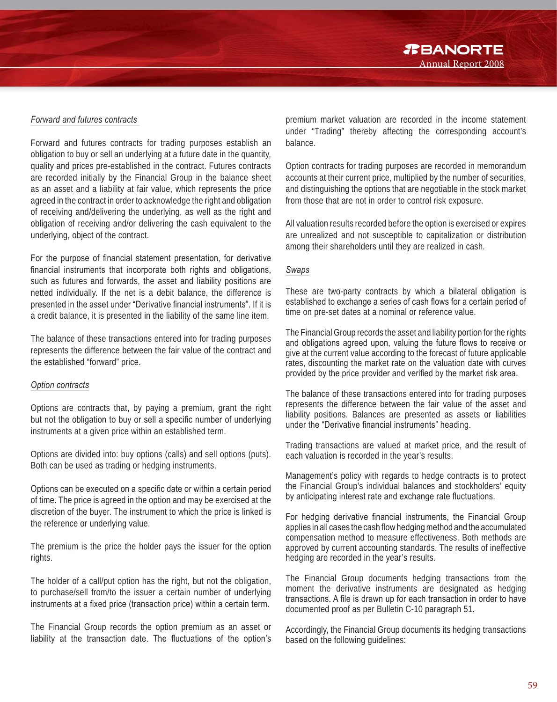*TBANORTE* Annual Report 2008

#### *Forward and futures contracts*

Forward and futures contracts for trading purposes establish an obligation to buy or sell an underlying at a future date in the quantity, quality and prices pre-established in the contract. Futures contracts are recorded initially by the Financial Group in the balance sheet as an asset and a liability at fair value, which represents the price agreed in the contract in order to acknowledge the right and obligation of receiving and/delivering the underlying, as well as the right and obligation of receiving and/or delivering the cash equivalent to the underlying, object of the contract.

For the purpose of financial statement presentation, for derivative financial instruments that incorporate both rights and obligations. such as futures and forwards, the asset and liability positions are netted individually. If the net is a debit balance, the difference is presented in the asset under "Derivative financial instruments". If it is a credit balance, it is presented in the liability of the same line item.

The balance of these transactions entered into for trading purposes represents the difference between the fair value of the contract and the established "forward" price.

#### *Option contracts*

Options are contracts that, by paying a premium, grant the right but not the obligation to buy or sell a specific number of underlying instruments at a given price within an established term.

Options are divided into: buy options (calls) and sell options (puts). Both can be used as trading or hedging instruments.

Options can be executed on a specific date or within a certain period of time. The price is agreed in the option and may be exercised at the discretion of the buyer. The instrument to which the price is linked is the reference or underlying value.

The premium is the price the holder pays the issuer for the option rights.

The holder of a call/put option has the right, but not the obligation, to purchase/sell from/to the issuer a certain number of underlying instruments at a fixed price (transaction price) within a certain term.

The Financial Group records the option premium as an asset or liability at the transaction date. The fluctuations of the option's premium market valuation are recorded in the income statement under "Trading" thereby affecting the corresponding account's balance.

Option contracts for trading purposes are recorded in memorandum accounts at their current price, multiplied by the number of securities, and distinguishing the options that are negotiable in the stock market from those that are not in order to control risk exposure.

All valuation results recorded before the option is exercised or expires are unrealized and not susceptible to capitalization or distribution among their shareholders until they are realized in cash.

#### *Swaps*

These are two-party contracts by which a bilateral obligation is established to exchange a series of cash flows for a certain period of time on pre-set dates at a nominal or reference value.

The Financial Group records the asset and liability portion for the rights and obligations agreed upon, valuing the future flows to receive or give at the current value according to the forecast of future applicable rates, discounting the market rate on the valuation date with curves provided by the price provider and verified by the market risk area.

The balance of these transactions entered into for trading purposes represents the difference between the fair value of the asset and liability positions. Balances are presented as assets or liabilities under the "Derivative financial instruments" heading.

Trading transactions are valued at market price, and the result of each valuation is recorded in the year's results.

Management's policy with regards to hedge contracts is to protect the Financial Group's individual balances and stockholders' equity by anticipating interest rate and exchange rate fluctuations.

For hedging derivative financial instruments, the Financial Group applies in all cases the cash flow hedging method and the accumulated compensation method to measure effectiveness. Both methods are approved by current accounting standards. The results of ineffective hedging are recorded in the year's results.

The Financial Group documents hedging transactions from the moment the derivative instruments are designated as hedging transactions. A file is drawn up for each transaction in order to have documented proof as per Bulletin C-10 paragraph 51.

Accordingly, the Financial Group documents its hedging transactions based on the following guidelines: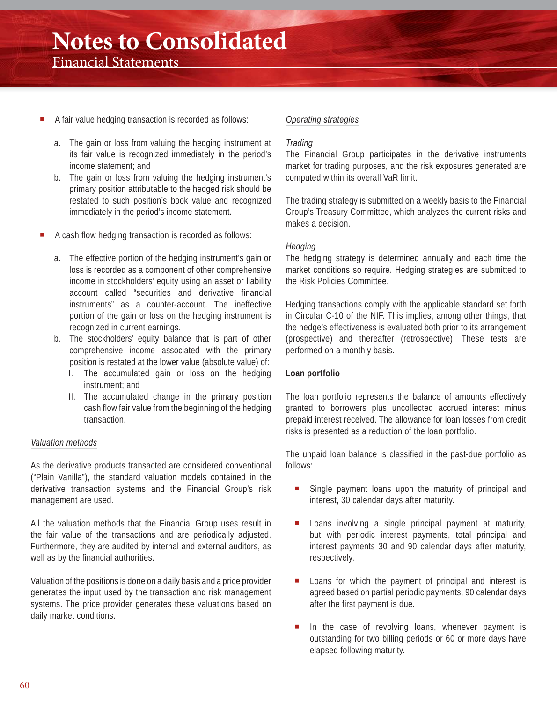- A fair value hedging transaction is recorded as follows:
	- a. The gain or loss from valuing the hedging instrument at its fair value is recognized immediately in the period's income statement; and
	- b. The gain or loss from valuing the hedging instrument's primary position attributable to the hedged risk should be restated to such position's book value and recognized immediately in the period's income statement.
- A cash flow hedging transaction is recorded as follows:
	- a. The effective portion of the hedging instrument's gain or loss is recorded as a component of other comprehensive income in stockholders' equity using an asset or liability account called "securities and derivative financial instruments" as a counter-account. The ineffective portion of the gain or loss on the hedging instrument is recognized in current earnings.
	- b. The stockholders' equity balance that is part of other comprehensive income associated with the primary position is restated at the lower value (absolute value) of:
		- I. The accumulated gain or loss on the hedging instrument; and
		- II. The accumulated change in the primary position cash flow fair value from the beginning of the hedging transaction.

#### *Valuation methods*

As the derivative products transacted are considered conventional ("Plain Vanilla"), the standard valuation models contained in the derivative transaction systems and the Financial Group's risk management are used.

All the valuation methods that the Financial Group uses result in the fair value of the transactions and are periodically adjusted. Furthermore, they are audited by internal and external auditors, as well as by the financial authorities.

Valuation of the positions is done on a daily basis and a price provider generates the input used by the transaction and risk management systems. The price provider generates these valuations based on daily market conditions.

#### *Operating strategies*

#### *Trading*

The Financial Group participates in the derivative instruments market for trading purposes, and the risk exposures generated are computed within its overall VaR limit.

The trading strategy is submitted on a weekly basis to the Financial Group's Treasury Committee, which analyzes the current risks and makes a decision.

#### *Hedging*

The hedging strategy is determined annually and each time the market conditions so require. Hedging strategies are submitted to the Risk Policies Committee.

Hedging transactions comply with the applicable standard set forth in Circular C-10 of the NIF. This implies, among other things, that the hedge's effectiveness is evaluated both prior to its arrangement (prospective) and thereafter (retrospective). These tests are performed on a monthly basis.

#### **Loan portfolio**

The loan portfolio represents the balance of amounts effectively granted to borrowers plus uncollected accrued interest minus prepaid interest received. The allowance for loan losses from credit risks is presented as a reduction of the loan portfolio.

The unpaid loan balance is classified in the past-due portfolio as follows:

- Single payment loans upon the maturity of principal and interest, 30 calendar days after maturity.
- **Loans involving a single principal payment at maturity,** but with periodic interest payments, total principal and interest payments 30 and 90 calendar days after maturity, respectively.
- **Loans for which the payment of principal and interest is** agreed based on partial periodic payments, 90 calendar days after the first payment is due.
- In the case of revolving loans, whenever payment is outstanding for two billing periods or 60 or more days have elapsed following maturity.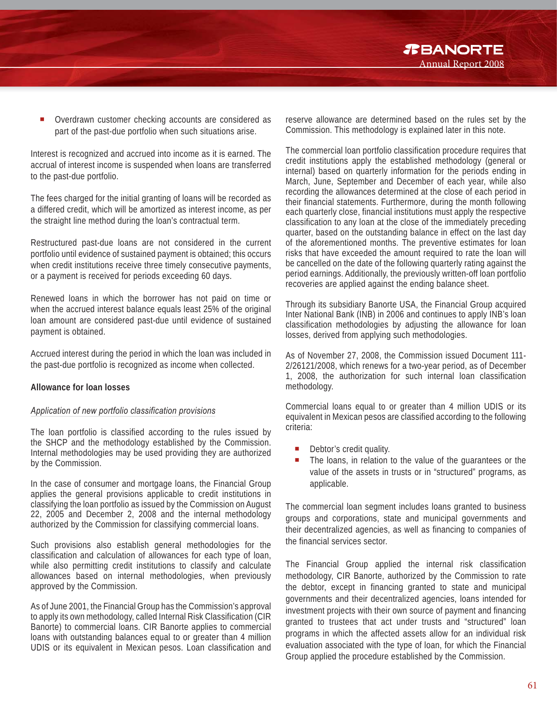Overdrawn customer checking accounts are considered as part of the past-due portfolio when such situations arise.

Interest is recognized and accrued into income as it is earned. The accrual of interest income is suspended when loans are transferred to the past-due portfolio.

The fees charged for the initial granting of loans will be recorded as a differed credit, which will be amortized as interest income, as per the straight line method during the loan's contractual term.

Restructured past-due loans are not considered in the current portfolio until evidence of sustained payment is obtained; this occurs when credit institutions receive three timely consecutive payments, or a payment is received for periods exceeding 60 days.

Renewed loans in which the borrower has not paid on time or when the accrued interest balance equals least 25% of the original loan amount are considered past-due until evidence of sustained payment is obtained.

Accrued interest during the period in which the loan was included in the past-due portfolio is recognized as income when collected.

#### **Allowance for loan losses**

#### *Application of new portfolio classification provisions*

The loan portfolio is classified according to the rules issued by the SHCP and the methodology established by the Commission. Internal methodologies may be used providing they are authorized by the Commission.

In the case of consumer and mortgage loans, the Financial Group applies the general provisions applicable to credit institutions in classifying the loan portfolio as issued by the Commission on August 22, 2005 and December 2, 2008 and the internal methodology authorized by the Commission for classifying commercial loans.

Such provisions also establish general methodologies for the classification and calculation of allowances for each type of loan, while also permitting credit institutions to classify and calculate allowances based on internal methodologies, when previously approved by the Commission.

As of June 2001, the Financial Group has the Commission's approval to apply its own methodology, called Internal Risk Classification (CIR Banorte) to commercial loans. CIR Banorte applies to commercial loans with outstanding balances equal to or greater than 4 million UDIS or its equivalent in Mexican pesos. Loan classification and reserve allowance are determined based on the rules set by the Commission. This methodology is explained later in this note.

Annual Report 2008

*TBANORTE* 

The commercial loan portfolio classification procedure requires that credit institutions apply the established methodology (general or internal) based on quarterly information for the periods ending in March, June, September and December of each year, while also recording the allowances determined at the close of each period in their financial statements. Furthermore, during the month following each quarterly close, financial institutions must apply the respective classification to any loan at the close of the immediately preceding quarter, based on the outstanding balance in effect on the last day of the aforementioned months. The preventive estimates for loan risks that have exceeded the amount required to rate the loan will be cancelled on the date of the following quarterly rating against the period earnings. Additionally, the previously written-off loan portfolio recoveries are applied against the ending balance sheet.

Through its subsidiary Banorte USA, the Financial Group acquired Inter National Bank (INB) in 2006 and continues to apply INB's loan classification methodologies by adjusting the allowance for loan losses, derived from applying such methodologies.

As of November 27, 2008, the Commission issued Document 111- 2/26121/2008, which renews for a two-year period, as of December 1, 2008, the authorization for such internal loan classification methodology.

Commercial loans equal to or greater than 4 million UDIS or its equivalent in Mexican pesos are classified according to the following criteria:

- **Debtor's credit quality.**
- The loans, in relation to the value of the guarantees or the value of the assets in trusts or in "structured" programs, as applicable.

The commercial loan segment includes loans granted to business groups and corporations, state and municipal governments and their decentralized agencies, as well as financing to companies of the financial services sector.

The Financial Group applied the internal risk classification methodology, CIR Banorte, authorized by the Commission to rate the debtor, except in financing granted to state and municipal governments and their decentralized agencies, loans intended for investment projects with their own source of payment and financing granted to trustees that act under trusts and "structured" loan programs in which the affected assets allow for an individual risk evaluation associated with the type of loan, for which the Financial Group applied the procedure established by the Commission.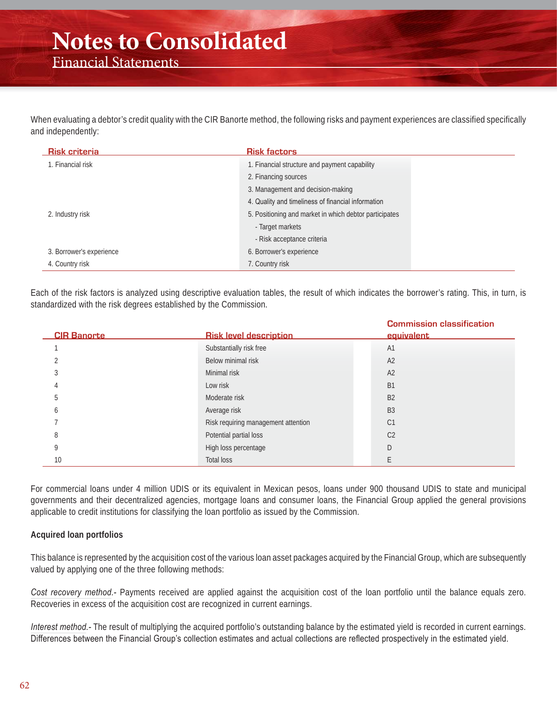When evaluating a debtor's credit quality with the CIR Banorte method, the following risks and payment experiences are classified specifically and independently:

| <b>Risk criteria</b>     | <b>Risk factors</b>                                    |
|--------------------------|--------------------------------------------------------|
| 1. Financial risk        | 1. Financial structure and payment capability          |
|                          | 2. Financing sources                                   |
|                          | 3. Management and decision-making                      |
|                          | 4. Quality and timeliness of financial information     |
| 2. Industry risk         | 5. Positioning and market in which debtor participates |
|                          | - Target markets                                       |
|                          | - Risk acceptance criteria                             |
| 3. Borrower's experience | 6. Borrower's experience                               |
| 4. Country risk          | 7. Country risk                                        |

Each of the risk factors is analyzed using descriptive evaluation tables, the result of which indicates the borrower's rating. This, in turn, is standardized with the risk degrees established by the Commission.

| <b>CIR Banorte</b> | <b>Risk level description</b>       | <b>Commission classification</b><br>equivalent |
|--------------------|-------------------------------------|------------------------------------------------|
|                    | Substantially risk free             | A <sub>1</sub>                                 |
|                    | Below minimal risk                  | A <sub>2</sub>                                 |
|                    | Minimal risk                        | A <sub>2</sub>                                 |
|                    | Low risk                            | <b>B1</b>                                      |
| ה.                 | Moderate risk                       | <b>B2</b>                                      |
| <sub>0</sub>       | Average risk                        | <b>B3</b>                                      |
|                    | Risk requiring management attention | C <sub>1</sub>                                 |
| 8                  | Potential partial loss              | C <sub>2</sub>                                 |
| O                  | High loss percentage                | D                                              |
| 10                 | Total loss                          |                                                |

For commercial loans under 4 million UDIS or its equivalent in Mexican pesos, loans under 900 thousand UDIS to state and municipal governments and their decentralized agencies, mortgage loans and consumer loans, the Financial Group applied the general provisions applicable to credit institutions for classifying the loan portfolio as issued by the Commission.

#### **Acquired loan portfolios**

This balance is represented by the acquisition cost of the various loan asset packages acquired by the Financial Group, which are subsequently valued by applying one of the three following methods:

*Cost recovery method.-* Payments received are applied against the acquisition cost of the loan portfolio until the balance equals zero. Recoveries in excess of the acquisition cost are recognized in current earnings.

*Interest method.-* The result of multiplying the acquired portfolio's outstanding balance by the estimated yield is recorded in current earnings. Differences between the Financial Group's collection estimates and actual collections are reflected prospectively in the estimated yield.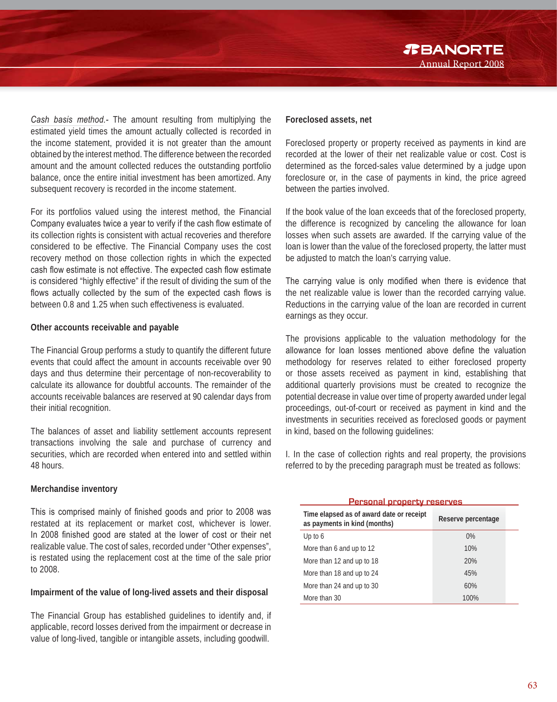*Cash basis method.-* The amount resulting from multiplying the estimated yield times the amount actually collected is recorded in the income statement, provided it is not greater than the amount obtained by the interest method. The difference between the recorded amount and the amount collected reduces the outstanding portfolio balance, once the entire initial investment has been amortized. Any subsequent recovery is recorded in the income statement.

For its portfolios valued using the interest method, the Financial Company evaluates twice a year to verify if the cash flow estimate of its collection rights is consistent with actual recoveries and therefore considered to be effective. The Financial Company uses the cost recovery method on those collection rights in which the expected cash flow estimate is not effective. The expected cash flow estimate is considered "highly effective" if the result of dividing the sum of the flows actually collected by the sum of the expected cash flows is between 0.8 and 1.25 when such effectiveness is evaluated.

#### **Other accounts receivable and payable**

The Financial Group performs a study to quantify the different future events that could affect the amount in accounts receivable over 90 days and thus determine their percentage of non-recoverability to calculate its allowance for doubtful accounts. The remainder of the accounts receivable balances are reserved at 90 calendar days from their initial recognition.

The balances of asset and liability settlement accounts represent transactions involving the sale and purchase of currency and securities, which are recorded when entered into and settled within 48 hours.

#### **Merchandise inventory**

This is comprised mainly of finished goods and prior to 2008 was restated at its replacement or market cost, whichever is lower. In 2008 finished good are stated at the lower of cost or their net realizable value. The cost of sales, recorded under "Other expenses", is restated using the replacement cost at the time of the sale prior to 2008.

#### **Impairment of the value of long-lived assets and their disposal**

The Financial Group has established guidelines to identify and, if applicable, record losses derived from the impairment or decrease in value of long-lived, tangible or intangible assets, including goodwill.

Foreclosed property or property received as payments in kind are recorded at the lower of their net realizable value or cost. Cost is determined as the forced-sales value determined by a judge upon foreclosure or, in the case of payments in kind, the price agreed between the parties involved.

Annual Report 2008

*R***BANORTE** 

If the book value of the loan exceeds that of the foreclosed property, the difference is recognized by canceling the allowance for loan losses when such assets are awarded. If the carrying value of the loan is lower than the value of the foreclosed property, the latter must be adjusted to match the loan's carrying value.

The carrying value is only modified when there is evidence that the net realizable value is lower than the recorded carrying value. Reductions in the carrying value of the loan are recorded in current earnings as they occur.

The provisions applicable to the valuation methodology for the allowance for loan losses mentioned above define the valuation methodology for reserves related to either foreclosed property or those assets received as payment in kind, establishing that additional quarterly provisions must be created to recognize the potential decrease in value over time of property awarded under legal proceedings, out-of-court or received as payment in kind and the investments in securities received as foreclosed goods or payment in kind, based on the following guidelines:

I. In the case of collection rights and real property, the provisions referred to by the preceding paragraph must be treated as follows:

**Personal property reserves Time elapsed as of award date or receipt as payments in kind (months) Reserve percentage** Up to  $6$  0% More than 6 and up to 12 10% More than 12 and up to 18 20% More than 18 and up to 24 45% More than 24 and up to 30 60% More than 30 100%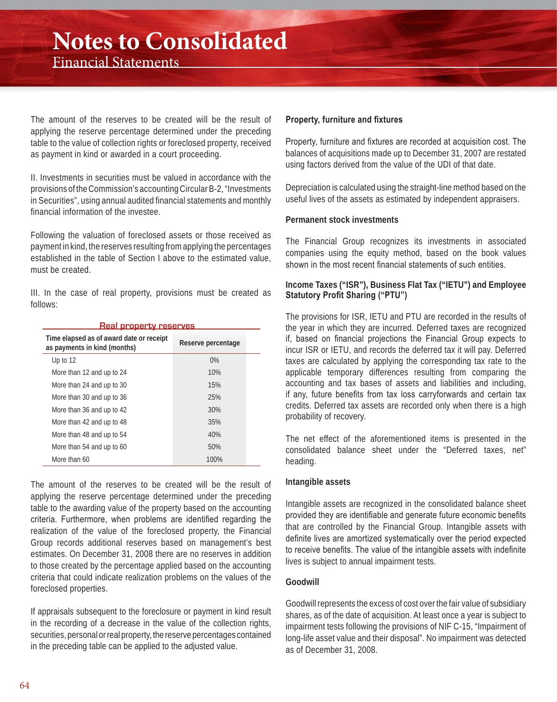The amount of the reserves to be created will be the result of applying the reserve percentage determined under the preceding table to the value of collection rights or foreclosed property, received as payment in kind or awarded in a court proceeding.

II. Investments in securities must be valued in accordance with the provisions of the Commission's accounting Circular B-2, "Investments in Securities", using annual audited financial statements and monthly financial information of the investee.

Following the valuation of foreclosed assets or those received as payment in kind, the reserves resulting from applying the percentages established in the table of Section I above to the estimated value, must be created.

III. In the case of real property, provisions must be created as follows:

| <u>Real property reserves</u>                                            |                    |  |  |  |
|--------------------------------------------------------------------------|--------------------|--|--|--|
| Time elapsed as of award date or receipt<br>as payments in kind (months) | Reserve percentage |  |  |  |
| Up to $12$                                                               | $0\%$              |  |  |  |
| More than 12 and up to 24                                                | 10%                |  |  |  |
| More than 24 and up to 30                                                | 15%                |  |  |  |
| More than 30 and up to 36                                                | 25%                |  |  |  |
| More than 36 and up to 42                                                | 30%                |  |  |  |
| More than 42 and up to 48                                                | 35%                |  |  |  |
| More than 48 and up to 54                                                | 40%                |  |  |  |
| More than 54 and up to 60                                                | 50%                |  |  |  |
| More than 60                                                             | 100%               |  |  |  |

The amount of the reserves to be created will be the result of applying the reserve percentage determined under the preceding table to the awarding value of the property based on the accounting criteria. Furthermore, when problems are identified regarding the realization of the value of the foreclosed property, the Financial Group records additional reserves based on management's best estimates. On December 31, 2008 there are no reserves in addition to those created by the percentage applied based on the accounting criteria that could indicate realization problems on the values of the foreclosed properties.

If appraisals subsequent to the foreclosure or payment in kind result in the recording of a decrease in the value of the collection rights, securities, personal or real property, the reserve percentages contained in the preceding table can be applied to the adjusted value.

#### **Property, furniture and fixtures**

Property, furniture and fixtures are recorded at acquisition cost. The balances of acquisitions made up to December 31, 2007 are restated using factors derived from the value of the UDI of that date.

Depreciation is calculated using the straight-line method based on the useful lives of the assets as estimated by independent appraisers.

#### **Permanent stock investments**

The Financial Group recognizes its investments in associated companies using the equity method, based on the book values  $\frac{1}{2}$  shown in the most recent financial statements of such entities

#### **Income Taxes ("ISR"), Business Flat Tax ("IETU") and Employee Statutory Profit Sharing ("PTU")**

The provisions for ISR, IETU and PTU are recorded in the results of the year in which they are incurred. Deferred taxes are recognized if, based on financial projections the Financial Group expects to incur ISR or IETU, and records the deferred tax it will pay. Deferred taxes are calculated by applying the corresponding tax rate to the applicable temporary differences resulting from comparing the accounting and tax bases of assets and liabilities and including, if any, future benefits from tax loss carryforwards and certain tax credits. Deferred tax assets are recorded only when there is a high probability of recovery.

The net effect of the aforementioned items is presented in the consolidated balance sheet under the "Deferred taxes, net" heading.

#### **Intangible assets**

Intangible assets are recognized in the consolidated balance sheet provided they are identifiable and generate future economic benefits that are controlled by the Financial Group. Intangible assets with definite lives are amortized systematically over the period expected to receive benefits. The value of the intangible assets with indefinite lives is subject to annual impairment tests.

#### **Goodwill**

Goodwill represents the excess of cost over the fair value of subsidiary shares, as of the date of acquisition. At least once a year is subject to impairment tests following the provisions of NIF C-15, "Impairment of long-life asset value and their disposal". No impairment was detected as of December 31, 2008.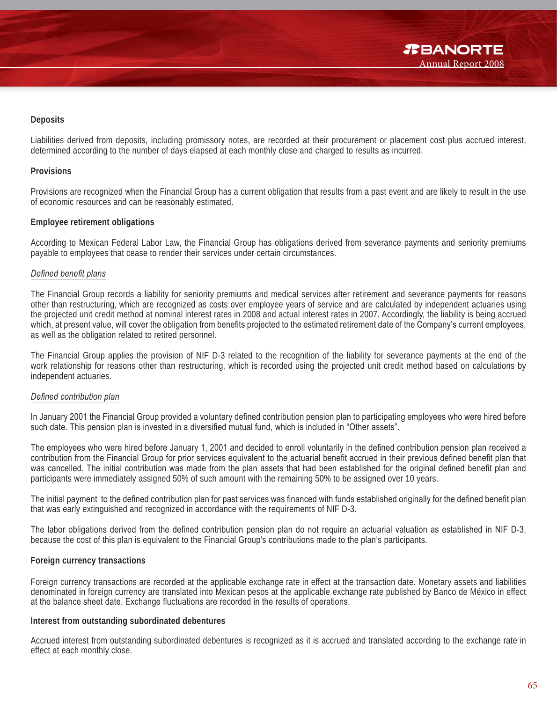#### **Deposits**

Liabilities derived from deposits, including promissory notes, are recorded at their procurement or placement cost plus accrued interest, determined according to the number of days elapsed at each monthly close and charged to results as incurred.

#### **Provisions**

Provisions are recognized when the Financial Group has a current obligation that results from a past event and are likely to result in the use of economic resources and can be reasonably estimated.

#### **Employee retirement obligations**

According to Mexican Federal Labor Law, the Financial Group has obligations derived from severance payments and seniority premiums payable to employees that cease to render their services under certain circumstances.

#### $Delta$ *berined benefit plans*

The Financial Group records a liability for seniority premiums and medical services after retirement and severance payments for reasons other than restructuring, which are recognized as costs over employee years of service and are calculated by independent actuaries using the projected unit credit method at nominal interest rates in 2008 and actual interest rates in 2007. Accordingly, the liability is being accrued which, at present value, will cover the obligation from benefits projected to the estimated retirement date of the Company's current employees, as well as the obligation related to retired personnel.

The Financial Group applies the provision of NIF D-3 related to the recognition of the liability for severance payments at the end of the work relationship for reasons other than restructuring, which is recorded using the projected unit credit method based on calculations by independent actuaries.

#### *Defined contribution plan*

In January 2001 the Financial Group provided a voluntary defined contribution pension plan to participating employees who were hired before such date. This pension plan is invested in a diversified mutual fund, which is included in "Other assets".

The employees who were hired before January 1, 2001 and decided to enroll voluntarily in the defined contribution pension plan received a contribution from the Financial Group for prior services equivalent to the actuarial benefit accrued in their previous defined benefit plan that was cancelled. The initial contribution was made from the plan assets that had been established for the original defined benefit plan and participants were immediately assigned 50% of such amount with the remaining 50% to be assigned over 10 years.

The initial payment to the defined contribution plan for past services was financed with funds established originally for the defined benefit plan that was early extinguished and recognized in accordance with the requirements of NIF D-3.

The labor obligations derived from the defined contribution pension plan do not require an actuarial valuation as established in NIF D-3, because the cost of this plan is equivalent to the Financial Group's contributions made to the plan's participants.

#### **Foreign currency transactions**

Foreign currency transactions are recorded at the applicable exchange rate in effect at the transaction date. Monetary assets and liabilities denominated in foreign currency are translated into Mexican pesos at the applicable exchange rate published by Banco de México in effect at the balance sheet date. Exchange fluctuations are recorded in the results of operations.

#### **Interest from outstanding subordinated debentures**

Accrued interest from outstanding subordinated debentures is recognized as it is accrued and translated according to the exchange rate in effect at each monthly close.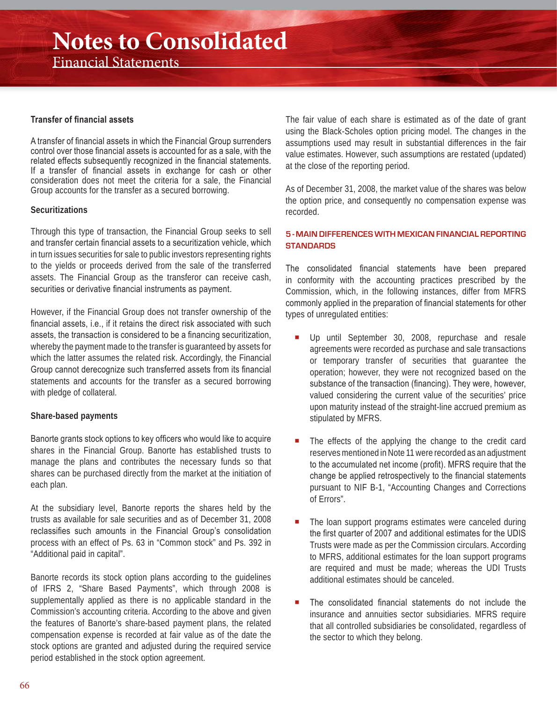## **Notes to Consolidated**

Financial Statements

#### **Transfer of financial assets**

A transfer of financial assets in which the Financial Group surrenders control over those financial assets is accounted for as a sale, with the related effects subsequently recognized in the financial statements. If a transfer of financial assets in exchange for cash or other consideration does not meet the criteria for a sale, the Financial Group accounts for the transfer as a secured borrowing.

#### **Securitizations**

Through this type of transaction, the Financial Group seeks to sell and transfer certain financial assets to a securitization vehicle, which in turn issues securities for sale to public investors representing rights to the yields or proceeds derived from the sale of the transferred assets. The Financial Group as the transferor can receive cash, securities or derivative financial instruments as payment.

However, if the Financial Group does not transfer ownership of the financial assets, i.e., if it retains the direct risk associated with such assets, the transaction is considered to be a financing securitization, whereby the payment made to the transfer is guaranteed by assets for which the latter assumes the related risk. Accordingly, the Financial Group cannot derecognize such transferred assets from its financial statements and accounts for the transfer as a secured borrowing with pledge of collateral.

#### **Share-based payments**

Banorte grants stock options to key officers who would like to acquire shares in the Financial Group. Banorte has established trusts to manage the plans and contributes the necessary funds so that shares can be purchased directly from the market at the initiation of each plan.

At the subsidiary level, Banorte reports the shares held by the trusts as available for sale securities and as of December 31, 2008 reclassifies such amounts in the Financial Group's consolidation process with an effect of Ps. 63 in "Common stock" and Ps. 392 in "Additional paid in capital".

Banorte records its stock option plans according to the guidelines of IFRS 2, "Share Based Payments", which through 2008 is supplementally applied as there is no applicable standard in the Commission's accounting criteria. According to the above and given the features of Banorte's share-based payment plans, the related compensation expense is recorded at fair value as of the date the stock options are granted and adjusted during the required service period established in the stock option agreement.

The fair value of each share is estimated as of the date of grant using the Black-Scholes option pricing model. The changes in the assumptions used may result in substantial differences in the fair value estimates. However, such assumptions are restated (updated) at the close of the reporting period.

As of December 31, 2008, the market value of the shares was below the option price, and consequently no compensation expense was recorded.

#### **5 - MAIN DIFFERENCES WITH MEXICAN FINANCIAL REPORTING STANDARDS**

The consolidated financial statements have been prepared in conformity with the accounting practices prescribed by the Commission, which, in the following instances, differ from MFRS commonly applied in the preparation of financial statements for other types of unregulated entities:

- Up until September 30, 2008, repurchase and resale agreements were recorded as purchase and sale transactions or temporary transfer of securities that guarantee the operation; however, they were not recognized based on the substance of the transaction (financing). They were, however, valued considering the current value of the securities' price upon maturity instead of the straight-line accrued premium as stipulated by MFRS.
- The effects of the applying the change to the credit card reserves mentioned in Note 11 were recorded as an adjustment to the accumulated net income (profit). MFRS require that the change be applied retrospectively to the financial statements pursuant to NIF B-1, "Accounting Changes and Corrections of Errors".
- The loan support programs estimates were canceled during the first quarter of 2007 and additional estimates for the UDIS Trusts were made as per the Commission circulars. According to MFRS, additional estimates for the loan support programs are required and must be made; whereas the UDI Trusts additional estimates should be canceled.
- The consolidated financial statements do not include the insurance and annuities sector subsidiaries. MFRS require that all controlled subsidiaries be consolidated, regardless of the sector to which they belong.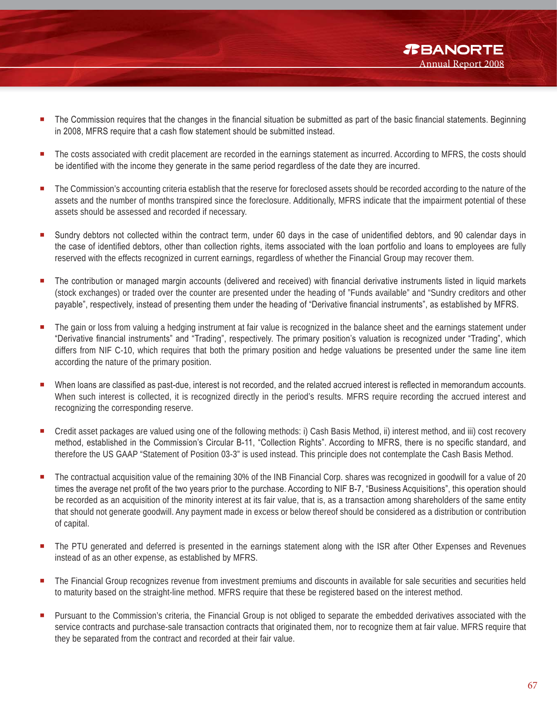- *TBANORTE* Annual Report 2008
- The Commission requires that the changes in the financial situation be submitted as part of the basic financial statements. Beginning in 2008, MFRS require that a cash flow statement should be submitted instead.
- The costs associated with credit placement are recorded in the earnings statement as incurred. According to MFRS, the costs should be identified with the income they generate in the same period regardless of the date they are incurred.
- The Commission's accounting criteria establish that the reserve for foreclosed assets should be recorded according to the nature of the assets and the number of months transpired since the foreclosure. Additionally, MFRS indicate that the impairment potential of these assets should be assessed and recorded if necessary.
- Sundry debtors not collected within the contract term, under 60 days in the case of unidentified debtors, and 90 calendar days in the case of identified debtors, other than collection rights, items associated with the loan portfolio and loans to employees are fully reserved with the effects recognized in current earnings, regardless of whether the Financial Group may recover them.
- The contribution or managed margin accounts (delivered and received) with financial derivative instruments listed in liquid markets (stock exchanges) or traded over the counter are presented under the heading of "Funds available" and "Sundry creditors and other payable", respectively, instead of presenting them under the heading of "Derivative financial instruments", as established by MFRS.
- The gain or loss from valuing a hedging instrument at fair value is recognized in the balance sheet and the earnings statement under "Derivative financial instruments" and "Trading", respectively. The primary position's valuation is recognized under "Trading", which differs from NIF C-10, which requires that both the primary position and hedge valuations be presented under the same line item according the nature of the primary position.
- When loans are classified as past-due, interest is not recorded, and the related accrued interest is reflected in memorandum accounts. When such interest is collected, it is recognized directly in the period's results. MFRS require recording the accrued interest and recognizing the corresponding reserve.
- Credit asset packages are valued using one of the following methods: i) Cash Basis Method, ii) interest method, and iii) cost recovery method, established in the Commission's Circular B-11, "Collection Rights". According to MFRS, there is no specific standard, and therefore the US GAAP "Statement of Position 03-3" is used instead. This principle does not contemplate the Cash Basis Method.
- The contractual acquisition value of the remaining 30% of the INB Financial Corp. shares was recognized in goodwill for a value of 20 times the average net profit of the two years prior to the purchase. According to NIF B-7, "Business Acquisitions", this operation should be recorded as an acquisition of the minority interest at its fair value, that is, as a transaction among shareholders of the same entity that should not generate goodwill. Any payment made in excess or below thereof should be considered as a distribution or contribution of capital.
- **The PTU generated and deferred is presented in the earnings statement along with the ISR after Other Expenses and Revenues** instead of as an other expense, as established by MFRS.
- **The Financial Group recognizes revenue from investment premiums and discounts in available for sale securities and securities held** to maturity based on the straight-line method. MFRS require that these be registered based on the interest method.
- Pursuant to the Commission's criteria, the Financial Group is not obliged to separate the embedded derivatives associated with the service contracts and purchase-sale transaction contracts that originated them, nor to recognize them at fair value. MFRS require that they be separated from the contract and recorded at their fair value.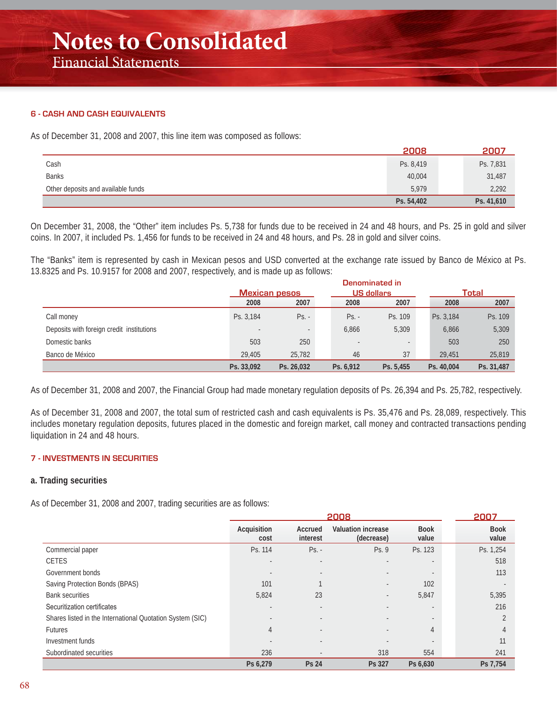#### **6 - CASH AND CASH EQUIVALENTS**

As of December 31, 2008 and 2007, this line item was composed as follows:

|                                    | 2008       | 2007       |
|------------------------------------|------------|------------|
| Cash                               | Ps. 8,419  | Ps. 7,831  |
| <b>Banks</b>                       | 40,004     | 31,487     |
| Other deposits and available funds | 5,979      | 2,292      |
|                                    | Ps. 54,402 | Ps. 41,610 |

On December 31, 2008, the "Other" item includes Ps. 5,738 for funds due to be received in 24 and 48 hours, and Ps. 25 in gold and silver coins. In 2007, it included Ps. 1,456 for funds to be received in 24 and 48 hours, and Ps. 28 in gold and silver coins.

The "Banks" item is represented by cash in Mexican pesos and USD converted at the exchange rate issued by Banco de México at Ps. 13.8325 and Ps. 10.9157 for 2008 and 2007, respectively, and is made up as follows:

|                                           | Denominated in           |                      |           |                   |            |            |  |
|-------------------------------------------|--------------------------|----------------------|-----------|-------------------|------------|------------|--|
|                                           |                          | <b>Mexican pesos</b> |           | <b>US dollars</b> |            | Total      |  |
|                                           | 2008                     | 2007                 | 2008      | 2007              | 2008       | 2007       |  |
| Call money                                | Ps. 3.184                | $Ps. -$              | $Ps. -$   | Ps. 109           | Ps. 3.184  | Ps. 109    |  |
| Deposits with foreign credit institutions | $\overline{\phantom{a}}$ | $\sim$               | 6,866     | 5,309             | 6,866      | 5,309      |  |
| Domestic banks                            | 503                      | 250                  |           |                   | 503        | 250        |  |
| Banco de México                           | 29,405                   | 25,782               | 46        | 37                | 29,451     | 25,819     |  |
|                                           | Ps. 33,092               | Ps. 26,032           | Ps. 6,912 | Ps. 5,455         | Ps. 40,004 | Ps. 31,487 |  |

As of December 31, 2008 and 2007, the Financial Group had made monetary regulation deposits of Ps. 26,394 and Ps. 25,782, respectively.

As of December 31, 2008 and 2007, the total sum of restricted cash and cash equivalents is Ps. 35,476 and Ps. 28,089, respectively. This includes monetary regulation deposits, futures placed in the domestic and foreign market, call money and contracted transactions pending liquidation in 24 and 48 hours.

#### **7 - INVESTMENTS IN SECURITIES**

#### **a. Trading securities**

As of December 31, 2008 and 2007, trading securities are as follows:

|                                                           |                          | 2008                     |                                         |                          |                      |  |  |
|-----------------------------------------------------------|--------------------------|--------------------------|-----------------------------------------|--------------------------|----------------------|--|--|
|                                                           | Acquisition<br>cost      | Accrued<br>interest      | <b>Valuation increase</b><br>(decrease) | <b>Book</b><br>value     | <b>Book</b><br>value |  |  |
| Commercial paper                                          | Ps. 114                  | $Ps. -$                  | Ps. 9                                   | Ps. 123                  | Ps. 1,254            |  |  |
| <b>CETES</b>                                              | $\overline{a}$           | $\overline{\phantom{a}}$ |                                         |                          | 518                  |  |  |
| Government bonds                                          | $\overline{\phantom{a}}$ | $\overline{\phantom{a}}$ |                                         | $\overline{\phantom{a}}$ | 113                  |  |  |
| Saving Protection Bonds (BPAS)                            | 101                      |                          |                                         | 102                      |                      |  |  |
| <b>Bank securities</b>                                    | 5,824                    | 23                       |                                         | 5,847                    | 5,395                |  |  |
| Securitization certificates                               | $\overline{a}$           |                          |                                         |                          | 216                  |  |  |
| Shares listed in the International Quotation System (SIC) | $\overline{a}$           | $\overline{a}$           |                                         | $\sim$                   |                      |  |  |
| <b>Futures</b>                                            | 4                        | $\overline{a}$           |                                         | 4                        |                      |  |  |
| Investment funds                                          |                          |                          |                                         | $\overline{\phantom{a}}$ | 11                   |  |  |
| Subordinated securities                                   | 236                      | $\overline{\phantom{a}}$ | 318                                     | 554                      | 241                  |  |  |
|                                                           | Ps 6,279                 | <b>Ps 24</b>             | Ps 327                                  | Ps 6,630                 | Ps 7,754             |  |  |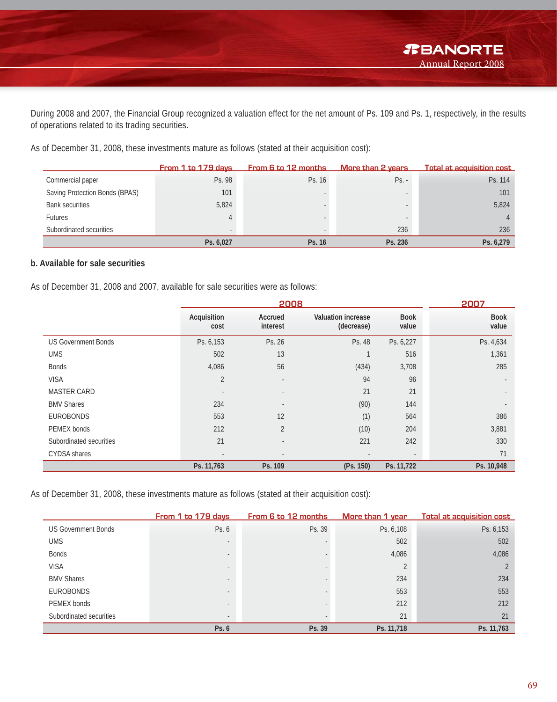During 2008 and 2007, the Financial Group recognized a valuation effect for the net amount of Ps. 109 and Ps. 1, respectively, in the results of operations related to its trading securities.

As of December 31, 2008, these investments mature as follows (stated at their acquisition cost):

|                                | From 1 to 179 days | <b>From 6 to 12 months</b> | More than 2 years | <b>Total at acquisition cost</b> |
|--------------------------------|--------------------|----------------------------|-------------------|----------------------------------|
| Commercial paper               | Ps. 98             | Ps. 16                     | $Ps. -$           | Ps. 114                          |
| Saving Protection Bonds (BPAS) | 101                |                            |                   | 101                              |
| <b>Bank securities</b>         | 5,824              |                            |                   | 5,824                            |
| <b>Futures</b>                 |                    |                            |                   |                                  |
| Subordinated securities        |                    |                            | 236               | 236                              |
|                                | Ps. 6,027          | Ps. 16                     | Ps. 236           | Ps. 6,279                        |

#### **b. Available for sale securities**

As of December 31, 2008 and 2007, available for sale securities were as follows:

|                            |                          | 2007                     |                                         |                          |                          |
|----------------------------|--------------------------|--------------------------|-----------------------------------------|--------------------------|--------------------------|
|                            | Acquisition<br>cost      | Accrued<br>interest      | <b>Valuation increase</b><br>(decrease) | <b>Book</b><br>value     | <b>Book</b><br>value     |
| <b>US Government Bonds</b> | Ps. 6,153                | Ps. 26                   | Ps. 48                                  | Ps. 6,227                | Ps. 4,634                |
| <b>UMS</b>                 | 502                      | 13                       |                                         | 516                      | 1,361                    |
| <b>Bonds</b>               | 4,086                    | 56                       | (434)                                   | 3,708                    | 285                      |
| <b>VISA</b>                | $\overline{2}$           | $\overline{\phantom{a}}$ | 94                                      | 96                       | $\overline{\phantom{a}}$ |
| <b>MASTER CARD</b>         |                          | $\overline{\phantom{a}}$ | 21                                      | 21                       |                          |
| <b>BMV Shares</b>          | 234                      | $\overline{\phantom{a}}$ | (90)                                    | 144                      |                          |
| <b>EUROBONDS</b>           | 553                      | 12                       | (1)                                     | 564                      | 386                      |
| PEMEX bonds                | 212                      | $\overline{2}$           | (10)                                    | 204                      | 3,881                    |
| Subordinated securities    | 21                       | $\overline{\phantom{a}}$ | 221                                     | 242                      | 330                      |
| <b>CYDSA</b> shares        | $\overline{\phantom{a}}$ | $\overline{\phantom{a}}$ |                                         | $\overline{\phantom{a}}$ | 71                       |
|                            | Ps. 11,763               | Ps. 109                  | (Ps. 150)                               | Ps. 11,722               | Ps. 10,948               |

As of December 31, 2008, these investments mature as follows (stated at their acquisition cost):

|                            | From 1 to 179 days       | From 6 to 12 months | More than 1 year | <b>Total at acquisition cost</b> |
|----------------------------|--------------------------|---------------------|------------------|----------------------------------|
| <b>US Government Bonds</b> | Ps. 6                    | Ps. 39              | Ps. 6,108        | Ps. 6,153                        |
| <b>UMS</b>                 |                          |                     | 502              | 502                              |
| <b>Bonds</b>               |                          |                     | 4,086            | 4,086                            |
| <b>VISA</b>                | $\overline{\phantom{a}}$ |                     |                  |                                  |
| <b>BMV Shares</b>          |                          |                     | 234              | 234                              |
| <b>EUROBONDS</b>           | $\overline{\phantom{a}}$ |                     | 553              | 553                              |
| PEMEX bonds                | $\overline{\phantom{a}}$ |                     | 212              | 212                              |
| Subordinated securities    | $\overline{\phantom{a}}$ |                     | 21               | 21                               |
|                            | Ps. 6                    | Ps. 39              | Ps. 11,718       | Ps. 11,763                       |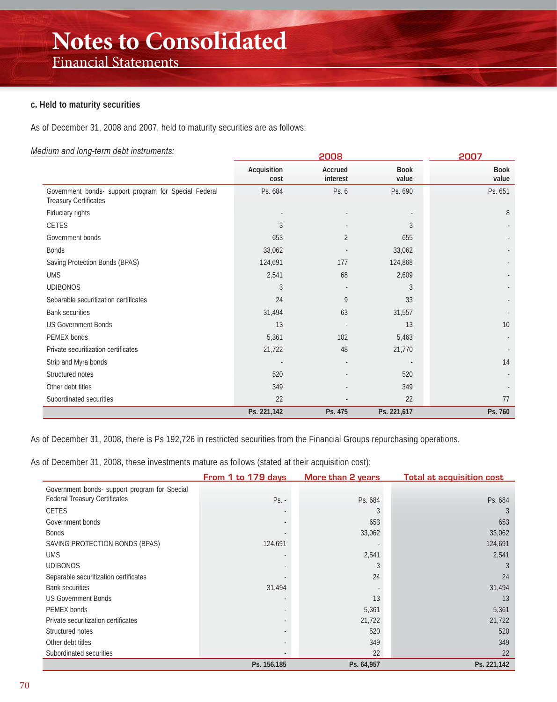#### **c. Held to maturity securities**

As of December 31, 2008 and 2007, held to maturity securities are as follows:

#### *Medium and long-term debt instruments:*

| $\frac{1}{2}$ and $\frac{1}{2}$ and $\frac{1}{2}$ and $\frac{1}{2}$ and $\frac{1}{2}$ and $\frac{1}{2}$ and $\frac{1}{2}$ |                     | <u> 2007</u>        |                      |                      |
|---------------------------------------------------------------------------------------------------------------------------|---------------------|---------------------|----------------------|----------------------|
|                                                                                                                           | Acquisition<br>cost | Accrued<br>interest | <b>Book</b><br>value | <b>Book</b><br>value |
| Government bonds- support program for Special Federal<br><b>Treasury Certificates</b>                                     | Ps. 684             | Ps. 6               | Ps. 690              | Ps. 651              |
| Fiduciary rights                                                                                                          |                     |                     |                      | 8                    |
| CETES                                                                                                                     | 3                   |                     | 3                    |                      |
| Government bonds                                                                                                          | 653                 | $\overline{2}$      | 655                  |                      |
| <b>Bonds</b>                                                                                                              | 33,062              |                     | 33,062               |                      |
| Saving Protection Bonds (BPAS)                                                                                            | 124,691             | 177                 | 124,868              |                      |
| <b>UMS</b>                                                                                                                | 2,541               | 68                  | 2,609                |                      |
| <b>UDIBONOS</b>                                                                                                           | 3                   |                     | 3                    |                      |
| Separable securitization certificates                                                                                     | 24                  | 9                   | 33                   |                      |
| <b>Bank securities</b>                                                                                                    | 31,494              | 63                  | 31,557               |                      |
| <b>US Government Bonds</b>                                                                                                | 13                  |                     | 13                   | 10                   |
| PEMEX bonds                                                                                                               | 5,361               | 102                 | 5,463                |                      |
| Private securitization certificates                                                                                       | 21,722              | 48                  | 21,770               |                      |
| Strip and Myra bonds                                                                                                      |                     |                     |                      | 14                   |
| Structured notes                                                                                                          | 520                 |                     | 520                  |                      |
| Other debt titles                                                                                                         | 349                 |                     | 349                  |                      |
| Subordinated securities                                                                                                   | 22                  |                     | 22                   | 77                   |
|                                                                                                                           | Ps. 221,142         | Ps. 475             | Ps. 221,617          | Ps. 760              |

As of December 31, 2008, there is Ps 192,726 in restricted securities from the Financial Groups repurchasing operations.

As of December 31, 2008, these investments mature as follows (stated at their acquisition cost):

|                                               | From 1 to 179 days | More than 2 years | <b>Total at acquisition cost</b> |
|-----------------------------------------------|--------------------|-------------------|----------------------------------|
| Government bonds- support program for Special |                    |                   |                                  |
| <b>Federal Treasury Certificates</b>          | $Ps. -$            | Ps. 684           | Ps. 684                          |
| <b>CETES</b>                                  |                    |                   | 3                                |
| Government bonds                              |                    | 653               | 653                              |
| <b>Bonds</b>                                  |                    | 33,062            | 33,062                           |
| SAVING PROTECTION BONDS (BPAS)                | 124,691            |                   | 124,691                          |
| <b>UMS</b>                                    |                    | 2,541             | 2,541                            |
| <b>UDIBONOS</b>                               |                    |                   |                                  |
| Separable securitization certificates         |                    | 24                | 24                               |
| <b>Bank securities</b>                        | 31,494             |                   | 31,494                           |
| <b>US Government Bonds</b>                    |                    | 13                | 13                               |
| PEMEX bonds                                   |                    | 5,361             | 5,361                            |
| Private securitization certificates           |                    | 21,722            | 21,722                           |
| Structured notes                              |                    | 520               | 520                              |
| Other debt titles                             |                    | 349               | 349                              |
| Subordinated securities                       |                    | 22                | 22                               |
|                                               | Ps. 156,185        | Ps. 64,957        | Ps. 221,142                      |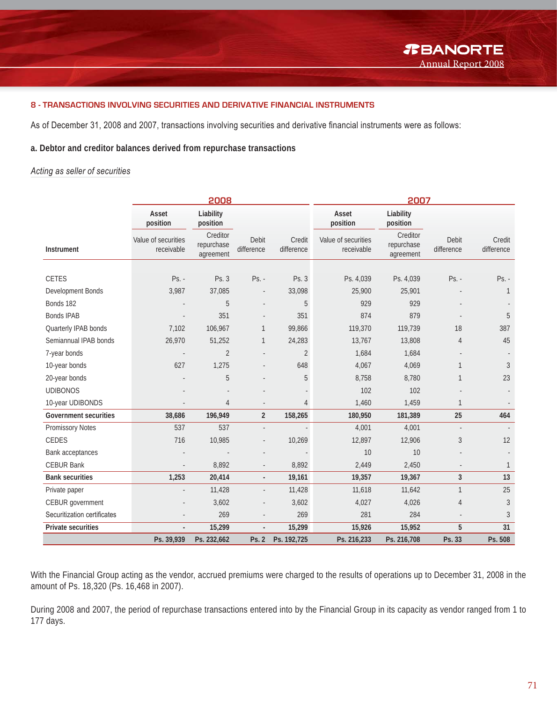#### **8 - TRANSACTIONS INVOLVING SECURITIES AND DERIVATIVE FINANCIAL INSTRUMENTS**

As of December 31, 2008 and 2007, transactions involving securities and derivative financial instruments were as follows:

#### **a. Debtor and creditor balances derived from repurchase transactions**

#### *Acting as seller of securities*

|                              |                                   | 2008                                |                          |                      | 2007                              |                                     |                          |                      |
|------------------------------|-----------------------------------|-------------------------------------|--------------------------|----------------------|-----------------------------------|-------------------------------------|--------------------------|----------------------|
|                              | Asset<br>position                 | Liability<br>position               |                          |                      | Asset<br>position                 | Liability<br>position               |                          |                      |
| Instrument                   | Value of securities<br>receivable | Creditor<br>repurchase<br>agreement | Debit<br>difference      | Credit<br>difference | Value of securities<br>receivable | Creditor<br>repurchase<br>agreement | Debit<br>difference      | Credit<br>difference |
|                              |                                   |                                     |                          |                      |                                   |                                     |                          |                      |
| <b>CETES</b>                 | $Ps. -$                           | Ps. 3                               | Ps. -                    | Ps. 3                | Ps. 4,039                         | Ps. 4,039                           | Ps. -                    | Ps. -                |
| Development Bonds            | 3,987                             | 37,085                              | $\overline{\phantom{a}}$ | 33,098               | 25,900                            | 25,901                              |                          | $\mathbf{1}$         |
| Bonds 182                    |                                   | 5                                   |                          | 5                    | 929                               | 929                                 |                          |                      |
| <b>Bonds IPAB</b>            |                                   | 351                                 |                          | 351                  | 874                               | 879                                 |                          | 5                    |
| Quarterly IPAB bonds         | 7,102                             | 106,967                             | $\mathbf{1}$             | 99,866               | 119,370                           | 119,739                             | 18                       | 387                  |
| Semiannual IPAB bonds        | 26,970                            | 51,252                              | $\mathbf{1}$             | 24,283               | 13,767                            | 13,808                              | $\overline{4}$           | 45                   |
| 7-year bonds                 |                                   | $\overline{2}$                      |                          | $\overline{2}$       | 1,684                             | 1,684                               |                          |                      |
| 10-year bonds                | 627                               | 1,275                               |                          | 648                  | 4,067                             | 4,069                               | $\mathbf{1}$             | $\overline{3}$       |
| 20-year bonds                |                                   | 5                                   |                          | 5                    | 8,758                             | 8,780                               | $\mathbf{1}$             | 23                   |
| <b>UDIBONOS</b>              |                                   |                                     |                          |                      | 102                               | 102                                 |                          |                      |
| 10-year UDIBONDS             |                                   | 4                                   | $\overline{\phantom{a}}$ | 4                    | 1,460                             | 1,459                               | $\mathbf{1}$             |                      |
| <b>Government securities</b> | 38,686                            | 196,949                             | $\overline{2}$           | 158,265              | 180,950                           | 181,389                             | 25                       | 464                  |
| <b>Promissory Notes</b>      | 537                               | 537                                 | $\overline{\phantom{a}}$ |                      | 4,001                             | 4,001                               | $\overline{\phantom{a}}$ |                      |
| <b>CEDES</b>                 | 716                               | 10,985                              | $\frac{1}{2}$            | 10,269               | 12,897                            | 12,906                              | $\sqrt{3}$               | 12                   |
| Bank acceptances             |                                   |                                     |                          |                      | 10                                | 10                                  |                          |                      |
| <b>CEBUR Bank</b>            | ÷,                                | 8,892                               | $\overline{\phantom{a}}$ | 8,892                | 2,449                             | 2,450                               |                          | $\mathbf{1}$         |
| <b>Bank securities</b>       | 1,253                             | 20,414                              | $\overline{\phantom{a}}$ | 19,161               | 19,357                            | 19,367                              | $\overline{3}$           | 13                   |
| Private paper                |                                   | 11,428                              |                          | 11,428               | 11,618                            | 11,642                              | $\mathbf{1}$             | 25                   |
| CEBUR government             |                                   | 3,602                               | $\overline{\phantom{a}}$ | 3,602                | 4,027                             | 4,026                               | $\overline{4}$           | $\mathfrak{Z}$       |
| Securitization certificates  |                                   | 269                                 |                          | 269                  | 281                               | 284                                 |                          | $\mathfrak{Z}$       |
| Private securities           | $\blacksquare$                    | 15,299                              | $\Box$                   | 15,299               | 15,926                            | 15,952                              | 5                        | 31                   |
|                              | Ps. 39,939                        | Ps. 232,662                         | Ps. 2                    | Ps. 192,725          | Ps. 216,233                       | Ps. 216,708                         | Ps. 33                   | Ps. 508              |

With the Financial Group acting as the vendor, accrued premiums were charged to the results of operations up to December 31, 2008 in the amount of Ps. 18,320 (Ps. 16,468 in 2007).

During 2008 and 2007, the period of repurchase transactions entered into by the Financial Group in its capacity as vendor ranged from 1 to 177 days.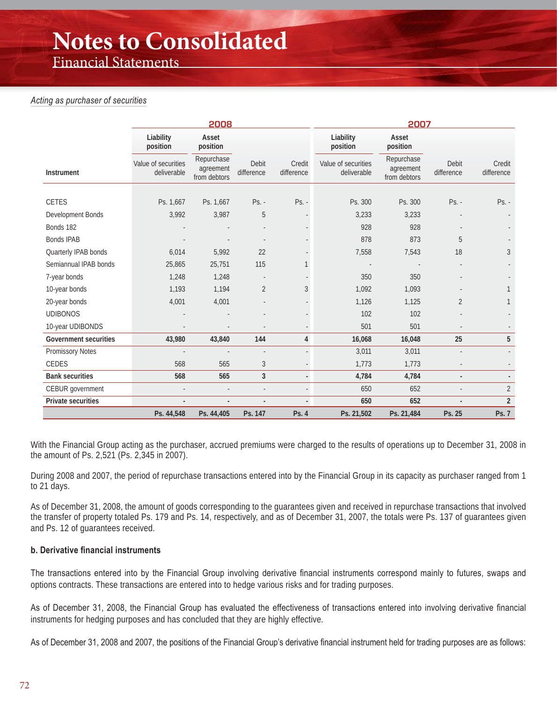### Financial Statements

#### *Acting as purchaser of securities*

|                              |                                    | 2008                                    |                     |                      | 2007                               |                                         |                     |                      |
|------------------------------|------------------------------------|-----------------------------------------|---------------------|----------------------|------------------------------------|-----------------------------------------|---------------------|----------------------|
|                              | Liability<br>position              | Asset<br>position                       |                     |                      | Liability<br>position              | Asset<br>position                       |                     |                      |
| Instrument                   | Value of securities<br>deliverable | Repurchase<br>agreement<br>from debtors | Debit<br>difference | Credit<br>difference | Value of securities<br>deliverable | Repurchase<br>agreement<br>from debtors | Debit<br>difference | Credit<br>difference |
|                              |                                    |                                         |                     |                      |                                    |                                         |                     |                      |
| <b>CETES</b>                 | Ps. 1,667                          | Ps. 1,667                               | $Ps. -$             | Ps. -                | Ps. 300                            | Ps. 300                                 | $Ps. -$             | $Ps. -$              |
| Development Bonds            | 3,992                              | 3,987                                   | 5                   |                      | 3,233                              | 3,233                                   |                     |                      |
| Bonds 182                    |                                    |                                         |                     |                      | 928                                | 928                                     |                     |                      |
| <b>Bonds IPAB</b>            |                                    |                                         |                     |                      | 878                                | 873                                     | 5                   |                      |
| Quarterly IPAB bonds         | 6,014                              | 5,992                                   | 22                  |                      | 7,558                              | 7,543                                   | 18                  | 3                    |
| Semiannual IPAB bonds        | 25,865                             | 25,751                                  | 115                 |                      |                                    |                                         |                     |                      |
| 7-year bonds                 | 1,248                              | 1,248                                   |                     |                      | 350                                | 350                                     |                     |                      |
| 10-year bonds                | 1,193                              | 1,194                                   | $\overline{2}$      | 3                    | 1,092                              | 1,093                                   |                     |                      |
| 20-year bonds                | 4,001                              | 4,001                                   |                     |                      | 1,126                              | 1,125                                   | 2                   |                      |
| <b>UDIBONOS</b>              |                                    |                                         |                     |                      | 102                                | 102                                     |                     |                      |
| 10-year UDIBONDS             |                                    |                                         |                     |                      | 501                                | 501                                     |                     |                      |
| <b>Government securities</b> | 43,980                             | 43,840                                  | 144                 | $\overline{4}$       | 16,068                             | 16,048                                  | 25                  | 5                    |
| Promissory Notes             |                                    |                                         | ÷,                  |                      | 3,011                              | 3,011                                   |                     |                      |
| CEDES                        | 568                                | 565                                     | $\sqrt{3}$          |                      | 1,773                              | 1,773                                   |                     |                      |
| <b>Bank securities</b>       | 568                                | 565                                     | $\overline{3}$      |                      | 4,784                              | 4,784                                   |                     |                      |
| CEBUR government             |                                    |                                         |                     |                      | 650                                | 652                                     |                     | $\overline{2}$       |
| Private securities           |                                    |                                         | $\overline{a}$      | $\blacksquare$       | 650                                | 652                                     |                     | $\overline{2}$       |
|                              | Ps. 44,548                         | Ps. 44,405                              | Ps. 147             | Ps. 4                | Ps. 21,502                         | Ps. 21,484                              | Ps. 25              | Ps. 7                |

With the Financial Group acting as the purchaser, accrued premiums were charged to the results of operations up to December 31, 2008 in the amount of Ps. 2,521 (Ps. 2,345 in 2007).

During 2008 and 2007, the period of repurchase transactions entered into by the Financial Group in its capacity as purchaser ranged from 1 to 21 days.

As of December 31, 2008, the amount of goods corresponding to the guarantees given and received in repurchase transactions that involved the transfer of property totaled Ps. 179 and Ps. 14, respectively, and as of December 31, 2007, the totals were Ps. 137 of guarantees given and Ps. 12 of guarantees received.

#### **b. Derivative financial instruments**

The transactions entered into by the Financial Group involving derivative financial instruments correspond mainly to futures, swaps and options contracts. These transactions are entered into to hedge various risks and for trading purposes.

As of December 31, 2008, the Financial Group has evaluated the effectiveness of transactions entered into involving derivative financial instruments for hedging purposes and has concluded that they are highly effective.

As of December 31, 2008 and 2007, the positions of the Financial Group's derivative financial instrument held for trading purposes are as follows: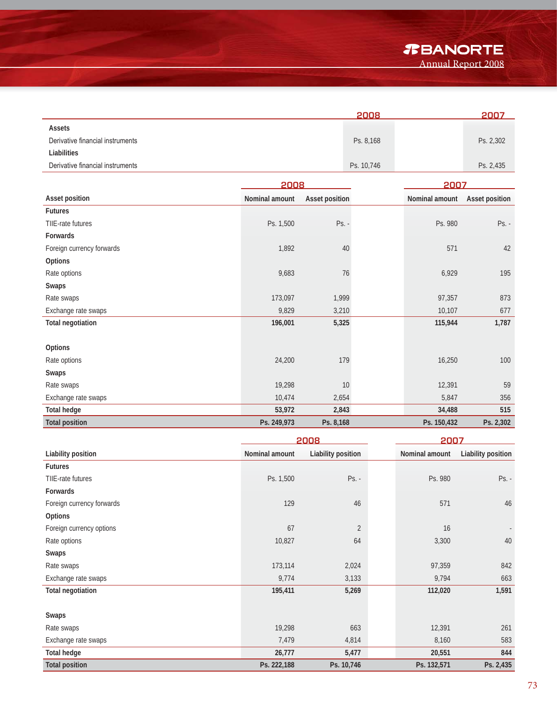*T***BANORTE** 

Annual Report 2008

|                                  | 2008       | 2007      |
|----------------------------------|------------|-----------|
| Assets                           |            |           |
| Derivative financial instruments | Ps. 8,168  | Ps. 2,302 |
| Liabilities                      |            |           |
| Derivative financial instruments | Ps. 10,746 | Ps. 2,435 |
|                                  |            |           |

|                           | 2008           |                | 2007           |                |
|---------------------------|----------------|----------------|----------------|----------------|
| Asset position            | Nominal amount | Asset position | Nominal amount | Asset position |
| <b>Futures</b>            |                |                |                |                |
| TIIE-rate futures         | Ps. 1,500      | $Ps. -$        | Ps. 980        | $Ps. -$        |
| Forwards                  |                |                |                |                |
| Foreign currency forwards | 1,892          | 40             | 571            | 42             |
| Options                   |                |                |                |                |
| Rate options              | 9,683          | 76             | 6,929          | 195            |
| Swaps                     |                |                |                |                |
| Rate swaps                | 173,097        | 1,999          | 97,357         | 873            |
| Exchange rate swaps       | 9,829          | 3,210          | 10,107         | 677            |
| <b>Total negotiation</b>  | 196,001        | 5,325          | 115,944        | 1,787          |
|                           |                |                |                |                |
| Options                   |                |                |                |                |
| Rate options              | 24,200         | 179            | 16,250         | 100            |
| Swaps                     |                |                |                |                |
| Rate swaps                | 19,298         | 10             | 12,391         | 59             |
| Exchange rate swaps       | 10,474         | 2,654          | 5,847          | 356            |
| <b>Total hedge</b>        | 53,972         | 2,843          | 34,488         | 515            |
| <b>Total position</b>     | Ps. 249,973    | Ps. 8,168      | Ps. 150,432    | Ps. 2,302      |

|                           |                | 2008               |                | 2007                     |  |  |
|---------------------------|----------------|--------------------|----------------|--------------------------|--|--|
| Liability position        | Nominal amount | Liability position | Nominal amount | Liability position       |  |  |
| <b>Futures</b>            |                |                    |                |                          |  |  |
| TIIE-rate futures         | Ps. 1,500      | $Ps. -$            | Ps. 980        | $Ps. -$                  |  |  |
| Forwards                  |                |                    |                |                          |  |  |
| Foreign currency forwards | 129            | 46                 | 571            | 46                       |  |  |
| Options                   |                |                    |                |                          |  |  |
| Foreign currency options  | 67             | $\sqrt{2}$         | 16             | $\overline{\phantom{a}}$ |  |  |
| Rate options              | 10,827         | 64                 | 3,300          | 40                       |  |  |
| Swaps                     |                |                    |                |                          |  |  |
| Rate swaps                | 173,114        | 2,024              | 97,359         | 842                      |  |  |
| Exchange rate swaps       | 9,774          | 3,133              | 9,794          | 663                      |  |  |
| <b>Total negotiation</b>  | 195,411        | 5,269              | 112,020        | 1,591                    |  |  |
| Swaps                     |                |                    |                |                          |  |  |
| Rate swaps                | 19,298         | 663                | 12,391         | 261                      |  |  |
| Exchange rate swaps       | 7,479          | 4,814              | 8,160          | 583                      |  |  |
| <b>Total hedge</b>        | 26,777         | 5,477              | 20,551         | 844                      |  |  |
| <b>Total position</b>     | Ps. 222,188    | Ps. 10,746         | Ps. 132,571    | Ps. 2,435                |  |  |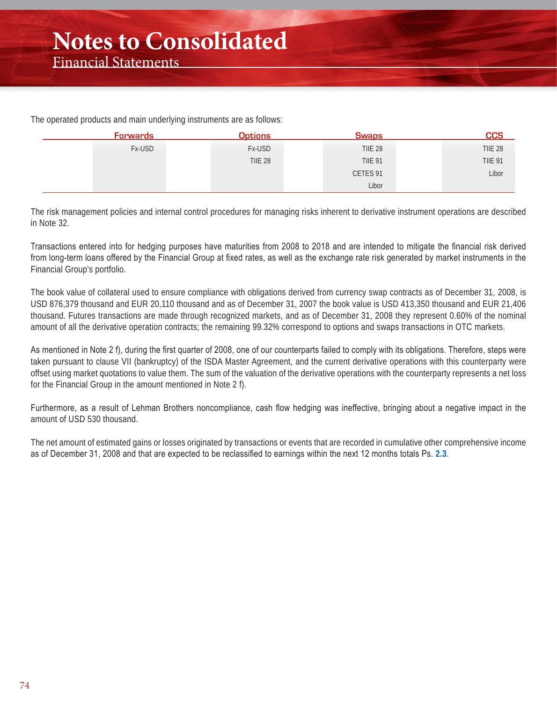The operated products and main underlying instruments are as follows:

| <u>Forwards</u> | <b>Options</b> | <b>Swaps</b>   | <b>CCS</b>     |
|-----------------|----------------|----------------|----------------|
| Fx-USD          | Fx-USD         | <b>TIIE 28</b> | <b>TIIE 28</b> |
|                 | <b>TIIE 28</b> | <b>TIIE 91</b> | <b>TIIE 91</b> |
|                 |                | CETES 91       | Libor          |
|                 |                | Libor          |                |

The risk management policies and internal control procedures for managing risks inherent to derivative instrument operations are described in Note 32.

Transactions entered into for hedging purposes have maturities from 2008 to 2018 and are intended to mitigate the financial risk derived from long-term loans offered by the Financial Group at fixed rates, as well as the exchange rate risk generated by market instruments in the Financial Group's portfolio.

The book value of collateral used to ensure compliance with obligations derived from currency swap contracts as of December 31, 2008, is USD 876,379 thousand and EUR 20,110 thousand and as of December 31, 2007 the book value is USD 413,350 thousand and EUR 21,406 thousand. Futures transactions are made through recognized markets, and as of December 31, 2008 they represent 0.60% of the nominal amount of all the derivative operation contracts; the remaining 99.32% correspond to options and swaps transactions in OTC markets.

As mentioned in Note 2 f), during the first quarter of 2008, one of our counterparts failed to comply with its obligations. Therefore, steps were taken pursuant to clause VII (bankruptcy) of the ISDA Master Agreement, and the current derivative operations with this counterparty were offset using market quotations to value them. The sum of the valuation of the derivative operations with the counterparty represents a net loss for the Financial Group in the amount mentioned in Note 2 f).

Furthermore, as a result of Lehman Brothers noncompliance, cash flow hedging was ineffective, bringing about a negative impact in the amount of USD 530 thousand.

The net amount of estimated gains or losses originated by transactions or events that are recorded in cumulative other comprehensive income as of December 31, 2008 and that are expected to be reclassified to earnings within the next 12 months totals Ps. 2.3.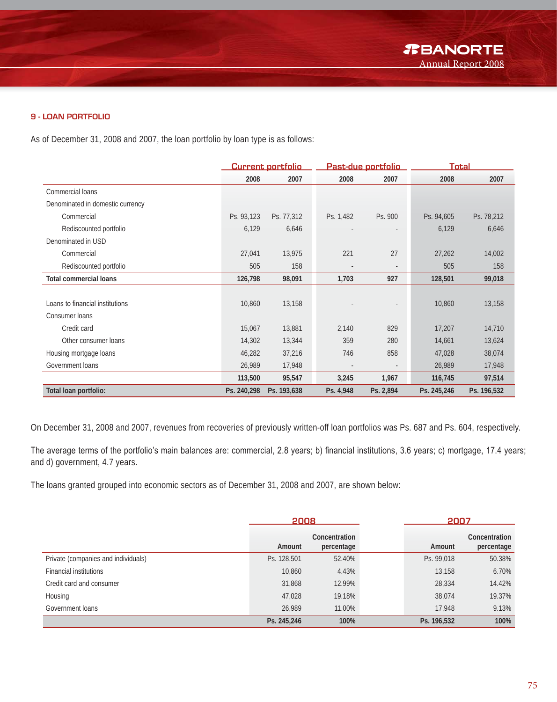#### **9 - LOAN PORTFOLIO**

As of December 31, 2008 and 2007, the loan portfolio by loan type is as follows:

|                                  | <b>Current portfolio</b> |             | <u>Past-due portfolio</u> |                          | <b>Total</b> |             |
|----------------------------------|--------------------------|-------------|---------------------------|--------------------------|--------------|-------------|
|                                  | 2008                     | 2007        | 2008                      | 2007                     | 2008         | 2007        |
| Commercial loans                 |                          |             |                           |                          |              |             |
| Denominated in domestic currency |                          |             |                           |                          |              |             |
| Commercial                       | Ps. 93,123               | Ps. 77,312  | Ps. 1,482                 | Ps. 900                  | Ps. 94,605   | Ps. 78,212  |
| Rediscounted portfolio           | 6,129                    | 6,646       |                           |                          | 6,129        | 6,646       |
| Denominated in USD               |                          |             |                           |                          |              |             |
| Commercial                       | 27,041                   | 13,975      | 221                       | 27                       | 27,262       | 14,002      |
| Rediscounted portfolio           | 505                      | 158         |                           | $\overline{\phantom{a}}$ | 505          | 158         |
| <b>Total commercial loans</b>    | 126,798                  | 98,091      | 1,703                     | 927                      | 128,501      | 99,018      |
|                                  |                          |             |                           |                          |              |             |
| Loans to financial institutions  | 10,860                   | 13,158      |                           | $\overline{\phantom{a}}$ | 10,860       | 13,158      |
| Consumer loans                   |                          |             |                           |                          |              |             |
| Credit card                      | 15,067                   | 13,881      | 2,140                     | 829                      | 17,207       | 14,710      |
| Other consumer loans             | 14,302                   | 13,344      | 359                       | 280                      | 14,661       | 13,624      |
| Housing mortgage loans           | 46,282                   | 37,216      | 746                       | 858                      | 47,028       | 38,074      |
| Government loans                 | 26,989                   | 17,948      |                           |                          | 26,989       | 17,948      |
|                                  | 113,500                  | 95,547      | 3,245                     | 1,967                    | 116,745      | 97,514      |
| Total loan portfolio:            | Ps. 240,298              | Ps. 193,638 | Ps. 4,948                 | Ps. 2,894                | Ps. 245,246  | Ps. 196,532 |

On December 31, 2008 and 2007, revenues from recoveries of previously written-off loan portfolios was Ps. 687 and Ps. 604, respectively.

The average terms of the portfolio's main balances are: commercial, 2.8 years; b) financial institutions, 3.6 years; c) mortgage, 17.4 years; and d) government, 4.7 years.

The loans granted grouped into economic sectors as of December 31, 2008 and 2007, are shown below:

|                                     | 2008        |                             | 2007        |                             |
|-------------------------------------|-------------|-----------------------------|-------------|-----------------------------|
|                                     | Amount      | Concentration<br>percentage | Amount      | Concentration<br>percentage |
| Private (companies and individuals) | Ps. 128,501 | 52.40%                      | Ps. 99,018  | 50.38%                      |
| <b>Financial institutions</b>       | 10,860      | 4.43%                       | 13,158      | 6.70%                       |
| Credit card and consumer            | 31,868      | 12.99%                      | 28,334      | 14.42%                      |
| Housing                             | 47,028      | 19.18%                      | 38.074      | 19.37%                      |
| Government loans                    | 26.989      | 11.00%                      | 17,948      | 9.13%                       |
|                                     | Ps. 245,246 | 100%                        | Ps. 196,532 | 100%                        |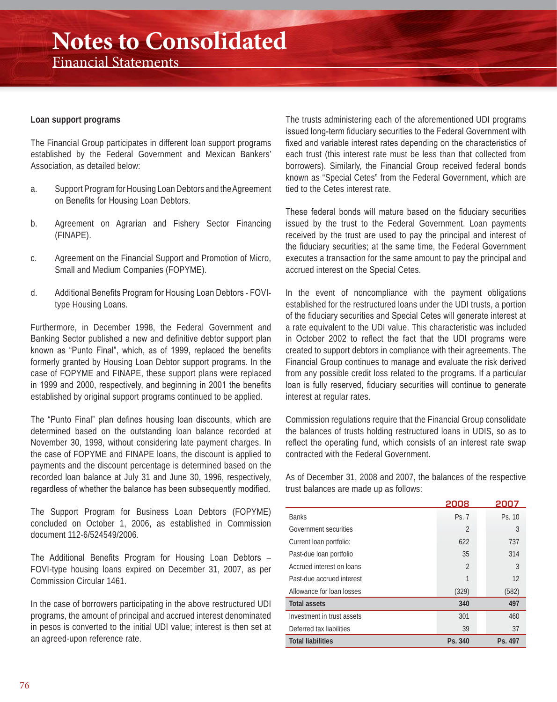#### **Loan support programs**

The Financial Group participates in different loan support programs established by the Federal Government and Mexican Bankers' Association, as detailed below:

- a. Support Program for Housing Loan Debtors and the Agreement on Benefits for Housing Loan Debtors.
- b. Agreement on Agrarian and Fishery Sector Financing (FINAPE).
- c. Agreement on the Financial Support and Promotion of Micro, Small and Medium Companies (FOPYME).
- d. Additional Benefits Program for Housing Loan Debtors FOVItype Housing Loans.

Furthermore, in December 1998, the Federal Government and Banking Sector published a new and definitive debtor support plan known as "Punto Final", which, as of 1999, replaced the benefits formerly granted by Housing Loan Debtor support programs. In the case of FOPYME and FINAPE, these support plans were replaced in 1999 and 2000, respectively, and beginning in 2001 the benefits established by original support programs continued to be applied.

The "Punto Final" plan defines housing loan discounts, which are determined based on the outstanding loan balance recorded at November 30, 1998, without considering late payment charges. In the case of FOPYME and FINAPE loans, the discount is applied to payments and the discount percentage is determined based on the recorded loan balance at July 31 and June 30, 1996, respectively, regardless of whether the balance has been subsequently modified.

The Support Program for Business Loan Debtors (FOPYME) concluded on October 1, 2006, as established in Commission document 112-6/524549/2006.

The Additional Benefits Program for Housing Loan Debtors -FOVI-type housing loans expired on December 31, 2007, as per Commission Circular 1461.

In the case of borrowers participating in the above restructured UDI programs, the amount of principal and accrued interest denominated in pesos is converted to the initial UDI value; interest is then set at an agreed-upon reference rate.

The trusts administering each of the aforementioned UDI programs issued long-term fiduciary securities to the Federal Government with fixed and variable interest rates depending on the characteristics of each trust (this interest rate must be less than that collected from borrowers). Similarly, the Financial Group received federal bonds known as "Special Cetes" from the Federal Government, which are tied to the Cetes interest rate.

These federal bonds will mature based on the fiduciary securities issued by the trust to the Federal Government. Loan payments received by the trust are used to pay the principal and interest of the fiduciary securities; at the same time, the Federal Government executes a transaction for the same amount to pay the principal and accrued interest on the Special Cetes.

In the event of noncompliance with the payment obligations established for the restructured loans under the UDI trusts, a portion of the fiduciary securities and Special Cetes will generate interest at a rate equivalent to the UDI value. This characteristic was included in October 2002 to reflect the fact that the UDI programs were created to support debtors in compliance with their agreements. The Financial Group continues to manage and evaluate the risk derived from any possible credit loss related to the programs. If a particular loan is fully reserved, fiduciary securities will continue to generate interest at regular rates.

Commission regulations require that the Financial Group consolidate the balances of trusts holding restructured loans in UDIS, so as to reflect the operating fund, which consists of an interest rate swap contracted with the Federal Government.

As of December 31, 2008 and 2007, the balances of the respective trust balances are made up as follows:

|                            | 2008           | 2007    |
|----------------------------|----------------|---------|
| <b>Banks</b>               | Ps. 7          | Ps. 10  |
| Government securities      | $\overline{2}$ | 3       |
| Current loan portfolio:    | 622            | 737     |
| Past-due loan portfolio    | 35             | 314     |
| Accrued interest on loans  | $\overline{2}$ | 3       |
| Past-due accrued interest  | 1              | 12      |
| Allowance for loan losses  | (329)          | (582)   |
| <b>Total assets</b>        | 340            | 497     |
| Investment in trust assets | 301            | 460     |
| Deferred tax liabilities   | 39             | 37      |
| <b>Total liabilities</b>   | Ps. 340        | Ps. 497 |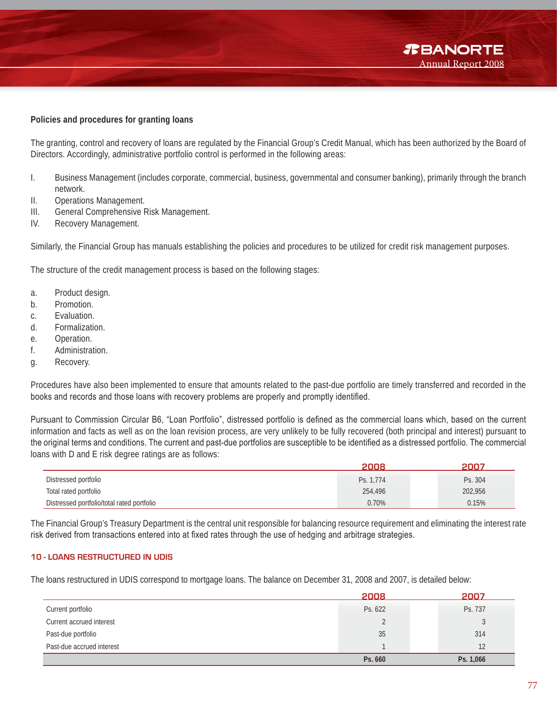#### **Policies and procedures for granting loans**

The granting, control and recovery of loans are regulated by the Financial Group's Credit Manual, which has been authorized by the Board of Directors. Accordingly, administrative portfolio control is performed in the following areas:

- I. Business Management (includes corporate, commercial, business, governmental and consumer banking), primarily through the branch network.
- II. Operations Management.
- III. General Comprehensive Risk Management.
- IV. Recovery Management.

Similarly, the Financial Group has manuals establishing the policies and procedures to be utilized for credit risk management purposes.

The structure of the credit management process is based on the following stages:

- a. Product design.
- b. Promotion.
- c. Evaluation.
- d. Formalization.
- e. Operation.
- f. Administration.
- g. Recovery.

Procedures have also been implemented to ensure that amounts related to the past-due portfolio are timely transferred and recorded in the books and records and those loans with recovery problems are properly and promptly identified.

Pursuant to Commission Circular B6, "Loan Portfolio", distressed portfolio is defined as the commercial loans which, based on the current information and facts as well as on the loan revision process, are very unlikely to be fully recovered (both principal and interest) pursuant to the original terms and conditions. The current and past-due portfolios are susceptible to be identified as a distressed portfolio. The commercial loans with D and E risk degree ratings are as follows:

|                                            | 2008      | 2007    |
|--------------------------------------------|-----------|---------|
| Distressed portfolio                       | Ps. 1.774 | Ps. 304 |
| Total rated portfolio                      | 254,496   | 202,956 |
| Distressed portfolio/total rated portfolio | 0.70%     | 0.15%   |

The Financial Group's Treasury Department is the central unit responsible for balancing resource requirement and eliminating the interest rate risk derived from transactions entered into at fixed rates through the use of hedging and arbitrage strategies.

#### **10 - LOANS RESTRUCTURED IN UDIS**

The loans restructured in UDIS correspond to mortgage loans. The balance on December 31, 2008 and 2007, is detailed below:

|                           | 2008    | 2007         |
|---------------------------|---------|--------------|
| Current portfolio         | Ps. 622 | Ps. 737      |
| Current accrued interest  |         | $\mathbf{c}$ |
| Past-due portfolio        | 35      | 314          |
| Past-due accrued interest |         | 12           |
|                           | Ps. 660 | Ps. 1,066    |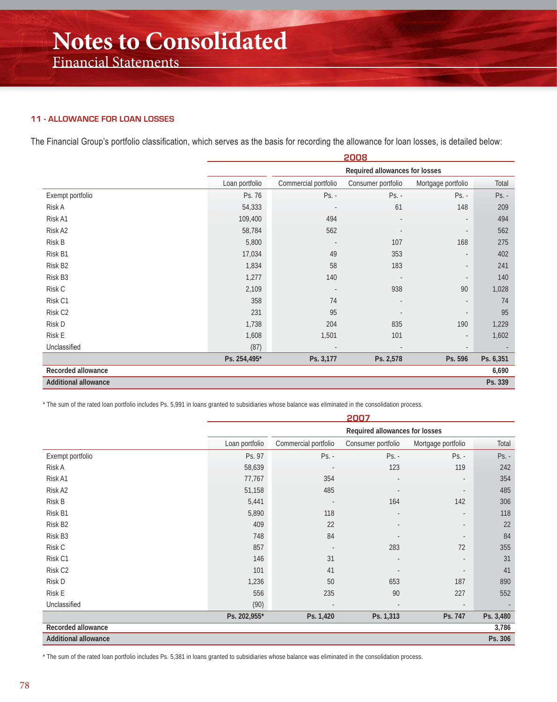#### **11 - ALLOWANCE FOR LOAN LOSSES**

The Financial Group's portfolio classification, which serves as the basis for recording the allowance for loan losses, is detailed below:

|                             |                |                          | 2008                           |                          |           |
|-----------------------------|----------------|--------------------------|--------------------------------|--------------------------|-----------|
|                             |                |                          | Required allowances for losses |                          |           |
|                             | Loan portfolio | Commercial portfolio     | Consumer portfolio             | Mortgage portfolio       | Total     |
| Exempt portfolio            | Ps. 76         | $Ps. -$                  | $Ps. -$                        | $Ps. -$                  | Ps. -     |
| Risk A                      | 54,333         |                          | 61                             | 148                      | 209       |
| Risk A1                     | 109,400        | 494                      |                                | $\overline{\phantom{a}}$ | 494       |
| Risk A2                     | 58,784         | 562                      |                                | $\overline{\phantom{a}}$ | 562       |
| Risk B                      | 5,800          | $\overline{\phantom{a}}$ | 107                            | 168                      | 275       |
| Risk B1                     | 17,034         | 49                       | 353                            | $\overline{\phantom{a}}$ | 402       |
| Risk B2                     | 1,834          | 58                       | 183                            | $\overline{\phantom{a}}$ | 241       |
| Risk B3                     | 1,277          | 140                      |                                | $\overline{\phantom{a}}$ | 140       |
| Risk C                      | 2,109          |                          | 938                            | 90                       | 1,028     |
| Risk C1                     | 358            | 74                       |                                | $\blacksquare$           | 74        |
| Risk C <sub>2</sub>         | 231            | 95                       |                                | $\overline{\phantom{a}}$ | 95        |
| Risk D                      | 1,738          | 204                      | 835                            | 190                      | 1,229     |
| Risk E                      | 1,608          | 1,501                    | 101                            | $\overline{\phantom{a}}$ | 1,602     |
| Unclassified                | (87)           | $\sim$                   | $\overline{\phantom{a}}$       | $\overline{\phantom{a}}$ |           |
|                             | Ps. 254,495*   | Ps. 3,177                | Ps. 2,578                      | Ps. 596                  | Ps. 6,351 |
| Recorded allowance          |                |                          |                                |                          | 6,690     |
| <b>Additional allowance</b> |                |                          |                                |                          | Ps. 339   |

\* The sum of the rated loan portfolio includes Ps. 5,991 in loans granted to subsidiaries whose balance was eliminated in the consolidation process.

|                             | 2007           |                          |                                |                          |           |
|-----------------------------|----------------|--------------------------|--------------------------------|--------------------------|-----------|
|                             |                |                          | Required allowances for losses |                          |           |
|                             | Loan portfolio | Commercial portfolio     | Consumer portfolio             | Mortgage portfolio       | Total     |
| Exempt portfolio            | Ps. 97         | $Ps. -$                  | $Ps. -$                        | $Ps. -$                  | Ps. -     |
| Risk A                      | 58,639         | $\overline{\phantom{a}}$ | 123                            | 119                      | 242       |
| Risk A1                     | 77,767         | 354                      |                                | $\blacksquare$           | 354       |
| Risk A2                     | 51,158         | 485                      |                                | $\overline{a}$           | 485       |
| Risk B                      | 5,441          | $\overline{\phantom{a}}$ | 164                            | 142                      | 306       |
| Risk B1                     | 5,890          | 118                      |                                |                          | 118       |
| Risk B <sub>2</sub>         | 409            | 22                       |                                |                          | 22        |
| Risk B3                     | 748            | 84                       |                                |                          | 84        |
| Risk C                      | 857            |                          | 283                            | 72                       | 355       |
| Risk C1                     | 146            | 31                       |                                |                          | 31        |
| Risk C <sub>2</sub>         | 101            | 41                       |                                | $\overline{\phantom{a}}$ | 41        |
| Risk D                      | 1,236          | 50                       | 653                            | 187                      | 890       |
| <b>Risk E</b>               | 556            | 235                      | 90                             | 227                      | 552       |
| Unclassified                | (90)           | $\sim$                   | $\overline{\phantom{a}}$       | $\overline{\phantom{a}}$ |           |
|                             | Ps. 202,955*   | Ps. 1,420                | Ps. 1,313                      | Ps. 747                  | Ps. 3,480 |
| Recorded allowance          |                |                          |                                |                          | 3,786     |
| <b>Additional allowance</b> |                |                          |                                |                          | Ps. 306   |

\* The sum of the rated loan portfolio includes Ps. 5,381 in loans granted to subsidiaries whose balance was eliminated in the consolidation process.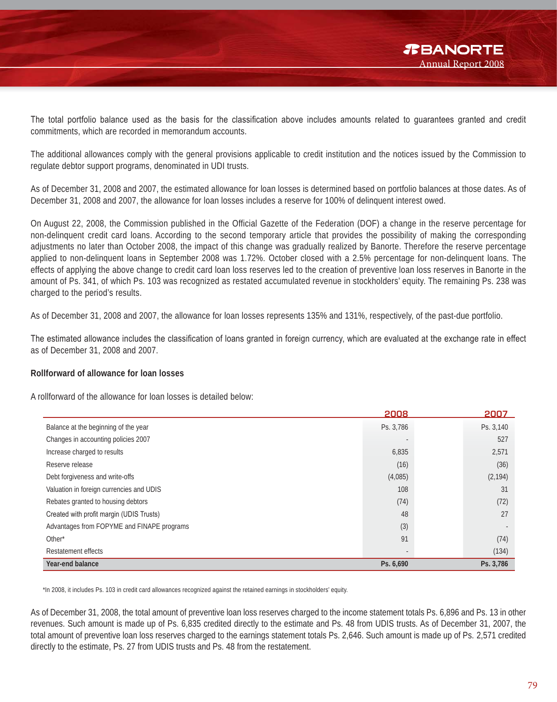The total portfolio balance used as the basis for the classification above includes amounts related to quarantees granted and credit commitments, which are recorded in memorandum accounts.

The additional allowances comply with the general provisions applicable to credit institution and the notices issued by the Commission to regulate debtor support programs, denominated in UDI trusts.

As of December 31, 2008 and 2007, the estimated allowance for loan losses is determined based on portfolio balances at those dates. As of December 31, 2008 and 2007, the allowance for loan losses includes a reserve for 100% of delinquent interest owed.

On August 22, 2008, the Commission published in the Official Gazette of the Federation (DOF) a change in the reserve percentage for non-delinquent credit card loans. According to the second temporary article that provides the possibility of making the corresponding adjustments no later than October 2008, the impact of this change was gradually realized by Banorte. Therefore the reserve percentage applied to non-delinquent loans in September 2008 was 1.72%. October closed with a 2.5% percentage for non-delinquent loans. The effects of applying the above change to credit card loan loss reserves led to the creation of preventive loan loss reserves in Banorte in the amount of Ps. 341, of which Ps. 103 was recognized as restated accumulated revenue in stockholders' equity. The remaining Ps. 238 was charged to the period's results.

As of December 31, 2008 and 2007, the allowance for loan losses represents 135% and 131%, respectively, of the past-due portfolio.

The estimated allowance includes the classification of loans granted in foreign currency, which are evaluated at the exchange rate in effect as of December 31, 2008 and 2007.

#### **Rollforward of allowance for loan losses**

A rollforward of the allowance for loan losses is detailed below:

|                                            | 2008      | 2007      |
|--------------------------------------------|-----------|-----------|
| Balance at the beginning of the year       | Ps. 3,786 | Ps. 3,140 |
| Changes in accounting policies 2007        |           | 527       |
| Increase charged to results                | 6,835     | 2,571     |
| Reserve release                            | (16)      | (36)      |
| Debt forgiveness and write-offs            | (4,085)   | (2, 194)  |
| Valuation in foreign currencies and UDIS   | 108       | 31        |
| Rebates granted to housing debtors         | (74)      | (72)      |
| Created with profit margin (UDIS Trusts)   | 48        | 27        |
| Advantages from FOPYME and FINAPE programs | (3)       |           |
| Other*                                     | 91        | (74)      |
| Restatement effects                        |           | (134)     |
| Year-end balance                           | Ps. 6,690 | Ps. 3,786 |

\*In 2008, it includes Ps. 103 in credit card allowances recognized against the retained earnings in stockholders' equity.

As of December 31, 2008, the total amount of preventive loan loss reserves charged to the income statement totals Ps. 6,896 and Ps. 13 in other revenues. Such amount is made up of Ps. 6,835 credited directly to the estimate and Ps. 48 from UDIS trusts. As of December 31, 2007, the total amount of preventive loan loss reserves charged to the earnings statement totals Ps. 2,646. Such amount is made up of Ps. 2,571 credited directly to the estimate, Ps. 27 from UDIS trusts and Ps. 48 from the restatement.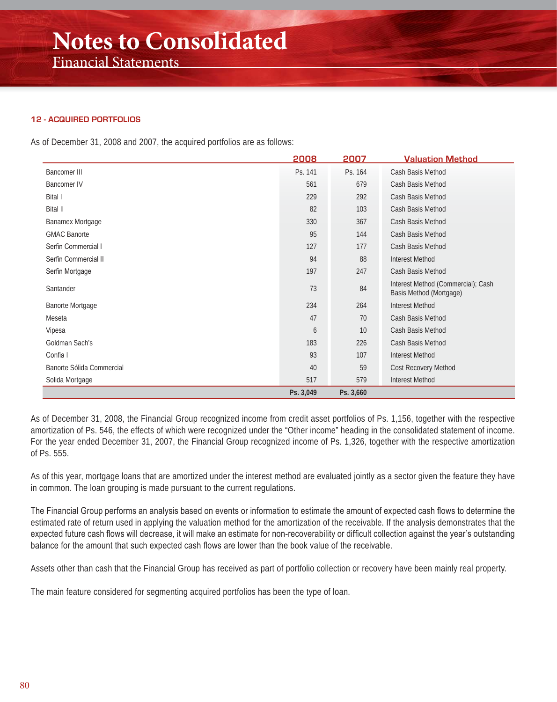#### **12 - ACQUIRED PORTFOLIOS**

As of December 31, 2008 and 2007, the acquired portfolios are as follows:

|                           | 2008      | 2007      | <b>Valuation Method</b>                                       |
|---------------------------|-----------|-----------|---------------------------------------------------------------|
| <b>Bancomer III</b>       | Ps. 141   | Ps. 164   | Cash Basis Method                                             |
| <b>Bancomer IV</b>        | 561       | 679       | Cash Basis Method                                             |
| <b>Bital I</b>            | 229       | 292       | Cash Basis Method                                             |
| <b>Bital II</b>           | 82        | 103       | Cash Basis Method                                             |
| Banamex Mortgage          | 330       | 367       | Cash Basis Method                                             |
| <b>GMAC Banorte</b>       | 95        | 144       | Cash Basis Method                                             |
| Serfin Commercial I       | 127       | 177       | Cash Basis Method                                             |
| Serfin Commercial II      | 94        | 88        | <b>Interest Method</b>                                        |
| Serfin Mortgage           | 197       | 247       | Cash Basis Method                                             |
| Santander                 | 73        | 84        | Interest Method (Commercial); Cash<br>Basis Method (Mortgage) |
| Banorte Mortgage          | 234       | 264       | <b>Interest Method</b>                                        |
| Meseta                    | 47        | 70        | Cash Basis Method                                             |
| Vipesa                    | 6         | 10        | Cash Basis Method                                             |
| Goldman Sach's            | 183       | 226       | Cash Basis Method                                             |
| Confia I                  | 93        | 107       | <b>Interest Method</b>                                        |
| Banorte Sólida Commercial | 40        | 59        | Cost Recovery Method                                          |
| Solida Mortgage           | 517       | 579       | <b>Interest Method</b>                                        |
|                           | Ps. 3,049 | Ps. 3,660 |                                                               |

As of December 31, 2008, the Financial Group recognized income from credit asset portfolios of Ps. 1,156, together with the respective amortization of Ps. 546, the effects of which were recognized under the "Other income" heading in the consolidated statement of income. For the year ended December 31, 2007, the Financial Group recognized income of Ps. 1,326, together with the respective amortization of Ps. 555.

As of this year, mortgage loans that are amortized under the interest method are evaluated jointly as a sector given the feature they have in common. The loan grouping is made pursuant to the current regulations.

The Financial Group performs an analysis based on events or information to estimate the amount of expected cash flows to determine the estimated rate of return used in applying the valuation method for the amortization of the receivable. If the analysis demonstrates that the expected future cash flows will decrease, it will make an estimate for non-recoverability or difficult collection against the year's outstanding balance for the amount that such expected cash flows are lower than the book value of the receivable.

Assets other than cash that the Financial Group has received as part of portfolio collection or recovery have been mainly real property.

The main feature considered for segmenting acquired portfolios has been the type of loan.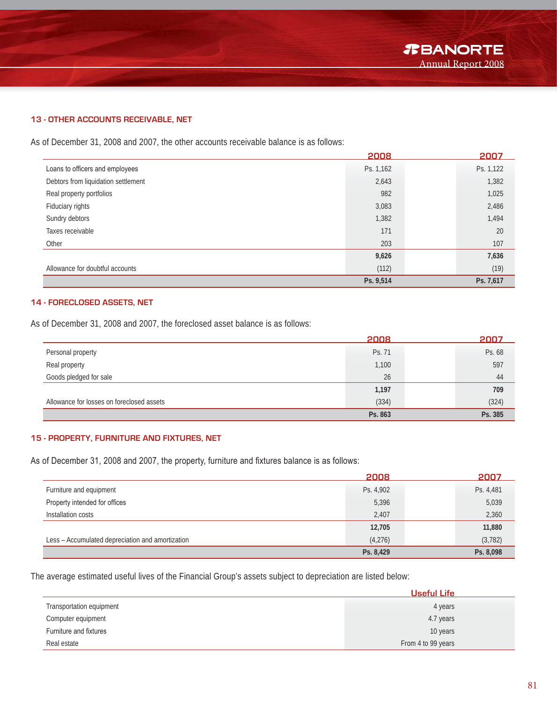#### **13 - OTHER ACCOUNTS RECEIVABLE, NET**

As of December 31, 2008 and 2007, the other accounts receivable balance is as follows:

|                                     | 2008      | 2007      |
|-------------------------------------|-----------|-----------|
| Loans to officers and employees     | Ps. 1,162 | Ps. 1,122 |
| Debtors from liquidation settlement | 2,643     | 1,382     |
| Real property portfolios            | 982       | 1,025     |
| Fiduciary rights                    | 3,083     | 2,486     |
| Sundry debtors                      | 1,382     | 1,494     |
| Taxes receivable                    | 171       | 20        |
| Other                               | 203       | 107       |
|                                     | 9,626     | 7,636     |
| Allowance for doubtful accounts     | (112)     | (19)      |
|                                     | Ps. 9,514 | Ps. 7,617 |

#### **14 - FORECLOSED ASSETS, NET**

As of December 31, 2008 and 2007, the foreclosed asset balance is as follows:

|                                           | 2008    | 2007    |
|-------------------------------------------|---------|---------|
| Personal property                         | Ps. 71  | Ps. 68  |
| Real property                             | 1,100   | 597     |
| Goods pledged for sale                    | 26      | 44      |
|                                           | 1,197   | 709     |
| Allowance for losses on foreclosed assets | (334)   | (324)   |
|                                           | Ps. 863 | Ps. 385 |

#### **15 - PROPERTY, FURNITURE AND FIXTURES, NET**

As of December 31, 2008 and 2007, the property, furniture and fixtures balance is as follows:

|                                                  | 2008      | 2007      |
|--------------------------------------------------|-----------|-----------|
| Furniture and equipment                          | Ps. 4,902 | Ps. 4,481 |
| Property intended for offices                    | 5,396     | 5,039     |
| Installation costs                               | 2,407     | 2,360     |
|                                                  | 12,705    | 11,880    |
| Less - Accumulated depreciation and amortization | (4,276)   | (3, 782)  |
|                                                  | Ps. 8,429 | Ps. 8,098 |

The average estimated useful lives of the Financial Group's assets subject to depreciation are listed below:

|                          | <b>Useful Life</b> |
|--------------------------|--------------------|
| Transportation equipment | 4 years            |
| Computer equipment       | 4.7 years          |
| Furniture and fixtures   | 10 years           |
| Real estate              | From 4 to 99 years |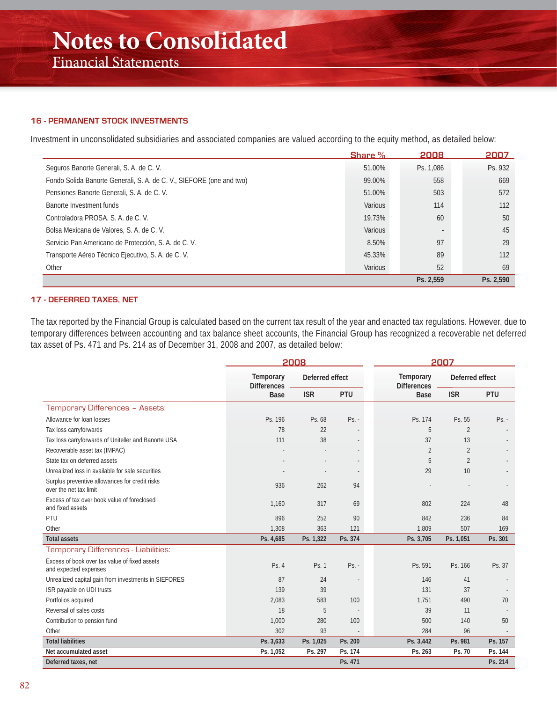### Financial Statements

#### **16 - PERMANENT STOCK INVESTMENTS**

Investment in unconsolidated subsidiaries and associated companies are valued according to the equity method, as detailed below:

|                                                                      | Share %        | 2008                     | 2007      |
|----------------------------------------------------------------------|----------------|--------------------------|-----------|
| Seguros Banorte Generali, S. A. de C. V.                             | 51.00%         | Ps. 1,086                | Ps. 932   |
| Fondo Solida Banorte Generali, S. A. de C. V., SIEFORE (one and two) | 99.00%         | 558                      | 669       |
| Pensiones Banorte Generali, S. A. de C. V.                           | 51.00%         | 503                      | 572       |
| Banorte Investment funds                                             | <b>Various</b> | 114                      | 112       |
| Controladora PROSA, S. A. de C. V.                                   | 19.73%         | 60                       | 50        |
| Bolsa Mexicana de Valores, S. A. de C. V.                            | Various        | $\overline{\phantom{a}}$ | 45        |
| Servicio Pan Americano de Protección, S. A. de C. V.                 | 8.50%          | 97                       | 29        |
| Transporte Aéreo Técnico Ejecutivo, S. A. de C. V.                   | 45.33%         | 89                       | 112       |
| Other                                                                | Various        | 52                       | 69        |
|                                                                      |                | Ps. 2.559                | Ps. 2.590 |

#### **17 - DEFERRED TAXES, NET**

The tax reported by the Financial Group is calculated based on the current tax result of the year and enacted tax regulations. However, due to temporary differences between accounting and tax balance sheet accounts, the Financial Group has recognized a recoverable net deferred tax asset of Ps. 471 and Ps. 214 as of December 31, 2008 and 2007, as detailed below:

|                                                                          | 2008             |                                       |         | 2007                                   |                 |            |
|--------------------------------------------------------------------------|------------------|---------------------------------------|---------|----------------------------------------|-----------------|------------|
|                                                                          | <b>Temporary</b> | Deferred effect<br><b>Differences</b> |         | <b>Temporary</b><br><b>Differences</b> | Deferred effect |            |
|                                                                          | <b>Base</b>      | <b>ISR</b>                            | PTU     | <b>Base</b>                            | <b>ISR</b>      | <b>PTU</b> |
| Temporary Differences - Assets:                                          |                  |                                       |         |                                        |                 |            |
| Allowance for loan losses                                                | Ps. 196          | Ps. 68                                | $Ps. -$ | Ps. 174                                | Ps. 55          | $Ps. -$    |
| Tax loss carryforwards                                                   | 78               | 22                                    |         | 5                                      | $\overline{2}$  |            |
| Tax loss carryforwards of Uniteller and Banorte USA                      | 111              | 38                                    |         | 37                                     | 13              |            |
| Recoverable asset tax (IMPAC)                                            |                  |                                       |         | $\overline{2}$                         | $\overline{2}$  |            |
| State tax on deferred assets                                             |                  |                                       |         | 5                                      | $\overline{2}$  |            |
| Unrealized loss in available for sale securities                         |                  |                                       |         | 29                                     | 10              |            |
| Surplus preventive allowances for credit risks<br>over the net tax limit | 936              | 262                                   | 94      |                                        |                 |            |
| Excess of tax over book value of foreclosed<br>and fixed assets          | 1,160            | 317                                   | 69      | 802                                    | 224             | 48         |
| PTU                                                                      | 896              | 252                                   | 90      | 842                                    | 236             | 84         |
| Other                                                                    | 1,308            | 363                                   | 121     | 1,809                                  | 507             | 169        |
| <b>Total assets</b>                                                      | Ps. 4,685        | Ps. 1,322                             | Ps. 374 | Ps. 3,705                              | Ps. 1,051       | Ps. 301    |
| Temporary Differences - Liabilities:                                     |                  |                                       |         |                                        |                 |            |
| Excess of book over tax value of fixed assets<br>and expected expenses   | Ps. 4            | Ps. 1                                 | $Ps. -$ | Ps. 591                                | Ps. 166         | Ps. 37     |
| Unrealized capital gain from investments in SIEFORES                     | 87               | 24                                    |         | 146                                    | 41              |            |
| ISR payable on UDI trusts                                                | 139              | 39                                    |         | 131                                    | 37              |            |
| Portfolios acquired                                                      | 2,083            | 583                                   | 100     | 1.751                                  | 490             | 70         |
| Reversal of sales costs                                                  | 18               | 5                                     |         | 39                                     | 11              |            |
| Contribution to pension fund                                             | 1,000            | 280                                   | 100     | 500                                    | 140             | 50         |
| Other                                                                    | 302              | 93                                    |         | 284                                    | 96              |            |
| <b>Total liabilities</b>                                                 | Ps. 3,633        | Ps. 1,025                             | Ps. 200 | Ps. 3,442                              | Ps. 981         | Ps. 157    |
| Net accumulated asset                                                    | Ps. 1,052        | Ps. 297                               | Ps. 174 | Ps. 263                                | Ps. 70          | Ps. 144    |
| Deferred taxes, net                                                      |                  |                                       | Ps. 471 |                                        |                 | Ps. 214    |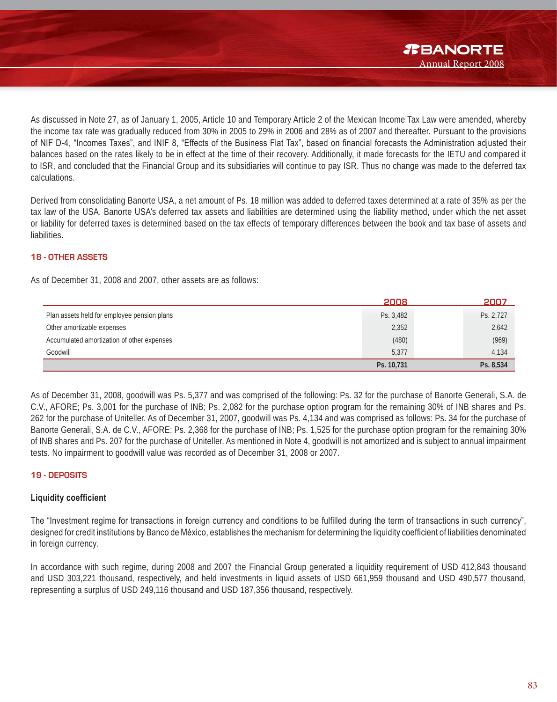

As discussed in Note 27, as of January 1, 2005, Article 10 and Temporary Article 2 of the Mexican Income Tax Law were amended, whereby the income tax rate was gradually reduced from 30% in 2005 to 29% in 2006 and 28% as of 2007 and thereafter. Pursuant to the provisions of NIF D-4, "Incomes Taxes", and INIF 8, "Effects of the Business Flat Tax", based on financial forecasts the Administration adjusted their balances based on the rates likely to be in effect at the time of their recovery. Additionally, it made forecasts for the IETU and compared it to ISR, and concluded that the Financial Group and its subsidiaries will continue to pay ISR. Thus no change was made to the deferred tax calculations.

Derived from consolidating Banorte USA, a net amount of Ps. 18 million was added to deferred taxes determined at a rate of 35% as per the tax law of the USA. Banorte USA's deferred tax assets and liabilities are determined using the liability method, under which the net asset or liability for deferred taxes is determined based on the tax effects of temporary differences between the book and tax base of assets and liabilities.

#### **18 - OTHER ASSETS**

As of December 31, 2008 and 2007, other assets are as follows:

|                                             | 2008       | 2007      |
|---------------------------------------------|------------|-----------|
| Plan assets held for employee pension plans | Ps. 3,482  | Ps. 2,727 |
| Other amortizable expenses                  | 2,352      | 2,642     |
| Accumulated amortization of other expenses  | (480)      | (969)     |
| Goodwill                                    | 5,377      | 4,134     |
|                                             | Ps. 10,731 | Ps. 8,534 |

As of December 31, 2008, goodwill was Ps. 5,377 and was comprised of the following: Ps. 32 for the purchase of Banorte Generali, S.A. de C.V., AFORE; Ps. 3,001 for the purchase of INB; Ps. 2,082 for the purchase option program for the remaining 30% of INB shares and Ps. 262 for the purchase of Uniteller. As of December 31, 2007, goodwill was Ps. 4,134 and was comprised as follows: Ps. 34 for the purchase of Banorte Generali, S.A. de C.V., AFORE; Ps. 2,368 for the purchase of INB; Ps. 1,525 for the purchase option program for the remaining 30% of INB shares and Ps. 207 for the purchase of Uniteller. As mentioned in Note 4, goodwill is not amortized and is subject to annual impairment tests. No impairment to goodwill value was recorded as of December 31, 2008 or 2007.

#### **19 - DEPOSITS**

#### Liquidity coefficient

The "Investment regime for transactions in foreign currency and conditions to be fulfilled during the term of transactions in such currency", designed for credit institutions by Banco de México, establishes the mechanism for determining the liquidity coefficient of liabilities denominated in foreign currency.

In accordance with such regime, during 2008 and 2007 the Financial Group generated a liquidity requirement of USD 412,843 thousand and USD 303,221 thousand, respectively, and held investments in liquid assets of USD 661,959 thousand and USD 490,577 thousand, representing a surplus of USD 249,116 thousand and USD 187,356 thousand, respectively.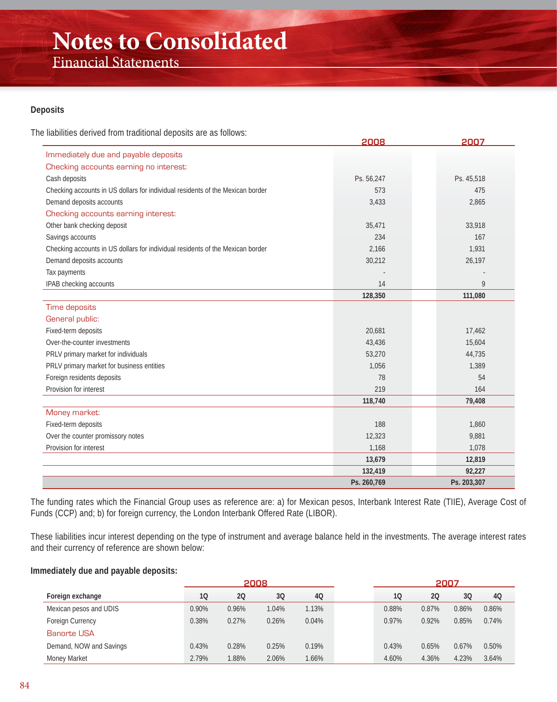Financial Statements

#### **Deposits**

The liabilities derived from traditional deposits are as follows:

|                                                                                | 2008        | 2007        |
|--------------------------------------------------------------------------------|-------------|-------------|
| Immediately due and payable deposits                                           |             |             |
| Checking accounts earning no interest:                                         |             |             |
| Cash deposits                                                                  | Ps. 56,247  | Ps. 45,518  |
| Checking accounts in US dollars for individual residents of the Mexican border | 573         | 475         |
| Demand deposits accounts                                                       | 3,433       | 2,865       |
| Checking accounts earning interest:                                            |             |             |
| Other bank checking deposit                                                    | 35,471      | 33,918      |
| Savings accounts                                                               | 234         | 167         |
| Checking accounts in US dollars for individual residents of the Mexican border | 2,166       | 1,931       |
| Demand deposits accounts                                                       | 30,212      | 26,197      |
| Tax payments                                                                   |             |             |
| IPAB checking accounts                                                         | 14          | 9           |
|                                                                                | 128,350     | 111,080     |
| Time deposits                                                                  |             |             |
| General public:                                                                |             |             |
| Fixed-term deposits                                                            | 20,681      | 17,462      |
| Over-the-counter investments                                                   | 43,436      | 15,604      |
| PRLV primary market for individuals                                            | 53,270      | 44,735      |
| PRLV primary market for business entities                                      | 1,056       | 1,389       |
| Foreign residents deposits                                                     | 78          | 54          |
| Provision for interest                                                         | 219         | 164         |
|                                                                                | 118,740     | 79,408      |
| Money market:                                                                  |             |             |
| Fixed-term deposits                                                            | 188         | 1,860       |
| Over the counter promissory notes                                              | 12,323      | 9,881       |
| Provision for interest                                                         | 1,168       | 1,078       |
|                                                                                | 13,679      | 12,819      |
|                                                                                | 132,419     | 92,227      |
|                                                                                | Ps. 260,769 | Ps. 203,307 |

The funding rates which the Financial Group uses as reference are: a) for Mexican pesos, Interbank Interest Rate (TIIE), Average Cost of Funds (CCP) and; b) for foreign currency, the London Interbank Offered Rate (LIBOR).

These liabilities incur interest depending on the type of instrument and average balance held in the investments. The average interest rates and their currency of reference are shown below:

#### **Immediately due and payable deposits:**

|                         | 2008  |       |       |       |       | 2007  |       |       |
|-------------------------|-------|-------|-------|-------|-------|-------|-------|-------|
| Foreign exchange        | 10    | 20    | 30    | 40    | 10    | 20    | 3Q    | 4Q    |
| Mexican pesos and UDIS  | 0.90% | 0.96% | 1.04% | 1.13% | 0.88% | 0.87% | 0.86% | 0.86% |
| Foreign Currency        | 0.38% | 0.27% | 0.26% | 0.04% | 0.97% | 0.92% | 0.85% | 0.74% |
| <b>Banorte USA</b>      |       |       |       |       |       |       |       |       |
| Demand, NOW and Savings | 0.43% | 0.28% | 0.25% | 0.19% | 0.43% | 0.65% | 0.67% | 0.50% |
| Money Market            | 2.79% | 1.88% | 2.06% | 1.66% | 4.60% | 4.36% | 4.23% | 3.64% |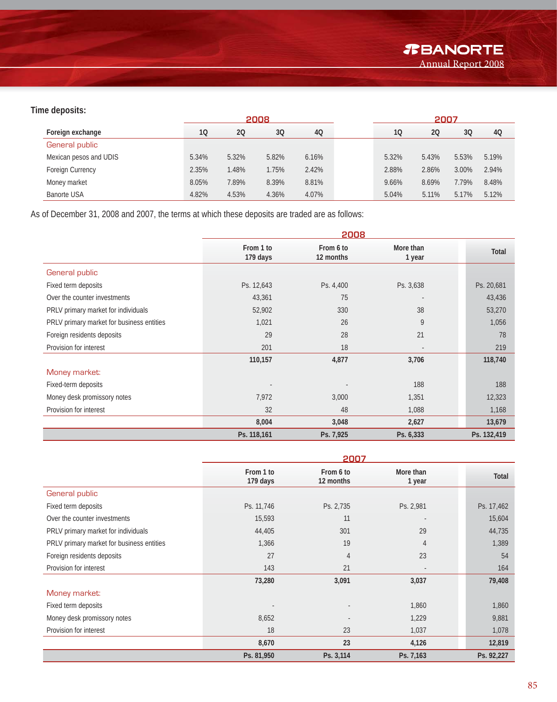#### **Time deposits:**

|                        | 2008  |       |       |       | 2007  |       |       |       |
|------------------------|-------|-------|-------|-------|-------|-------|-------|-------|
| Foreign exchange       | 10    | 20    | 30    | 40    | 10    | 20    | 30    | 4Q    |
| General public         |       |       |       |       |       |       |       |       |
| Mexican pesos and UDIS | 5.34% | 5.32% | 5.82% | 6.16% | 5.32% | 5.43% | 5.53% | 5.19% |
| Foreign Currency       | 2.35% | 1.48% | 1.75% | 2.42% | 2.88% | 2.86% | 3.00% | 2.94% |
| Money market           | 8.05% | 7.89% | 8.39% | 8.81% | 9.66% | 8.69% | 7.79% | 8.48% |
| <b>Banorte USA</b>     | 4.82% | 4.53% | 4.36% | 4.07% | 5.04% | 5.11% | 5.17% | 5.12% |

As of December 31, 2008 and 2007, the terms at which these deposits are traded are as follows:

|                                           | 2008                  |                        |                     |              |  |  |
|-------------------------------------------|-----------------------|------------------------|---------------------|--------------|--|--|
|                                           | From 1 to<br>179 days | From 6 to<br>12 months | More than<br>1 year | <b>Total</b> |  |  |
| General public                            |                       |                        |                     |              |  |  |
| Fixed term deposits                       | Ps. 12,643            | Ps. 4,400              | Ps. 3,638           | Ps. 20,681   |  |  |
| Over the counter investments              | 43,361                | 75                     |                     | 43,436       |  |  |
| PRLV primary market for individuals       | 52,902                | 330                    | 38                  | 53,270       |  |  |
| PRLV primary market for business entities | 1,021                 | 26                     | 9                   | 1,056        |  |  |
| Foreign residents deposits                | 29                    | 28                     | 21                  | 78           |  |  |
| Provision for interest                    | 201                   | 18                     | ٠                   | 219          |  |  |
|                                           | 110,157               | 4,877                  | 3,706               | 118,740      |  |  |
| Money market:                             |                       |                        |                     |              |  |  |
| Fixed-term deposits                       |                       |                        | 188                 | 188          |  |  |
| Money desk promissory notes               | 7,972                 | 3,000                  | 1,351               | 12,323       |  |  |
| Provision for interest                    | 32                    | 48                     | 1,088               | 1,168        |  |  |
|                                           | 8,004                 | 3,048                  | 2,627               | 13,679       |  |  |
|                                           | Ps. 118,161           | Ps. 7,925              | Ps. 6,333           | Ps. 132,419  |  |  |

|                                           | 2007                  |                        |                     |            |  |  |
|-------------------------------------------|-----------------------|------------------------|---------------------|------------|--|--|
|                                           | From 1 to<br>179 days | From 6 to<br>12 months | More than<br>1 year | Total      |  |  |
| General public                            |                       |                        |                     |            |  |  |
| Fixed term deposits                       | Ps. 11,746            | Ps. 2,735              | Ps. 2,981           | Ps. 17,462 |  |  |
| Over the counter investments              | 15,593                | 11                     |                     | 15,604     |  |  |
| PRLV primary market for individuals       | 44,405                | 301                    | 29                  | 44,735     |  |  |
| PRLV primary market for business entities | 1,366                 | 19                     | $\overline{4}$      | 1,389      |  |  |
| Foreign residents deposits                | 27                    | $\overline{4}$         | 23                  | 54         |  |  |
| Provision for interest                    | 143                   | 21                     |                     | 164        |  |  |
|                                           | 73,280                | 3,091                  | 3,037               | 79,408     |  |  |
| Money market:                             |                       |                        |                     |            |  |  |
| Fixed term deposits                       |                       |                        | 1,860               | 1,860      |  |  |
| Money desk promissory notes               | 8,652                 |                        | 1,229               | 9,881      |  |  |
| Provision for interest                    | 18                    | 23                     | 1,037               | 1,078      |  |  |
|                                           | 8,670                 | 23                     | 4,126               | 12,819     |  |  |
|                                           | Ps. 81,950            | Ps. 3,114              | Ps. 7,163           | Ps. 92,227 |  |  |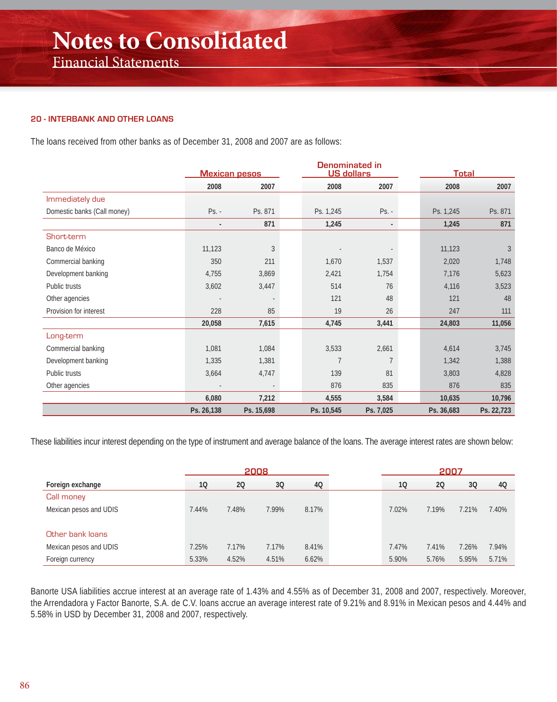#### **20 - INTERBANK AND OTHER LOANS**

The loans received from other banks as of December 31, 2008 and 2007 are as follows:

|                             | <b>Mexican pesos</b> |            |            | <b>Denominated in</b><br><b>US dollars</b> |            | <b>Total</b> |  |  |
|-----------------------------|----------------------|------------|------------|--------------------------------------------|------------|--------------|--|--|
|                             | 2008                 | 2007       | 2008       | 2007                                       | 2008       | 2007         |  |  |
| Immediately due             |                      |            |            |                                            |            |              |  |  |
| Domestic banks (Call money) | $Ps. -$              | Ps. 871    | Ps. 1,245  | $Ps. -$                                    | Ps. 1,245  | Ps. 871      |  |  |
|                             | $\blacksquare$       | 871        | 1,245      | $\blacksquare$                             | 1,245      | 871          |  |  |
| Short-term                  |                      |            |            |                                            |            |              |  |  |
| Banco de México             | 11,123               | 3          |            |                                            | 11,123     | 3            |  |  |
| Commercial banking          | 350                  | 211        | 1,670      | 1,537                                      | 2,020      | 1,748        |  |  |
| Development banking         | 4,755                | 3,869      | 2,421      | 1,754                                      | 7,176      | 5,623        |  |  |
| Public trusts               | 3,602                | 3,447      | 514        | 76                                         | 4,116      | 3,523        |  |  |
| Other agencies              |                      |            | 121        | 48                                         | 121        | 48           |  |  |
| Provision for interest      | 228                  | 85         | 19         | 26                                         | 247        | 111          |  |  |
|                             | 20,058               | 7,615      | 4,745      | 3,441                                      | 24,803     | 11,056       |  |  |
| Long-term                   |                      |            |            |                                            |            |              |  |  |
| Commercial banking          | 1,081                | 1,084      | 3,533      | 2,661                                      | 4,614      | 3,745        |  |  |
| Development banking         | 1,335                | 1,381      | 7          | $\overline{7}$                             | 1,342      | 1,388        |  |  |
| Public trusts               | 3,664                | 4,747      | 139        | 81                                         | 3,803      | 4,828        |  |  |
| Other agencies              |                      |            | 876        | 835                                        | 876        | 835          |  |  |
|                             | 6,080                | 7,212      | 4,555      | 3,584                                      | 10,635     | 10,796       |  |  |
|                             | Ps. 26,138           | Ps. 15,698 | Ps. 10,545 | Ps. 7,025                                  | Ps. 36,683 | Ps. 22,723   |  |  |

These liabilities incur interest depending on the type of instrument and average balance of the loans. The average interest rates are shown below:

|                        |       |       | 2008  |       |       | 2007  |       |       |
|------------------------|-------|-------|-------|-------|-------|-------|-------|-------|
| Foreign exchange       | 10    | 20    | 3Q    | 4Q    | 10    | 20    | 3Q    | 4Q    |
| Call money             |       |       |       |       |       |       |       |       |
| Mexican pesos and UDIS | 7.44% | 7.48% | 7.99% | 8.17% | 7.02% | 7.19% | 7.21% | 7.40% |
|                        |       |       |       |       |       |       |       |       |
| Other bank loans       |       |       |       |       |       |       |       |       |
| Mexican pesos and UDIS | 7.25% | 7.17% | 7.17% | 8.41% | 7.47% | 7.41% | 7.26% | 7.94% |
| Foreign currency       | 5.33% | 4.52% | 4.51% | 6.62% | 5.90% | 5.76% | 5.95% | 5.71% |

Banorte USA liabilities accrue interest at an average rate of 1.43% and 4.55% as of December 31, 2008 and 2007, respectively. Moreover, the Arrendadora y Factor Banorte, S.A. de C.V. loans accrue an average interest rate of 9.21% and 8.91% in Mexican pesos and 4.44% and 5.58% in USD by December 31, 2008 and 2007, respectively.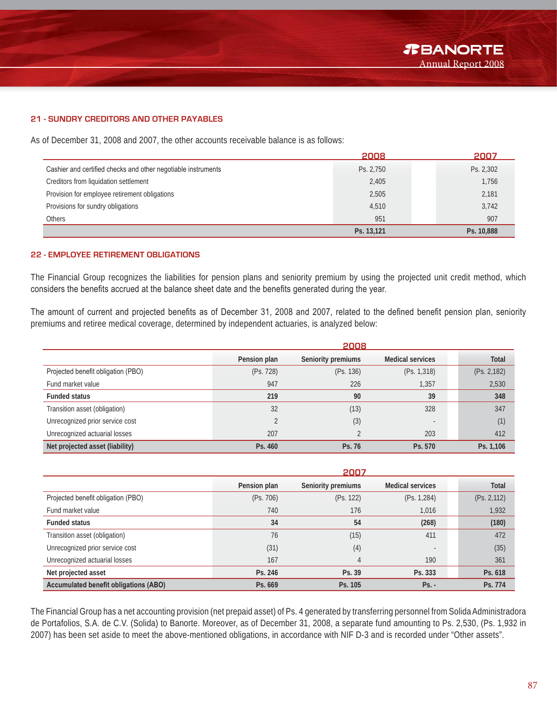#### **21 - SUNDRY CREDITORS AND OTHER PAYABLES**

As of December 31, 2008 and 2007, the other accounts receivable balance is as follows:

|                                                               | 2008       | 2007       |
|---------------------------------------------------------------|------------|------------|
| Cashier and certified checks and other negotiable instruments | Ps. 2,750  | Ps. 2,302  |
| Creditors from liquidation settlement                         | 2,405      | 1,756      |
| Provision for employee retirement obligations                 | 2,505      | 2,181      |
| Provisions for sundry obligations                             | 4,510      | 3,742      |
| <b>Others</b>                                                 | 951        | 907        |
|                                                               | Ps. 13,121 | Ps. 10,888 |

#### **22 - EMPLOYEE RETIREMENT OBLIGATIONS**

The Financial Group recognizes the liabilities for pension plans and seniority premium by using the projected unit credit method, which considers the benefits accrued at the balance sheet date and the benefits generated during the year.

The amount of current and projected benefits as of December 31, 2008 and 2007, related to the defined benefit pension plan, seniority premiums and retiree medical coverage, determined by independent actuaries, is analyzed below:

|                                    |              | 2008               |                          |              |  |  |  |
|------------------------------------|--------------|--------------------|--------------------------|--------------|--|--|--|
|                                    | Pension plan | Seniority premiums | <b>Medical services</b>  | <b>Total</b> |  |  |  |
| Projected benefit obligation (PBO) | (Ps. 728)    | (Ps. 136)          | (Ps. 1, 318)             | (Ps. 2, 182) |  |  |  |
| Fund market value                  | 947          | 226                | 1,357                    | 2,530        |  |  |  |
| <b>Funded status</b>               | 219          | 90                 | 39                       | 348          |  |  |  |
| Transition asset (obligation)      | 32           | (13)               | 328                      | 347          |  |  |  |
| Unrecognized prior service cost    |              | (3)                | $\overline{\phantom{a}}$ | (1)          |  |  |  |
| Unrecognized actuarial losses      | 207          |                    | 203                      | 412          |  |  |  |
| Net projected asset (liability)    | Ps. 460      | Ps. 76             | Ps. 570                  | Ps. 1.106    |  |  |  |

|                                              | 2007         |                    |                          |              |  |  |
|----------------------------------------------|--------------|--------------------|--------------------------|--------------|--|--|
|                                              | Pension plan | Seniority premiums | <b>Medical services</b>  | <b>Total</b> |  |  |
| Projected benefit obligation (PBO)           | (Ps. 706)    | (Ps. 122)          | (Ps. 1, 284)             | (Ps. 2, 112) |  |  |
| Fund market value                            | 740          | 176                | 1,016                    | 1,932        |  |  |
| <b>Funded status</b>                         | 34           | 54                 | (268)                    | (180)        |  |  |
| Transition asset (obligation)                | 76           | (15)               | 411                      | 472          |  |  |
| Unrecognized prior service cost              | (31)         | (4)                | $\overline{\phantom{a}}$ | (35)         |  |  |
| Unrecognized actuarial losses                | 167          | 4                  | 190                      | 361          |  |  |
| Net projected asset                          | Ps. 246      | Ps. 39             | Ps. 333                  | Ps. 618      |  |  |
| <b>Accumulated benefit obligations (ABO)</b> | Ps. 669      | Ps. 105            | $Ps. -$                  | Ps. 774      |  |  |

The Financial Group has a net accounting provision (net prepaid asset) of Ps. 4 generated by transferring personnel from Solida Administradora de Portafolios, S.A. de C.V. (Solida) to Banorte. Moreover, as of December 31, 2008, a separate fund amounting to Ps. 2,530, (Ps. 1,932 in 2007) has been set aside to meet the above-mentioned obligations, in accordance with NIF D-3 and is recorded under "Other assets".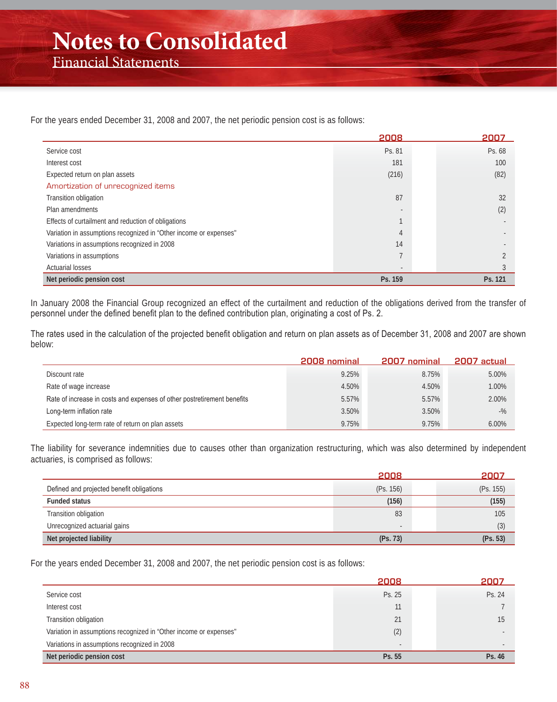For the years ended December 31, 2008 and 2007, the net periodic pension cost is as follows:

|                                                                   | 2008           | 2007    |
|-------------------------------------------------------------------|----------------|---------|
| Service cost                                                      | Ps. 81         | Ps. 68  |
| Interest cost                                                     | 181            | 100     |
| Expected return on plan assets                                    | (216)          | (82)    |
| Amortization of unrecognized items                                |                |         |
| Transition obligation                                             | 87             | 32      |
| Plan amendments                                                   |                | (2)     |
| Effects of curtailment and reduction of obligations               |                |         |
| Variation in assumptions recognized in "Other income or expenses" | 4              |         |
| Variations in assumptions recognized in 2008                      | 14             |         |
| Variations in assumptions                                         |                |         |
| <b>Actuarial losses</b>                                           | $\overline{a}$ |         |
| Net periodic pension cost                                         | Ps. 159        | Ps. 121 |

In January 2008 the Financial Group recognized an effect of the curtailment and reduction of the obligations derived from the transfer of personnel under the defined benefit plan to the defined contribution plan, originating a cost of Ps. 2.

The rates used in the calculation of the projected benefit obligation and return on plan assets as of December 31, 2008 and 2007 are shown below:

|                                                                         | 2008 nominal | 2007 nominal | 2007 actual |
|-------------------------------------------------------------------------|--------------|--------------|-------------|
| Discount rate                                                           | 9.25%        | 8.75%        | 5.00%       |
| Rate of wage increase                                                   | 4.50%        | 4.50%        | 1.00%       |
| Rate of increase in costs and expenses of other postretirement benefits | 5.57%        | 5.57%        | 2.00%       |
| Long-term inflation rate                                                | 3.50%        | 3.50%        | $-$ %       |
| Expected long-term rate of return on plan assets                        | 9.75%        | 9.75%        | 6.00%       |

The liability for severance indemnities due to causes other than organization restructuring, which was also determined by independent actuaries, is comprised as follows:

|                                           | 2008      | 2007      |
|-------------------------------------------|-----------|-----------|
| Defined and projected benefit obligations | (Ps. 156) | (Ps. 155) |
| <b>Funded status</b>                      | (156)     | (155)     |
| Transition obligation                     | 83        | 105       |
| Unrecognized actuarial gains              | $\sim$    | (3)       |
| Net projected liability                   | (Ps. 73)  | (Ps. 53)  |

For the years ended December 31, 2008 and 2007, the net periodic pension cost is as follows:

|                                                                   | 2008   | 2007   |
|-------------------------------------------------------------------|--------|--------|
| Service cost                                                      | Ps. 25 | Ps. 24 |
| Interest cost                                                     | 11     |        |
| Transition obligation                                             | 21     | 15     |
| Variation in assumptions recognized in "Other income or expenses" | (2)    |        |
| Variations in assumptions recognized in 2008                      | $\sim$ |        |
| Net periodic pension cost                                         | Ps. 55 | Ps. 46 |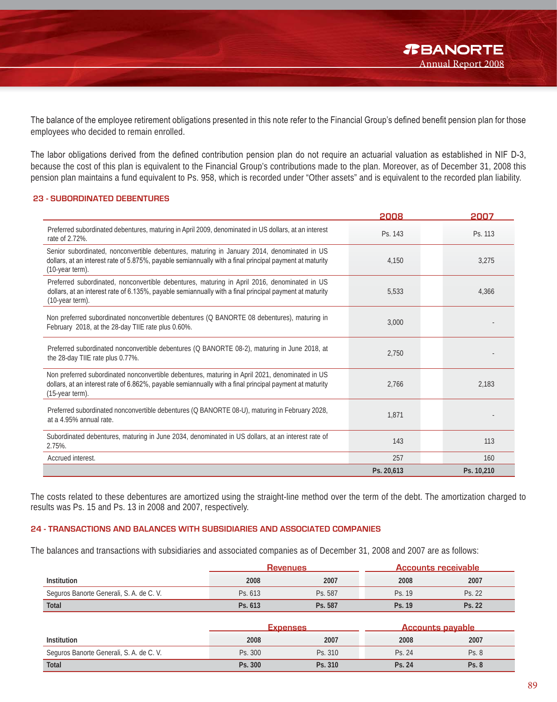The balance of the employee retirement obligations presented in this note refer to the Financial Group's defined benefit pension plan for those employees who decided to remain enrolled.

The labor obligations derived from the defined contribution pension plan do not require an actuarial valuation as established in NIF D-3, because the cost of this plan is equivalent to the Financial Group's contributions made to the plan. Moreover, as of December 31, 2008 this pension plan maintains a fund equivalent to Ps. 958, which is recorded under "Other assets" and is equivalent to the recorded plan liability.

#### **23 - SUBORDINATED DEBENTURES**

|                                                                                                                                                                                                                               | 2008       | 2007       |
|-------------------------------------------------------------------------------------------------------------------------------------------------------------------------------------------------------------------------------|------------|------------|
| Preferred subordinated debentures, maturing in April 2009, denominated in US dollars, at an interest<br>rate of 2.72%.                                                                                                        | Ps. 143    | Ps. 113    |
| Senior subordinated, nonconvertible debentures, maturing in January 2014, denominated in US<br>dollars, at an interest rate of 5.875%, payable semiannually with a final principal payment at maturity<br>(10-year term).     | 4,150      | 3,275      |
| Preferred subordinated, nonconvertible debentures, maturing in April 2016, denominated in US<br>dollars, at an interest rate of 6.135%, payable semiannually with a final principal payment at maturity<br>(10-year term).    | 5,533      | 4,366      |
| Non preferred subordinated nonconvertible debentures (Q BANORTE 08 debentures), maturing in<br>February 2018, at the 28-day TIIE rate plus 0.60%.                                                                             | 3,000      |            |
| Preferred subordinated nonconvertible debentures (Q BANORTE 08-2), maturing in June 2018, at<br>the 28-day TIIE rate plus 0.77%.                                                                                              | 2,750      |            |
| Non preferred subordinated nonconvertible debentures, maturing in April 2021, denominated in US<br>dollars, at an interest rate of 6.862%, payable semiannually with a final principal payment at maturity<br>(15-year term). | 2.766      | 2,183      |
| Preferred subordinated nonconvertible debentures (Q BANORTE 08-U), maturing in February 2028,<br>at a 4.95% annual rate.                                                                                                      | 1.871      |            |
| Subordinated debentures, maturing in June 2034, denominated in US dollars, at an interest rate of<br>2.75%.                                                                                                                   | 143        | 113        |
| Accrued interest.                                                                                                                                                                                                             | 257        | 160        |
|                                                                                                                                                                                                                               | Ps. 20,613 | Ps. 10,210 |

The costs related to these debentures are amortized using the straight-line method over the term of the debt. The amortization charged to results was Ps. 15 and Ps. 13 in 2008 and 2007, respectively.

#### **24 - TRANSACTIONS AND BALANCES WITH SUBSIDIARIES AND ASSOCIATED COMPANIES**

The balances and transactions with subsidiaries and associated companies as of December 31, 2008 and 2007 are as follows:

|                                          | <b>Revenues</b> |         | Accounts receivable |        |
|------------------------------------------|-----------------|---------|---------------------|--------|
| Institution                              | 2008            | 2007    | 2008                | 2007   |
| Seguros Banorte Generali, S. A. de C. V. | Ps. 613         | Ps. 587 | Ps. 19              | Ps. 22 |
| <b>Total</b>                             | Ps. 613         | Ps. 587 | Ps. 19              | Ps. 22 |

|                                          | <b>Expenses</b> |         | Accounts payable |       |
|------------------------------------------|-----------------|---------|------------------|-------|
| Institution                              | 2008            | 2007    | 2008             | 2007  |
| Seguros Banorte Generali, S. A. de C. V. | Ps. 300         | Ps. 310 | Ps. 24           | Ps. 8 |
| <b>Total</b>                             | Ps. 300         | Ps. 310 | Ps. 24           | Ps.8  |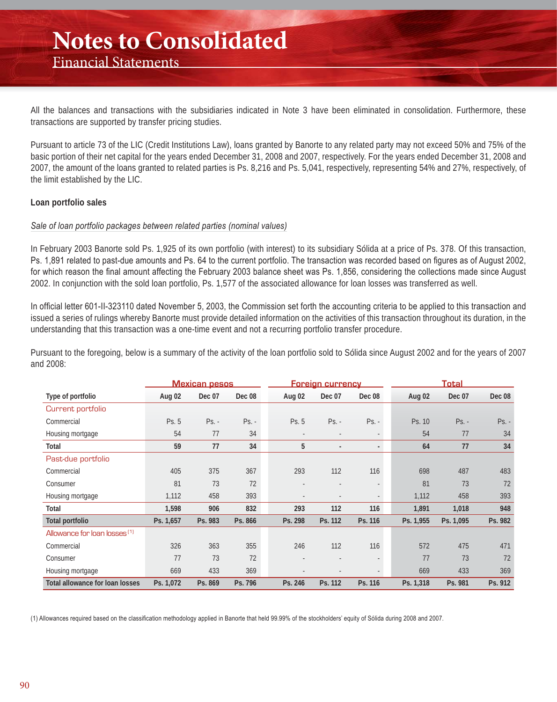All the balances and transactions with the subsidiaries indicated in Note 3 have been eliminated in consolidation. Furthermore, these transactions are supported by transfer pricing studies.

Pursuant to article 73 of the LIC (Credit Institutions Law), loans granted by Banorte to any related party may not exceed 50% and 75% of the basic portion of their net capital for the years ended December 31, 2008 and 2007, respectively. For the years ended December 31, 2008 and 2007, the amount of the loans granted to related parties is Ps. 8,216 and Ps. 5,041, respectively, representing 54% and 27%, respectively, of the limit established by the LIC.

#### **Loan portfolio sales**

#### *Sale of loan portfolio packages between related parties (nominal values)*

In February 2003 Banorte sold Ps. 1,925 of its own portfolio (with interest) to its subsidiary Sólida at a price of Ps. 378. Of this transaction, Ps. 1,891 related to past-due amounts and Ps. 64 to the current portfolio. The transaction was recorded based on figures as of August 2002, for which reason the final amount affecting the February 2003 balance sheet was Ps. 1,856, considering the collections made since August 2002. In conjunction with the sold loan portfolio, Ps. 1,577 of the associated allowance for loan losses was transferred as well.

In official letter 601-II-323110 dated November 5, 2003, the Commission set forth the accounting criteria to be applied to this transaction and issued a series of rulings whereby Banorte must provide detailed information on the activities of this transaction throughout its duration, in the understanding that this transaction was a one-time event and not a recurring portfolio transfer procedure.

Pursuant to the foregoing, below is a summary of the activity of the loan portfolio sold to Sólida since August 2002 and for the years of 2007 and 2008:

|                                          | <b>Mexican pesos</b> |         |         | <b>Foreign currency</b>  |                          |                          | <b>Total</b> |           |               |
|------------------------------------------|----------------------|---------|---------|--------------------------|--------------------------|--------------------------|--------------|-----------|---------------|
| Type of portfolio                        | Aug 02               | Dec 07  | Dec 08  | Aug 02                   | Dec 07                   | Dec 08                   | Aug 02       | Dec 07    | <b>Dec 08</b> |
| Current portfolio                        |                      |         |         |                          |                          |                          |              |           |               |
| Commercial                               | Ps. 5                | $Ps. -$ | $Ps. -$ | Ps. 5                    | $Ps. -$                  | $Ps. -$                  | Ps. 10       | $Ps. -$   | $Ps. -$       |
| Housing mortgage                         | 54                   | 77      | 34      | $\overline{\phantom{a}}$ |                          | $\overline{\phantom{a}}$ | 54           | 77        | 34            |
| Total                                    | 59                   | 77      | 34      | 5                        | $\overline{a}$           | $\overline{\phantom{0}}$ | 64           | 77        | 34            |
| Past-due portfolio                       |                      |         |         |                          |                          |                          |              |           |               |
| Commercial                               | 405                  | 375     | 367     | 293                      | 112                      | 116                      | 698          | 487       | 483           |
| Consumer                                 | 81                   | 73      | 72      |                          |                          |                          | 81           | 73        | 72            |
| Housing mortgage                         | 1,112                | 458     | 393     | ٠                        | $\overline{\phantom{a}}$ | ٠                        | 1,112        | 458       | 393           |
| Total                                    | 1,598                | 906     | 832     | 293                      | 112                      | 116                      | 1,891        | 1,018     | 948           |
| <b>Total portfolio</b>                   | Ps. 1,657            | Ps. 983 | Ps. 866 | Ps. 298                  | Ps. 112                  | Ps. 116                  | Ps. 1,955    | Ps. 1,095 | Ps. 982       |
| Allowance for loan losses <sup>(1)</sup> |                      |         |         |                          |                          |                          |              |           |               |
| Commercial                               | 326                  | 363     | 355     | 246                      | 112                      | 116                      | 572          | 475       | 471           |
| Consumer                                 | 77                   | 73      | 72      |                          |                          |                          | 77           | 73        | 72            |
| Housing mortgage                         | 669                  | 433     | 369     |                          |                          |                          | 669          | 433       | 369           |
| <b>Total allowance for loan losses</b>   | Ps. 1,072            | Ps. 869 | Ps. 796 | Ps. 246                  | Ps. 112                  | Ps. 116                  | Ps. 1,318    | Ps. 981   | Ps. 912       |

(1) Allowances required based on the classification methodology applied in Banorte that held 99.99% of the stockholders' equity of Sólida during 2008 and 2007.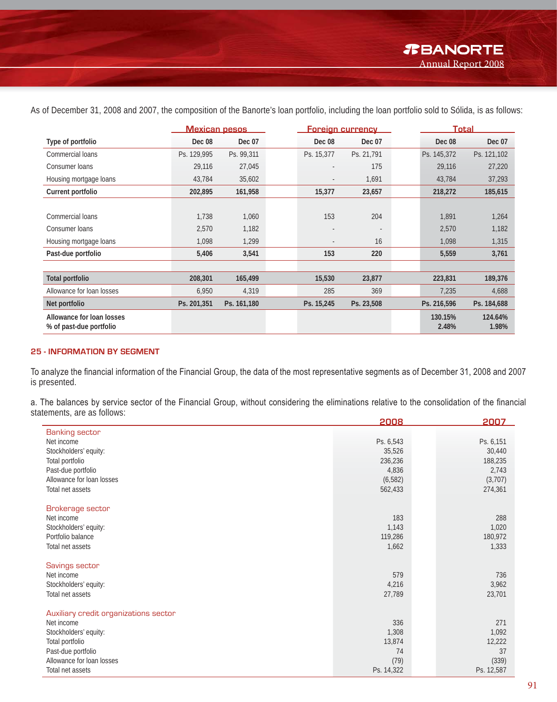**Mexican pesos Foreign currency Total Type of portfolio Dec 08 Dec 07 Dec 08 Dec 07 Dec 08 Dec 07** Commercial loans Ps. 129,995 Ps. 99,311 Ps. 15,377 Ps. 21,791 Ps. 145,372 Ps. 121,102 Consumer loans 27,220 - 29,116 27,045 - 29,116 27,220 - 29,116 27,220 Housing mortgage loans 13,784 43,784 43,784 35,602 43,784 43,784 43,784 37,293 **Current portfolio 202,895 161,958 15,377 23,657 218,272 185,615** Commercial loans 1,738 1,060 153 204 1,891 1,264 Consumer loans 2,570 2,570 1,182 - 2,570 1,182 - 2,570 1,182 Housing mortgage loans 1,315 **Past-due portfolio 5,406 3,541 153 220 5,559 3,761 Total portfolio 208,301 165,499 15,530 23,877 223,831 189,376** Allowance for loan losses 6,950 4,319 285 369 7,235 4,688 **Net portfolio Ps. 201,351 Ps. 161,180 Ps. 15,245 Ps. 23,508 Ps. 216,596 Ps. 184,688 Allowance for loan losses % of past-due portfolio 130.15% 2.48% 124.64% 1.98%**

As of December 31, 2008 and 2007, the composition of the Banorte's loan portfolio, including the loan portfolio sold to Sólida, is as follows:

#### **25 - INFORMATION BY SEGMENT**

To analyze the financial information of the Financial Group, the data of the most representative segments as of December 31, 2008 and 2007 is presented.

a. The balances by service sector of the Financial Group, without considering the eliminations relative to the consolidation of the financial statements, are as follows:

|                                                 | 2008         | 2007         |
|-------------------------------------------------|--------------|--------------|
| <b>Banking sector</b>                           |              |              |
| Net income                                      | Ps. 6,543    | Ps. 6,151    |
| Stockholders' equity:                           | 35,526       | 30,440       |
| Total portfolio                                 | 236,236      | 188,235      |
| Past-due portfolio                              | 4,836        | 2,743        |
| Allowance for loan losses                       | (6, 582)     | (3,707)      |
| Total net assets                                | 562,433      | 274,361      |
|                                                 |              |              |
| Brokerage sector                                |              |              |
| Net income                                      | 183          | 288          |
| Stockholders' equity:                           | 1,143        | 1,020        |
| Portfolio balance                               | 119,286      | 180,972      |
| Total net assets                                | 1,662        | 1,333        |
|                                                 |              |              |
| Savings sector                                  |              |              |
| Net income                                      | 579          | 736          |
| Stockholders' equity:                           | 4,216        | 3,962        |
| Total net assets                                | 27,789       | 23,701       |
|                                                 |              |              |
| Auxiliary credit organizations sector           |              |              |
| Net income                                      | 336          | 271          |
| Stockholders' equity:                           | 1,308        | 1,092        |
| Total portfolio                                 | 13,874<br>74 | 12,222<br>37 |
| Past-due portfolio<br>Allowance for loan losses | (79)         | (339)        |
| Total net assets                                | Ps. 14,322   | Ps. 12,587   |
|                                                 |              |              |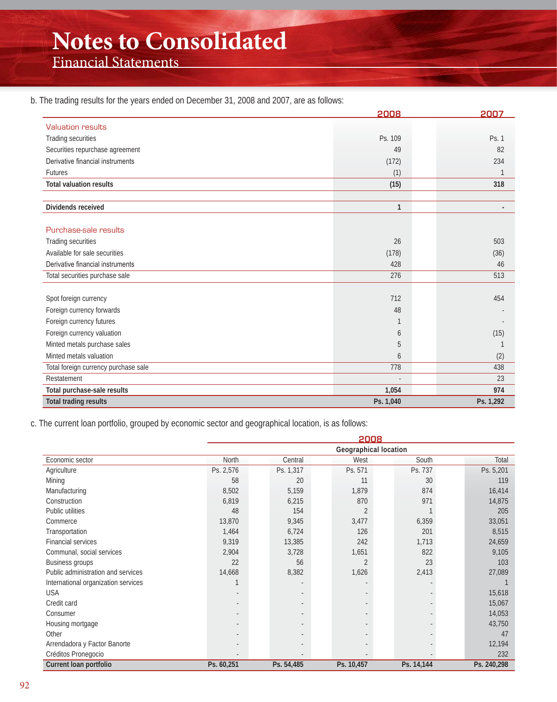# **Notes to Consolidated**

Financial Statements

#### b. The trading results for the years ended on December 31, 2008 and 2007, are as follows:

|                                      | 2008         | 2007      |
|--------------------------------------|--------------|-----------|
| <b>Valuation results</b>             |              |           |
| Trading securities                   | Ps. 109      | Ps. 1     |
| Securities repurchase agreement      | 49           | 82        |
| Derivative financial instruments     | (172)        | 234       |
| <b>Futures</b>                       | (1)          |           |
| <b>Total valuation results</b>       | (15)         | 318       |
| Dividends received                   | $\mathbf{1}$ |           |
| Purchase-sale results                |              |           |
| Trading securities                   | 26           | 503       |
| Available for sale securities        | (178)        | (36)      |
| Derivative financial instruments     | 428          | 46        |
| Total securities purchase sale       | 276          | 513       |
| Spot foreign currency                | 712          | 454       |
| Foreign currency forwards            | 48           |           |
| Foreign currency futures             | 1            |           |
| Foreign currency valuation           | 6            | (15)      |
| Minted metals purchase sales         | 5            |           |
| Minted metals valuation              | 6            | (2)       |
| Total foreign currency purchase sale | 778          | 438       |
| Restatement                          |              | 23        |
| Total purchase-sale results          | 1,054        | 974       |
| <b>Total trading results</b>         | Ps. 1,040    | Ps. 1,292 |

c. The current loan portfolio, grouped by economic sector and geographical location, is as follows:

|                                     | 2008       |            |                |                              |             |  |  |
|-------------------------------------|------------|------------|----------------|------------------------------|-------------|--|--|
|                                     |            |            |                | <b>Geographical location</b> |             |  |  |
| Economic sector                     | North      | Central    | West           | South                        | Total       |  |  |
| Agriculture                         | Ps. 2,576  | Ps. 1,317  | Ps. 571        | Ps. 737                      | Ps. 5,201   |  |  |
| Mining                              | 58         | 20         | 11             | 30                           | 119         |  |  |
| Manufacturing                       | 8,502      | 5,159      | 1,879          | 874                          | 16,414      |  |  |
| Construction                        | 6,819      | 6,215      | 870            | 971                          | 14,875      |  |  |
| Public utilities                    | 48         | 154        | $\overline{2}$ |                              | 205         |  |  |
| Commerce                            | 13,870     | 9,345      | 3,477          | 6,359                        | 33,051      |  |  |
| Transportation                      | 1,464      | 6,724      | 126            | 201                          | 8,515       |  |  |
| <b>Financial services</b>           | 9,319      | 13,385     | 242            | 1,713                        | 24,659      |  |  |
| Communal, social services           | 2,904      | 3,728      | 1,651          | 822                          | 9,105       |  |  |
| Business groups                     | 22         | 56         | $\overline{2}$ | 23                           | 103         |  |  |
| Public administration and services  | 14,668     | 8,382      | 1,626          | 2,413                        | 27,089      |  |  |
| International organization services |            |            |                |                              |             |  |  |
| <b>USA</b>                          |            |            |                |                              | 15,618      |  |  |
| Credit card                         |            |            |                |                              | 15,067      |  |  |
| Consumer                            |            |            |                |                              | 14,053      |  |  |
| Housing mortgage                    |            |            |                |                              | 43,750      |  |  |
| Other                               |            |            |                |                              | 47          |  |  |
| Arrendadora y Factor Banorte        |            |            |                |                              | 12,194      |  |  |
| Créditos Pronegocio                 |            |            |                |                              | 232         |  |  |
| Current Ioan portfolio              | Ps. 60,251 | Ps. 54,485 | Ps. 10,457     | Ps. 14,144                   | Ps. 240,298 |  |  |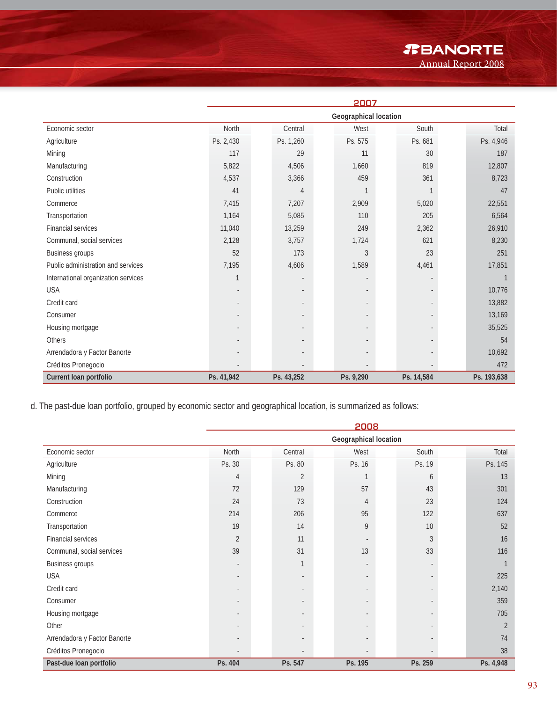### *R***BANORTE**

Annual Report 2008

|                                     | 2007       |            |                       |            |             |  |  |
|-------------------------------------|------------|------------|-----------------------|------------|-------------|--|--|
|                                     |            |            | Geographical location |            |             |  |  |
| Economic sector                     | North      | Central    | West                  | South      | Total       |  |  |
| Agriculture                         | Ps. 2,430  | Ps. 1,260  | Ps. 575               | Ps. 681    | Ps. 4,946   |  |  |
| Mining                              | 117        | 29         | 11                    | 30         | 187         |  |  |
| Manufacturing                       | 5,822      | 4,506      | 1,660                 | 819        | 12,807      |  |  |
| Construction                        | 4,537      | 3,366      | 459                   | 361        | 8,723       |  |  |
| Public utilities                    | 41         | 4          | $\mathbf 1$           |            | 47          |  |  |
| Commerce                            | 7,415      | 7,207      | 2,909                 | 5,020      | 22,551      |  |  |
| Transportation                      | 1,164      | 5,085      | 110                   | 205        | 6,564       |  |  |
| <b>Financial services</b>           | 11,040     | 13,259     | 249                   | 2,362      | 26,910      |  |  |
| Communal, social services           | 2,128      | 3,757      | 1,724                 | 621        | 8,230       |  |  |
| <b>Business groups</b>              | 52         | 173        | $\mathfrak{Z}$        | 23         | 251         |  |  |
| Public administration and services  | 7,195      | 4,606      | 1,589                 | 4,461      | 17,851      |  |  |
| International organization services | 1          |            |                       |            |             |  |  |
| <b>USA</b>                          |            |            |                       |            | 10,776      |  |  |
| Credit card                         |            |            |                       |            | 13,882      |  |  |
| Consumer                            |            |            |                       |            | 13,169      |  |  |
| Housing mortgage                    |            |            |                       |            | 35,525      |  |  |
| <b>Others</b>                       |            |            |                       |            | 54          |  |  |
| Arrendadora y Factor Banorte        |            |            |                       |            | 10,692      |  |  |
| Créditos Pronegocio                 |            |            |                       |            | 472         |  |  |
| Current Ioan portfolio              | Ps. 41,942 | Ps. 43,252 | Ps. 9,290             | Ps. 14,584 | Ps. 193,638 |  |  |

d. The past-due loan portfolio, grouped by economic sector and geographical location, is summarized as follows:

|                              | 2008                     |                |                       |         |                |  |  |
|------------------------------|--------------------------|----------------|-----------------------|---------|----------------|--|--|
|                              |                          |                | Geographical location |         |                |  |  |
| Economic sector              | North                    | Central        | West                  | South   | Total          |  |  |
| Agriculture                  | Ps. 30                   | Ps. 80         | Ps. 16                | Ps. 19  | Ps. 145        |  |  |
| Mining                       | 4                        | $\overline{2}$ | 1                     | 6       | 13             |  |  |
| Manufacturing                | 72                       | 129            | 57                    | 43      | 301            |  |  |
| Construction                 | 24                       | 73             | 4                     | 23      | 124            |  |  |
| Commerce                     | 214                      | 206            | 95                    | 122     | 637            |  |  |
| Transportation               | 19                       | 14             | 9                     | 10      | 52             |  |  |
| Financial services           | $\overline{2}$           | 11             |                       | 3       | 16             |  |  |
| Communal, social services    | 39                       | 31             | 13                    | 33      | 116            |  |  |
| Business groups              | $\overline{\phantom{m}}$ | 1              |                       |         |                |  |  |
| <b>USA</b>                   | $\overline{\phantom{a}}$ | ٠              |                       |         | 225            |  |  |
| Credit card                  | $\overline{\phantom{a}}$ |                |                       |         | 2,140          |  |  |
| Consumer                     |                          |                |                       |         | 359            |  |  |
| Housing mortgage             | $\overline{\phantom{m}}$ |                |                       |         | 705            |  |  |
| Other                        | $\overline{a}$           |                |                       |         | $\overline{2}$ |  |  |
| Arrendadora y Factor Banorte |                          |                |                       |         | 74             |  |  |
| Créditos Pronegocio          |                          |                |                       |         | 38             |  |  |
| Past-due loan portfolio      | Ps. 404                  | Ps. 547        | Ps. 195               | Ps. 259 | Ps. 4,948      |  |  |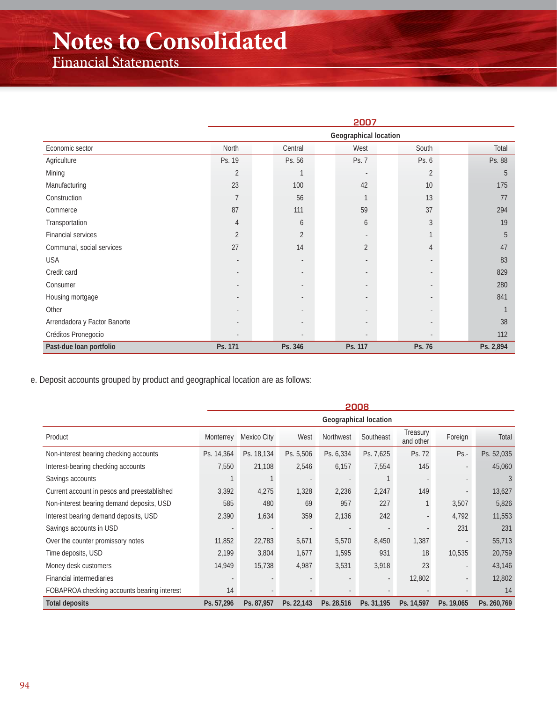## **Notes to Consolidated**

Financial Statements

|                              | 2007           |                          |                          |                |           |  |  |  |  |
|------------------------------|----------------|--------------------------|--------------------------|----------------|-----------|--|--|--|--|
|                              |                | Geographical location    |                          |                |           |  |  |  |  |
| Economic sector              | North          | Central                  | West                     | South          | Total     |  |  |  |  |
| Agriculture                  | Ps. 19         | Ps. 56                   | Ps. 7                    | Ps. 6          | Ps. 88    |  |  |  |  |
| Mining                       | $\overline{2}$ |                          | $\overline{\phantom{a}}$ | $\overline{2}$ | 5         |  |  |  |  |
| Manufacturing                | 23             | 100                      | 42                       | 10             | 175       |  |  |  |  |
| Construction                 | $\overline{7}$ | 56                       |                          | 13             | 77        |  |  |  |  |
| Commerce                     | 87             | 111                      | 59                       | 37             | 294       |  |  |  |  |
| Transportation               | 4              | 6                        | 6                        | 3              | 19        |  |  |  |  |
| Financial services           | $\overline{2}$ | $\overline{2}$           |                          |                | 5         |  |  |  |  |
| Communal, social services    | 27             | 14                       | $\overline{2}$           | 4              | 47        |  |  |  |  |
| <b>USA</b>                   |                | $\overline{\phantom{a}}$ |                          |                | 83        |  |  |  |  |
| Credit card                  |                |                          |                          |                | 829       |  |  |  |  |
| Consumer                     |                |                          |                          |                | 280       |  |  |  |  |
| Housing mortgage             |                |                          |                          |                | 841       |  |  |  |  |
| Other                        |                |                          |                          |                |           |  |  |  |  |
| Arrendadora y Factor Banorte |                |                          |                          |                | 38        |  |  |  |  |
| Créditos Pronegocio          |                |                          |                          |                | 112       |  |  |  |  |
| Past-due loan portfolio      | Ps. 171        | Ps. 346                  | Ps. 117                  | Ps. 76         | Ps. 2,894 |  |  |  |  |

e. Deposit accounts grouped by product and geographical location are as follows:

|                                             | 2008                  |             |                          |                          |            |                       |            |             |
|---------------------------------------------|-----------------------|-------------|--------------------------|--------------------------|------------|-----------------------|------------|-------------|
|                                             | Geographical location |             |                          |                          |            |                       |            |             |
| Product                                     | Monterrey             | Mexico City | West                     | Northwest                | Southeast  | Treasury<br>and other | Foreign    | Total       |
| Non-interest bearing checking accounts      | Ps. 14,364            | Ps. 18,134  | Ps. 5,506                | Ps. 6,334                | Ps. 7,625  | Ps. 72                | $Ps. -$    | Ps. 52,035  |
| Interest-bearing checking accounts          | 7,550                 | 21,108      | 2,546                    | 6,157                    | 7,554      | 145                   |            | 45,060      |
| Savings accounts                            |                       |             | $\overline{\phantom{a}}$ |                          |            |                       |            | 3           |
| Current account in pesos and preestablished | 3,392                 | 4,275       | 1,328                    | 2,236                    | 2,247      | 149                   |            | 13,627      |
| Non-interest bearing demand deposits, USD   | 585                   | 480         | 69                       | 957                      | 227        |                       | 3,507      | 5,826       |
| Interest bearing demand deposits, USD       | 2,390                 | 1,634       | 359                      | 2,136                    | 242        |                       | 4,792      | 11,553      |
| Savings accounts in USD                     |                       |             | $\overline{\phantom{a}}$ | $\overline{\phantom{a}}$ |            |                       | 231        | 231         |
| Over the counter promissory notes           | 11,852                | 22,783      | 5,671                    | 5,570                    | 8,450      | 1,387                 |            | 55,713      |
| Time deposits, USD                          | 2,199                 | 3,804       | 1,677                    | 1,595                    | 931        | 18                    | 10,535     | 20,759      |
| Money desk customers                        | 14,949                | 15,738      | 4,987                    | 3,531                    | 3,918      | 23                    |            | 43,146      |
| <b>Financial intermediaries</b>             |                       |             |                          |                          |            | 12,802                |            | 12,802      |
| FOBAPROA checking accounts bearing interest | 14                    |             |                          |                          |            |                       |            | 14          |
| <b>Total deposits</b>                       | Ps. 57,296            | Ps. 87,957  | Ps. 22,143               | Ps. 28,516               | Ps. 31,195 | Ps. 14,597            | Ps. 19,065 | Ps. 260,769 |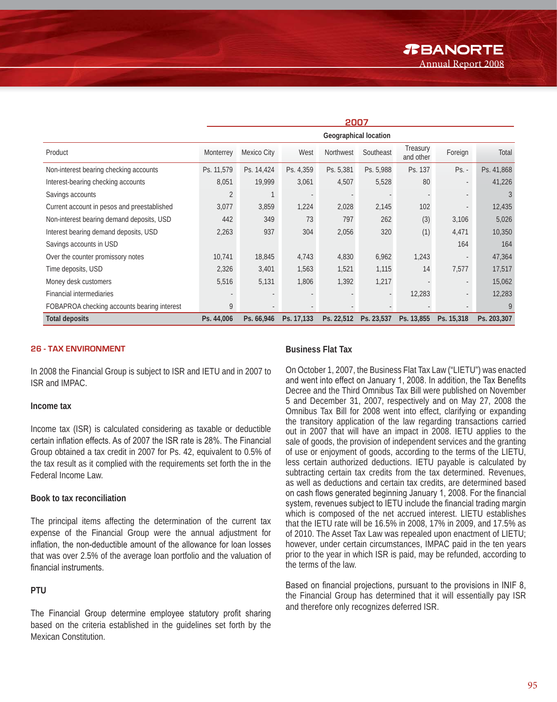|                                             | 2007                  |             |            |                  |            |                       |            |             |
|---------------------------------------------|-----------------------|-------------|------------|------------------|------------|-----------------------|------------|-------------|
|                                             | Geographical location |             |            |                  |            |                       |            |             |
| Product                                     | Monterrey             | Mexico City | West       | <b>Northwest</b> | Southeast  | Treasury<br>and other | Foreign    | Total       |
| Non-interest bearing checking accounts      | Ps. 11,579            | Ps. 14,424  | Ps. 4,359  | Ps. 5,381        | Ps. 5,988  | Ps. 137               | $Ps. -$    | Ps. 41,868  |
| Interest-bearing checking accounts          | 8,051                 | 19,999      | 3,061      | 4,507            | 5,528      | 80                    |            | 41,226      |
| Savings accounts                            | $\overline{2}$        |             |            |                  |            |                       |            | 3           |
| Current account in pesos and preestablished | 3,077                 | 3,859       | 1,224      | 2,028            | 2,145      | 102                   |            | 12,435      |
| Non-interest bearing demand deposits, USD   | 442                   | 349         | 73         | 797              | 262        | (3)                   | 3,106      | 5,026       |
| Interest bearing demand deposits, USD       | 2,263                 | 937         | 304        | 2,056            | 320        | (1)                   | 4,471      | 10,350      |
| Savings accounts in USD                     |                       |             |            |                  |            |                       | 164        | 164         |
| Over the counter promissory notes           | 10,741                | 18,845      | 4,743      | 4,830            | 6,962      | 1,243                 |            | 47,364      |
| Time deposits, USD                          | 2,326                 | 3,401       | 1,563      | 1,521            | 1,115      | 14                    | 7,577      | 17,517      |
| Money desk customers                        | 5,516                 | 5,131       | 1,806      | 1,392            | 1,217      |                       |            | 15,062      |
| Financial intermediaries                    |                       |             |            |                  |            | 12,283                |            | 12,283      |
| FOBAPROA checking accounts bearing interest | 9                     |             |            |                  |            |                       |            | 9           |
| <b>Total deposits</b>                       | Ps. 44,006            | Ps. 66,946  | Ps. 17,133 | Ps. 22,512       | Ps. 23,537 | Ps. 13,855            | Ps. 15,318 | Ps. 203,307 |

#### **26 - TAX ENVIRONMENT**

In 2008 the Financial Group is subject to ISR and IETU and in 2007 to ISR and IMPAC.

#### **Income tax**

Income tax (ISR) is calculated considering as taxable or deductible certain inflation effects. As of 2007 the ISR rate is 28%. The Financial Group obtained a tax credit in 2007 for Ps. 42, equivalent to 0.5% of the tax result as it complied with the requirements set forth the in the Federal Income Law.

#### **Book to tax reconciliation**

The principal items affecting the determination of the current tax expense of the Financial Group were the annual adjustment for inflation, the non-deductible amount of the allowance for loan losses that was over 2.5% of the average loan portfolio and the valuation of financial instruments.

#### **PTU**

The Financial Group determine employee statutory profit sharing based on the criteria established in the guidelines set forth by the Mexican Constitution.

#### **Business Flat Tax**

On October 1, 2007, the Business Flat Tax Law ("LIETU") was enacted and went into effect on January 1, 2008. In addition, the Tax Benefits Decree and the Third Omnibus Tax Bill were published on November 5 and December 31, 2007, respectively and on May 27, 2008 the Omnibus Tax Bill for 2008 went into effect, clarifying or expanding the transitory application of the law regarding transactions carried out in 2007 that will have an impact in 2008. IETU applies to the sale of goods, the provision of independent services and the granting of use or enjoyment of goods, according to the terms of the LIETU, less certain authorized deductions. IETU payable is calculated by subtracting certain tax credits from the tax determined. Revenues, as well as deductions and certain tax credits, are determined based on cash flows generated beginning January 1, 2008. For the financial system, revenues subject to IETU include the financial trading margin which is composed of the net accrued interest. LIETU establishes that the IETU rate will be 16.5% in 2008, 17% in 2009, and 17.5% as of 2010. The Asset Tax Law was repealed upon enactment of LIETU; however, under certain circumstances, IMPAC paid in the ten years prior to the year in which ISR is paid, may be refunded, according to the terms of the law.

Based on financial projections, pursuant to the provisions in INIF 8, the Financial Group has determined that it will essentially pay ISR and therefore only recognizes deferred ISR.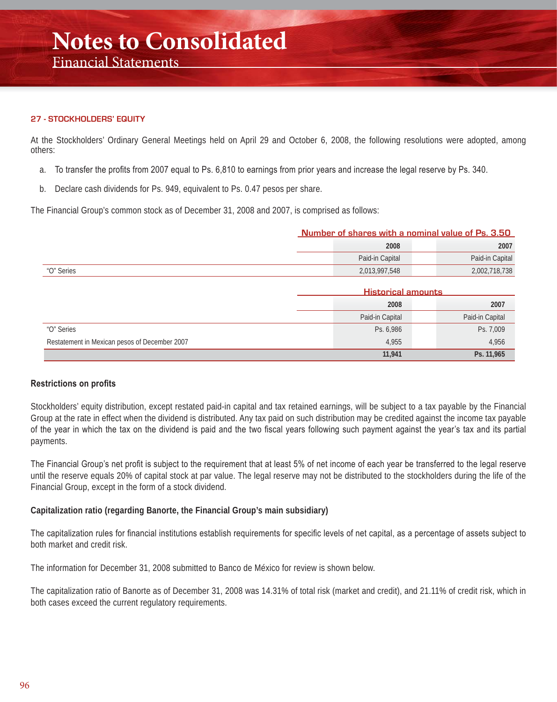### Financial Statements

#### **27 - STOCKHOLDERS' EQUITY**

At the Stockholders' Ordinary General Meetings held on April 29 and October 6, 2008, the following resolutions were adopted, among others:

- a. To transfer the profits from 2007 equal to Ps. 6,810 to earnings from prior years and increase the legal reserve by Ps. 340.
- b. Declare cash dividends for Ps. 949, equivalent to Ps. 0.47 pesos per share.

The Financial Group's common stock as of December 31, 2008 and 2007, is comprised as follows:

|            | Number of shares with a nominal value of Ps. 3.50 |                 |                 |
|------------|---------------------------------------------------|-----------------|-----------------|
|            | 2008                                              |                 |                 |
|            |                                                   | Paid-in Capital | Paid-in Capital |
| "O" Series |                                                   | 2.013.997.548   | 2,002,718,738   |

|                                               | <b>Historical amounts</b> |                 |  |
|-----------------------------------------------|---------------------------|-----------------|--|
|                                               | 2008                      | 2007            |  |
|                                               | Paid-in Capital           | Paid-in Capital |  |
| "O" Series                                    | Ps. 6,986                 | Ps. 7,009       |  |
| Restatement in Mexican pesos of December 2007 | 4,955                     | 4,956           |  |
|                                               | 11,941                    | Ps. 11,965      |  |

#### **Restrictions on profits**

Stockholders' equity distribution, except restated paid-in capital and tax retained earnings, will be subject to a tax payable by the Financial Group at the rate in effect when the dividend is distributed. Any tax paid on such distribution may be credited against the income tax payable of the year in which the tax on the dividend is paid and the two fiscal years following such payment against the year's tax and its partial payments.

The Financial Group's net profit is subject to the requirement that at least 5% of net income of each year be transferred to the legal reserve until the reserve equals 20% of capital stock at par value. The legal reserve may not be distributed to the stockholders during the life of the Financial Group, except in the form of a stock dividend.

#### **Capitalization ratio (regarding Banorte, the Financial Group's main subsidiary)**

The capitalization rules for financial institutions establish requirements for specific levels of net capital, as a percentage of assets subject to both market and credit risk.

The information for December 31, 2008 submitted to Banco de México for review is shown below.

The capitalization ratio of Banorte as of December 31, 2008 was 14.31% of total risk (market and credit), and 21.11% of credit risk, which in both cases exceed the current regulatory requirements.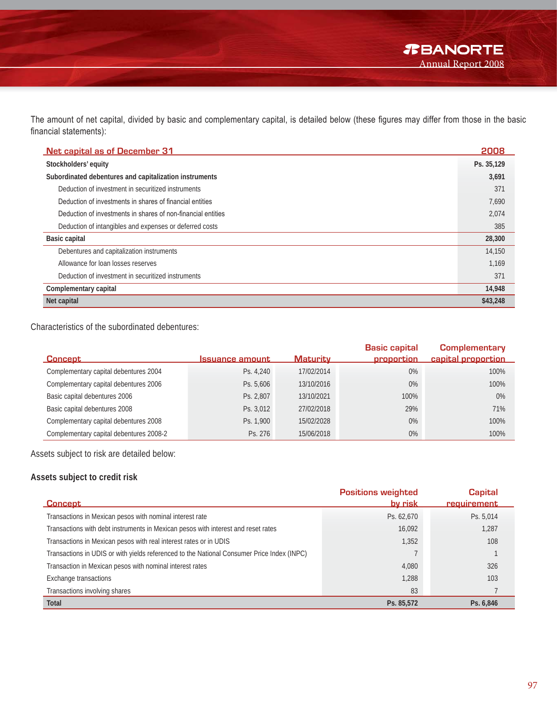The amount of net capital, divided by basic and complementary capital, is detailed below (these figures may differ from those in the basic financial statements):

| <b>Net capital as of December 31</b>                         | 2008       |
|--------------------------------------------------------------|------------|
| Stockholders' equity                                         | Ps. 35,129 |
| Subordinated debentures and capitalization instruments       | 3,691      |
| Deduction of investment in securitized instruments           | 371        |
| Deduction of investments in shares of financial entities     | 7,690      |
| Deduction of investments in shares of non-financial entities | 2,074      |
| Deduction of intangibles and expenses or deferred costs      | 385        |
| <b>Basic capital</b>                                         | 28,300     |
| Debentures and capitalization instruments                    | 14,150     |
| Allowance for loan losses reserves                           | 1.169      |
| Deduction of investment in securitized instruments           | 371        |
| Complementary capital                                        | 14,948     |
| Net capital                                                  | \$43,248   |

Characteristics of the subordinated debentures:

| <b>Concept</b>                          | <b>Issuance amount</b> | <b>Maturity</b> | <b>Basic capital</b><br>proportion | <b>Complementary</b><br>capital proportion |
|-----------------------------------------|------------------------|-----------------|------------------------------------|--------------------------------------------|
| Complementary capital debentures 2004   | Ps. 4.240              | 17/02/2014      | 0%                                 | 100%                                       |
| Complementary capital debentures 2006   | Ps. 5,606              | 13/10/2016      | 0%                                 | 100%                                       |
| Basic capital debentures 2006           | Ps. 2,807              | 13/10/2021      | 100%                               | 0%                                         |
| Basic capital debentures 2008           | Ps. 3,012              | 27/02/2018      | 29%                                | 71%                                        |
| Complementary capital debentures 2008   | Ps. 1.900              | 15/02/2028      | 0%                                 | 100%                                       |
| Complementary capital debentures 2008-2 | Ps. 276                | 15/06/2018      | 0%                                 | 100%                                       |

Assets subject to risk are detailed below:

#### **Assets subject to credit risk**

|                                                                                            | <b>Positions weighted</b> | <b>Capital</b> |
|--------------------------------------------------------------------------------------------|---------------------------|----------------|
| <b>Concept</b>                                                                             | <u>bv risk</u>            | requirement    |
| Transactions in Mexican pesos with nominal interest rate                                   | Ps. 62,670                | Ps. 5,014      |
| Transactions with debt instruments in Mexican pesos with interest and reset rates          | 16,092                    | 1.287          |
| Transactions in Mexican pesos with real interest rates or in UDIS                          | 1.352                     | 108            |
| Transactions in UDIS or with yields referenced to the National Consumer Price Index (INPC) |                           |                |
| Transaction in Mexican pesos with nominal interest rates                                   | 4,080                     | 326            |
| Exchange transactions                                                                      | 1,288                     | 103            |
| Transactions involving shares                                                              | 83                        |                |
| <b>Total</b>                                                                               | Ps. 85,572                | Ps. 6,846      |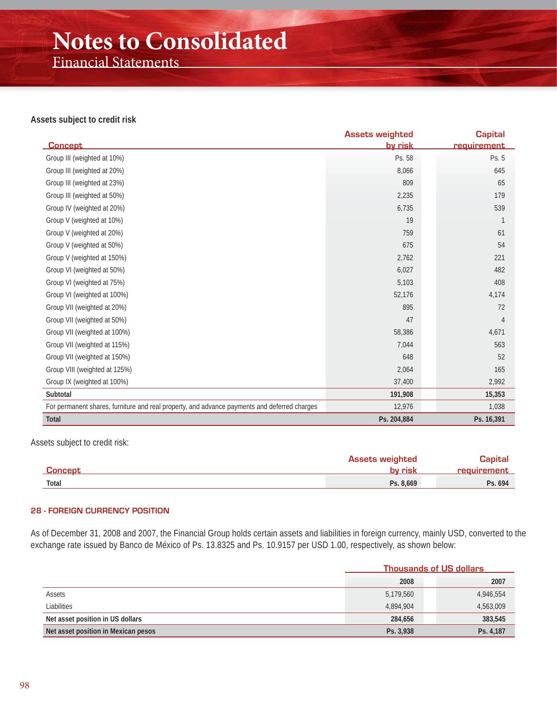## **Notes to Consolidated**

Financial Statements

#### **Assets subject to credit risk**

|                                                                                              | <b>Assets weighted</b> | <b>Capital</b> |
|----------------------------------------------------------------------------------------------|------------------------|----------------|
| <b>Concept</b>                                                                               | <u>by risk</u>         | requirement    |
| Group III (weighted at 10%)                                                                  | Ps. 58                 | Ps. 5          |
| Group III (weighted at 20%)                                                                  | 8,066                  | 645            |
| Group III (weighted at 23%)                                                                  | 809                    | 65             |
| Group III (weighted at 50%)                                                                  | 2,235                  | 179            |
| Group IV (weighted at 20%)                                                                   | 6,735                  | 539            |
| Group V (weighted at 10%)                                                                    | 19                     |                |
| Group V (weighted at 20%)                                                                    | 759                    | 61             |
| Group V (weighted at 50%)                                                                    | 675                    | 54             |
| Group V (weighted at 150%)                                                                   | 2,762                  | 221            |
| Group VI (weighted at 50%)                                                                   | 6,027                  | 482            |
| Group VI (weighted at 75%)                                                                   | 5,103                  | 408            |
| Group VI (weighted at 100%)                                                                  | 52,176                 | 4,174          |
| Group VII (weighted at 20%)                                                                  | 895                    | 72             |
| Group VII (weighted at 50%)                                                                  | 47                     | 4              |
| Group VII (weighted at 100%)                                                                 | 58,386                 | 4,671          |
| Group VII (weighted at 115%)                                                                 | 7,044                  | 563            |
| Group VII (weighted at 150%)                                                                 | 648                    | 52             |
| Group VIII (weighted at 125%)                                                                | 2,064                  | 165            |
| Group IX (weighted at 100%)                                                                  | 37,400                 | 2,992          |
| Subtotal                                                                                     | 191,908                | 15,353         |
| For permanent shares, furniture and real property, and advance payments and deferred charges | 12,976                 | 1,038          |
| <b>Total</b>                                                                                 | Ps. 204,884            | Ps. 16,391     |

#### Assets subject to credit risk:

|                | <b>Assets weighted</b> | <b>Capital</b> |
|----------------|------------------------|----------------|
| <b>Concept</b> | by risk                | requirement    |
| Total          | Ps. 8,669              | Ps. 694        |

#### **28 - FOREIGN CURRENCY POSITION**

As of December 31, 2008 and 2007, the Financial Group holds certain assets and liabilities in foreign currency, mainly USD, converted to the exchange rate issued by Banco de México of Ps. 13.8325 and Ps. 10.9157 per USD 1.00, respectively, as shown below:

|                                     | <b>Thousands of US dollars</b> |           |  |
|-------------------------------------|--------------------------------|-----------|--|
|                                     | 2008                           | 2007      |  |
| Assets                              | 5,179,560                      | 4,946,554 |  |
| Liabilities                         | 4.894.904                      | 4,563,009 |  |
| Net asset position in US dollars    | 284.656                        | 383,545   |  |
| Net asset position in Mexican pesos | Ps. 3.938                      | Ps. 4,187 |  |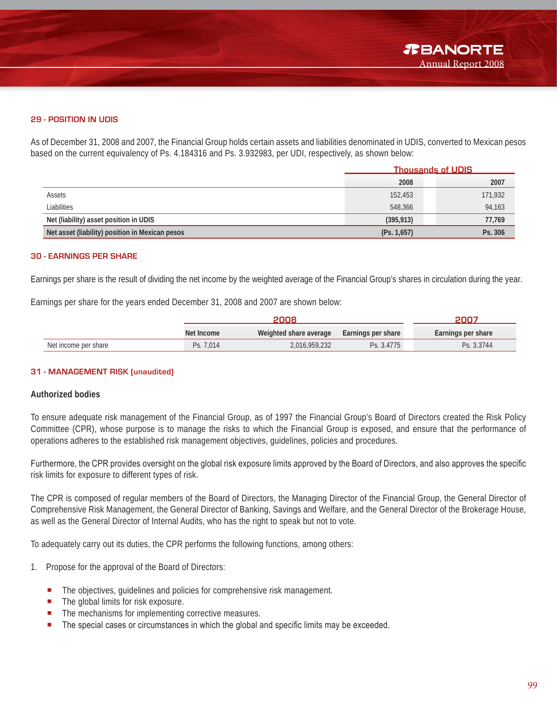#### **29 - POSITION IN UDIS**

As of December 31, 2008 and 2007, the Financial Group holds certain assets and liabilities denominated in UDIS, converted to Mexican pesos based on the current equivalency of Ps. 4.184316 and Ps. 3.932983, per UDI, respectively, as shown below:

|                                                 |             | <b>Thousands of UDIS</b> |  |  |
|-------------------------------------------------|-------------|--------------------------|--|--|
|                                                 | 2008        | 2007                     |  |  |
| Assets                                          | 152,453     | 171,932                  |  |  |
| Liabilities                                     | 548,366     | 94,163                   |  |  |
| Net (liability) asset position in UDIS          | (395, 913)  | 77,769                   |  |  |
| Net asset (liability) position in Mexican pesos | (Ps. 1,657) | Ps. 306                  |  |  |

#### **30 - EARNINGS PER SHARE**

Earnings per share is the result of dividing the net income by the weighted average of the Financial Group's shares in circulation during the year.

Earnings per share for the years ended December 31, 2008 and 2007 are shown below:

|                      | 2008       |                        |                    | דחחכ               |  |
|----------------------|------------|------------------------|--------------------|--------------------|--|
|                      | Net Income | Weighted share average | Earnings per share | Earnings per share |  |
| Net income per share | Ps. 7.014  | 2,016,959,232          | Ps. 3.4775         | Ps. 3.3744         |  |

#### **31 - MANAGEMENT RISK (unaudited)**

#### **Authorized bodies**

To ensure adequate risk management of the Financial Group, as of 1997 the Financial Group's Board of Directors created the Risk Policy Committee (CPR), whose purpose is to manage the risks to which the Financial Group is exposed, and ensure that the performance of operations adheres to the established risk management objectives, guidelines, policies and procedures.

Furthermore, the CPR provides oversight on the global risk exposure limits approved by the Board of Directors, and also approves the specific risk limits for exposure to different types of risk.

The CPR is composed of regular members of the Board of Directors, the Managing Director of the Financial Group, the General Director of Comprehensive Risk Management, the General Director of Banking, Savings and Welfare, and the General Director of the Brokerage House, as well as the General Director of Internal Audits, who has the right to speak but not to vote.

To adequately carry out its duties, the CPR performs the following functions, among others:

- 1. Propose for the approval of the Board of Directors:
	- The objectives, quidelines and policies for comprehensive risk management.
	- The global limits for risk exposure.
	- The mechanisms for implementing corrective measures.
	- The special cases or circumstances in which the global and specific limits may be exceeded.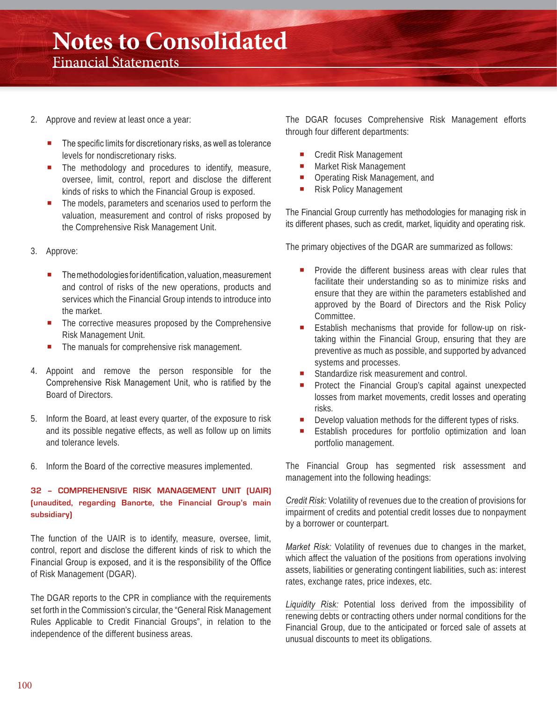- 2. Approve and review at least once a year:
	- The specific limits for discretionary risks, as well as tolerance levels for nondiscretionary risks.
	- The methodology and procedures to identify, measure, oversee, limit, control, report and disclose the different kinds of risks to which the Financial Group is exposed.
	- The models, parameters and scenarios used to perform the valuation, measurement and control of risks proposed by the Comprehensive Risk Management Unit.
- 3. Approve:
	- The methodologies for identification, valuation, measurement and control of risks of the new operations, products and services which the Financial Group intends to introduce into the market.
	- The corrective measures proposed by the Comprehensive Risk Management Unit.
	- The manuals for comprehensive risk management.
- 4. Appoint and remove the person responsible for the Comprehensive Risk Management Unit, who is ratified by the Board of Directors.
- 5. Inform the Board, at least every quarter, of the exposure to risk and its possible negative effects, as well as follow up on limits and tolerance levels.
- 6. Inform the Board of the corrective measures implemented.

#### **32 – COMPREHENSIVE RISK MANAGEMENT UNIT (UAIR) (unaudited, regarding Banorte, the Financial Group's main subsidiary)**

The function of the UAIR is to identify, measure, oversee, limit, control, report and disclose the different kinds of risk to which the Financial Group is exposed, and it is the responsibility of the Office of Risk Management (DGAR).

The DGAR reports to the CPR in compliance with the requirements set forth in the Commission's circular, the "General Risk Management Rules Applicable to Credit Financial Groups", in relation to the independence of the different business areas.

The DGAR focuses Comprehensive Risk Management efforts through four different departments:

- **Credit Risk Management**
- **Market Risk Management**
- **Operating Risk Management, and**
- **Risk Policy Management**

The Financial Group currently has methodologies for managing risk in its different phases, such as credit, market, liquidity and operating risk.

The primary objectives of the DGAR are summarized as follows:

- Provide the different business areas with clear rules that facilitate their understanding so as to minimize risks and ensure that they are within the parameters established and approved by the Board of Directors and the Risk Policy Committee.
- Establish mechanisms that provide for follow-up on risktaking within the Financial Group, ensuring that they are preventive as much as possible, and supported by advanced systems and processes.
- Standardize risk measurement and control.
- Protect the Financial Group's capital against unexpected losses from market movements, credit losses and operating risks.
- Develop valuation methods for the different types of risks.
- Establish procedures for portfolio optimization and loan portfolio management.

The Financial Group has segmented risk assessment and management into the following headings:

*Credit Risk:* Volatility of revenues due to the creation of provisions for impairment of credits and potential credit losses due to nonpayment by a borrower or counterpart.

*Market Risk:* Volatility of revenues due to changes in the market, which affect the valuation of the positions from operations involving assets, liabilities or generating contingent liabilities, such as: interest rates, exchange rates, price indexes, etc.

*Liquidity Risk:* Potential loss derived from the impossibility of renewing debts or contracting others under normal conditions for the Financial Group, due to the anticipated or forced sale of assets at unusual discounts to meet its obligations.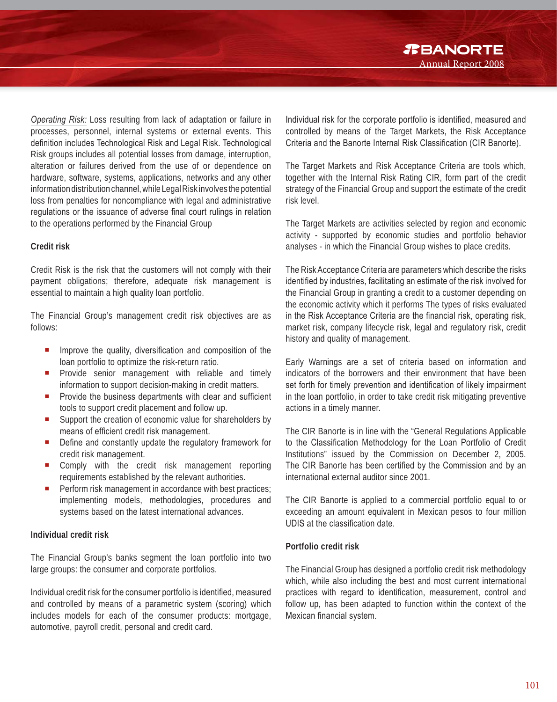*R***BANORTE** Annual Report 2008

*Operating Risk:* Loss resulting from lack of adaptation or failure in processes, personnel, internal systems or external events. This definition includes Technological Risk and Legal Risk. Technological Risk groups includes all potential losses from damage, interruption, alteration or failures derived from the use of or dependence on hardware, software, systems, applications, networks and any other information distribution channel, while Legal Risk involves the potential loss from penalties for noncompliance with legal and administrative requlations or the issuance of adverse final court rulings in relation to the operations performed by the Financial Group

#### **Credit risk**

Credit Risk is the risk that the customers will not comply with their payment obligations; therefore, adequate risk management is essential to maintain a high quality loan portfolio.

The Financial Group's management credit risk objectives are as follows:

- $\blacksquare$  Improve the quality, diversification and composition of the loan portfolio to optimize the risk-return ratio.
- **Provide senior management with reliable and timely** information to support decision-making in credit matters.
- **P** Provide the business departments with clear and sufficient tools to support credit placement and follow up.
- Support the creation of economic value for shareholders by means of efficient credit risk management.
- Define and constantly update the regulatory framework for credit risk management.
- Comply with the credit risk management reporting requirements established by the relevant authorities.
- **Perform risk management in accordance with best practices;** implementing models, methodologies, procedures and systems based on the latest international advances.

#### **Individual credit risk**

The Financial Group's banks segment the loan portfolio into two large groups: the consumer and corporate portfolios.

Individual credit risk for the consumer portfolio is identified, measured and controlled by means of a parametric system (scoring) which includes models for each of the consumer products: mortgage, automotive, payroll credit, personal and credit card.

Individual risk for the corporate portfolio is identified, measured and controlled by means of the Target Markets, the Risk Acceptance Criteria and the Banorte Internal Risk Classification (CIR Banorte).

The Target Markets and Risk Acceptance Criteria are tools which, together with the Internal Risk Rating CIR, form part of the credit strategy of the Financial Group and support the estimate of the credit risk level.

The Target Markets are activities selected by region and economic activity - supported by economic studies and portfolio behavior analyses - in which the Financial Group wishes to place credits.

The Risk Acceptance Criteria are parameters which describe the risks identified by industries, facilitating an estimate of the risk involved for the Financial Group in granting a credit to a customer depending on the economic activity which it performs The types of risks evaluated in the Risk Acceptance Criteria are the financial risk, operating risk, market risk, company lifecycle risk, legal and regulatory risk, credit history and quality of management.

Early Warnings are a set of criteria based on information and indicators of the borrowers and their environment that have been set forth for timely prevention and identification of likely impairment in the loan portfolio, in order to take credit risk mitigating preventive actions in a timely manner.

The CIR Banorte is in line with the "General Regulations Applicable to the Classification Methodology for the Loan Portfolio of Credit Institutions" issued by the Commission on December 2, 2005. The CIR Banorte has been certified by the Commission and by an international external auditor since 2001.

The CIR Banorte is applied to a commercial portfolio equal to or exceeding an amount equivalent in Mexican pesos to four million UDIS at the classification date.

#### **Portfolio credit risk**

The Financial Group has designed a portfolio credit risk methodology which, while also including the best and most current international practices with regard to identification, measurement, control and follow up, has been adapted to function within the context of the Mexican financial system.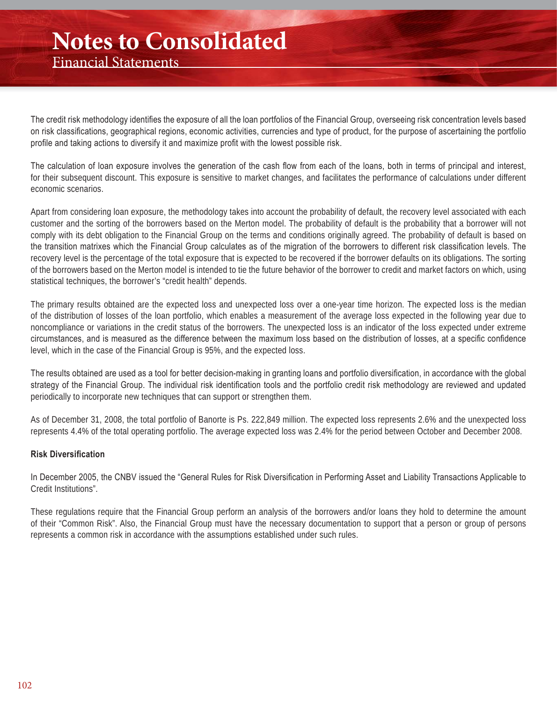## **Notes to Consolidated**

Financial Statements

The credit risk methodology identifies the exposure of all the loan portfolios of the Financial Group, overseeing risk concentration levels based on risk classifications, geographical regions, economic activities, currencies and type of product, for the purpose of ascertaining the portfolio profile and taking actions to diversify it and maximize profit with the lowest possible risk.

The calculation of loan exposure involves the generation of the cash flow from each of the loans, both in terms of principal and interest, for their subsequent discount. This exposure is sensitive to market changes, and facilitates the performance of calculations under different economic scenarios.

Apart from considering loan exposure, the methodology takes into account the probability of default, the recovery level associated with each customer and the sorting of the borrowers based on the Merton model. The probability of default is the probability that a borrower will not comply with its debt obligation to the Financial Group on the terms and conditions originally agreed. The probability of default is based on the transition matrixes which the Financial Group calculates as of the migration of the borrowers to different risk classification levels. The recovery level is the percentage of the total exposure that is expected to be recovered if the borrower defaults on its obligations. The sorting of the borrowers based on the Merton model is intended to tie the future behavior of the borrower to credit and market factors on which, using statistical techniques, the borrower's "credit health" depends.

The primary results obtained are the expected loss and unexpected loss over a one-year time horizon. The expected loss is the median of the distribution of losses of the loan portfolio, which enables a measurement of the average loss expected in the following year due to noncompliance or variations in the credit status of the borrowers. The unexpected loss is an indicator of the loss expected under extreme circumstances, and is measured as the difference between the maximum loss based on the distribution of losses, at a specific confidence level, which in the case of the Financial Group is 95%, and the expected loss.

The results obtained are used as a tool for better decision-making in granting loans and portfolio diversification, in accordance with the global strategy of the Financial Group. The individual risk identification tools and the portfolio credit risk methodology are reviewed and updated periodically to incorporate new techniques that can support or strengthen them.

As of December 31, 2008, the total portfolio of Banorte is Ps. 222,849 million. The expected loss represents 2.6% and the unexpected loss represents 4.4% of the total operating portfolio. The average expected loss was 2.4% for the period between October and December 2008.

#### **Risk Diversification**

In December 2005, the CNBV issued the "General Rules for Risk Diversification in Performing Asset and Liability Transactions Applicable to Credit Institutions".

These regulations require that the Financial Group perform an analysis of the borrowers and/or loans they hold to determine the amount of their "Common Risk". Also, the Financial Group must have the necessary documentation to support that a person or group of persons represents a common risk in accordance with the assumptions established under such rules.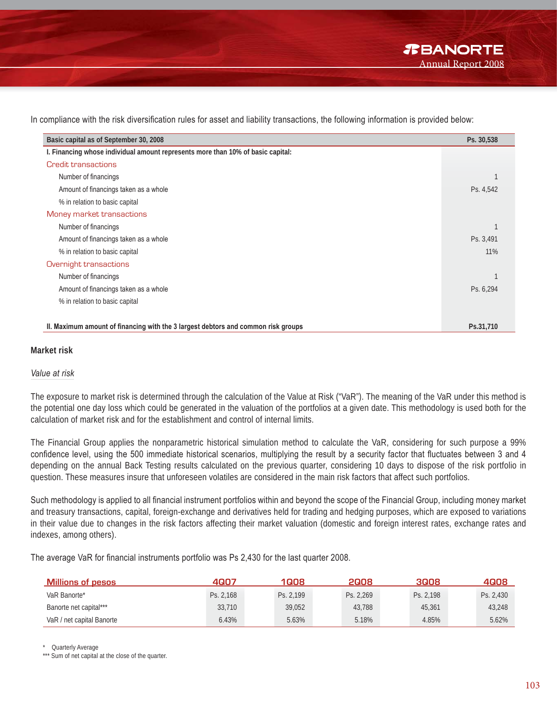In compliance with the risk diversification rules for asset and liability transactions, the following information is provided below:

| Basic capital as of September 30, 2008                                            | Ps. 30,538 |
|-----------------------------------------------------------------------------------|------------|
| I. Financing whose individual amount represents more than 10% of basic capital:   |            |
| Credit transactions                                                               |            |
| Number of financings                                                              |            |
| Amount of financings taken as a whole                                             | Ps. 4,542  |
| % in relation to basic capital                                                    |            |
| Money market transactions                                                         |            |
| Number of financings                                                              |            |
| Amount of financings taken as a whole                                             | Ps. 3,491  |
| % in relation to basic capital                                                    | 11%        |
| Overnight transactions                                                            |            |
| Number of financings                                                              |            |
| Amount of financings taken as a whole                                             | Ps. 6,294  |
| % in relation to basic capital                                                    |            |
|                                                                                   |            |
| II. Maximum amount of financing with the 3 largest debtors and common risk groups | Ps.31,710  |

#### **Market risk**

#### *Value at risk*

The exposure to market risk is determined through the calculation of the Value at Risk ("VaR"). The meaning of the VaR under this method is the potential one day loss which could be generated in the valuation of the portfolios at a given date. This methodology is used both for the calculation of market risk and for the establishment and control of internal limits.

The Financial Group applies the nonparametric historical simulation method to calculate the VaR, considering for such purpose a 99% confidence level, using the 500 immediate historical scenarios, multiplying the result by a security factor that fluctuates between 3 and 4 depending on the annual Back Testing results calculated on the previous quarter, considering 10 days to dispose of the risk portfolio in question. These measures insure that unforeseen volatiles are considered in the main risk factors that affect such portfolios.

Such methodology is applied to all financial instrument portfolios within and beyond the scope of the Financial Group, including money market and treasury transactions, capital, foreign-exchange and derivatives held for trading and hedging purposes, which are exposed to variations in their value due to changes in the risk factors affecting their market valuation (domestic and foreign interest rates, exchange rates and indexes, among others).

The average VaR for financial instruments portfolio was Ps 2,430 for the last quarter 2008.

| <b>Millions of pesos</b>  | 4007      | 1008      | 2008      | 3008      | 4008      |
|---------------------------|-----------|-----------|-----------|-----------|-----------|
| VaR Banorte*              | Ps. 2,168 | Ps. 2.199 | Ps. 2,269 | Ps. 2.198 | Ps. 2,430 |
| Banorte net capital***    | 33,710    | 39.052    | 43.788    | 45,361    | 43,248    |
| VaR / net capital Banorte | 6.43%     | 5.63%     | 5.18%     | 4.85%     | 5.62%     |

Quarterly Average

<sup>\*\*\*</sup> Sum of net capital at the close of the quarter.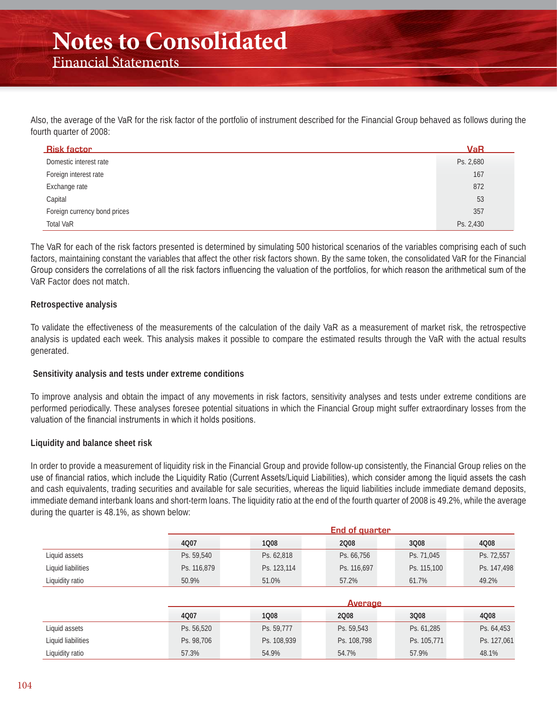Also, the average of the VaR for the risk factor of the portfolio of instrument described for the Financial Group behaved as follows during the fourth quarter of 2008:

| <b>Risk factor</b>           | <b>VaR</b> |
|------------------------------|------------|
| Domestic interest rate       | Ps. 2,680  |
| Foreign interest rate        | 167        |
| Exchange rate                | 872        |
| Capital                      | 53         |
| Foreign currency bond prices | 357        |
| <b>Total VaR</b>             | Ps. 2,430  |

The VaR for each of the risk factors presented is determined by simulating 500 historical scenarios of the variables comprising each of such factors, maintaining constant the variables that affect the other risk factors shown. By the same token, the consolidated VaR for the Financial Group considers the correlations of all the risk factors influencing the valuation of the portfolios, for which reason the arithmetical sum of the VaR Factor does not match.

#### **Retrospective analysis**

To validate the effectiveness of the measurements of the calculation of the daily VaR as a measurement of market risk, the retrospective analysis is updated each week. This analysis makes it possible to compare the estimated results through the VaR with the actual results generated.

#### **Sensitivity analysis and tests under extreme conditions**

To improve analysis and obtain the impact of any movements in risk factors, sensitivity analyses and tests under extreme conditions are performed periodically. These analyses foresee potential situations in which the Financial Group might suffer extraordinary losses from the valuation of the financial instruments in which it holds positions.

#### **Liquidity and balance sheet risk**

In order to provide a measurement of liquidity risk in the Financial Group and provide follow-up consistently, the Financial Group relies on the use of financial ratios, which include the Liquidity Ratio (Current Assets/Liquid Liabilities), which consider among the liquid assets the cash and cash equivalents, trading securities and available for sale securities, whereas the liquid liabilities include immediate demand deposits, immediate demand interbank loans and short-term loans. The liquidity ratio at the end of the fourth quarter of 2008 is 49.2%, while the average during the quarter is 48.1%, as shown below:

|                    |             |                | <b>End of quarter</b> |             |             |
|--------------------|-------------|----------------|-----------------------|-------------|-------------|
|                    | 4007        | 1008           | 2008                  | 3Q08        | 4008        |
| Liquid assets      | Ps. 59,540  | Ps. 62,818     | Ps. 66,756            | Ps. 71,045  | Ps. 72,557  |
| Liquid liabilities | Ps. 116,879 | Ps. 123,114    | Ps. 116,697           | Ps. 115,100 | Ps. 147,498 |
| Liquidity ratio    | 50.9%       | 51.0%          | 57.2%                 | 61.7%       | 49.2%       |
|                    |             |                |                       |             |             |
|                    |             | <b>Average</b> |                       |             |             |
|                    | 4007        | 1008           | 2008                  | 3Q08        | 4008        |
| Liquid assets      | Ps. 56,520  | Ps. 59,777     | Ps. 59,543            | Ps. 61,285  | Ps. 64,453  |
| Liquid liabilities | Ps. 98,706  | Ps. 108,939    | Ps. 108,798           | Ps. 105,771 | Ps. 127,061 |
| Liquidity ratio    | 57.3%       | 54.9%          | 54.7%                 | 57.9%       | 48.1%       |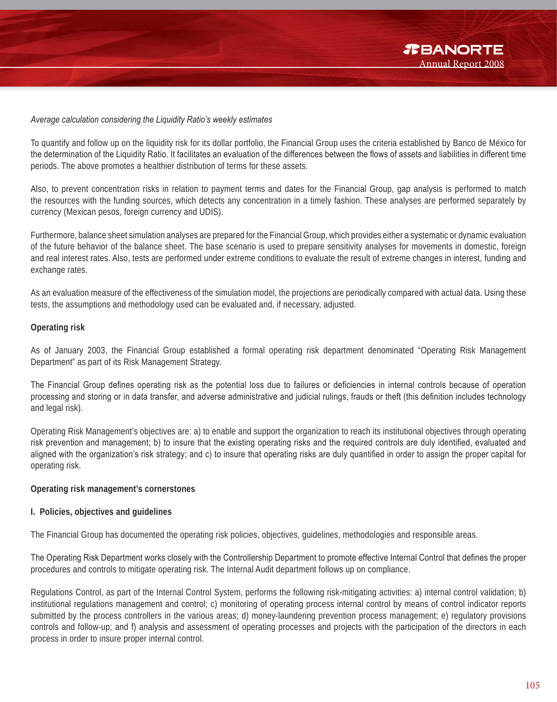#### *Average calculation considering the Liquidity Ratio's weekly estimates*

To quantify and follow up on the liquidity risk for its dollar portfolio, the Financial Group uses the criteria established by Banco de México for the determination of the Liquidity Ratio. It facilitates an evaluation of the differences between the flows of assets and liabilities in different time periods. The above promotes a healthier distribution of terms for these assets.

Also, to prevent concentration risks in relation to payment terms and dates for the Financial Group, gap analysis is performed to match the resources with the funding sources, which detects any concentration in a timely fashion. These analyses are performed separately by currency (Mexican pesos, foreign currency and UDIS).

Furthermore, balance sheet simulation analyses are prepared for the Financial Group, which provides either a systematic or dynamic evaluation of the future behavior of the balance sheet. The base scenario is used to prepare sensitivity analyses for movements in domestic, foreign and real interest rates. Also, tests are performed under extreme conditions to evaluate the result of extreme changes in interest, funding and exchange rates.

As an evaluation measure of the effectiveness of the simulation model, the projections are periodically compared with actual data. Using these tests, the assumptions and methodology used can be evaluated and, if necessary, adjusted.

#### **Operating risk**

As of January 2003, the Financial Group established a formal operating risk department denominated "Operating Risk Management Department" as part of its Risk Management Strategy.

The Financial Group defines operating risk as the potential loss due to failures or deficiencies in internal controls because of operation processing and storing or in data transfer, and adverse administrative and judicial rulings, frauds or theft (this definition includes technology and legal risk).

Operating Risk Management's objectives are: a) to enable and support the organization to reach its institutional objectives through operating risk prevention and management; b) to insure that the existing operating risks and the required controls are duly identified, evaluated and aligned with the organization's risk strategy; and c) to insure that operating risks are duly quantified in order to assign the proper capital for operating risk.

#### **Operating risk management's cornerstones**

#### **I. Policies, objectives and guidelines**

The Financial Group has documented the operating risk policies, objectives, guidelines, methodologies and responsible areas.

The Operating Risk Department works closely with the Controllership Department to promote effective Internal Control that defines the proper procedures and controls to mitigate operating risk. The Internal Audit department follows up on compliance.

Regulations Control, as part of the Internal Control System, performs the following risk-mitigating activities: a) internal control validation; b) institutional regulations management and control; c) monitoring of operating process internal control by means of control indicator reports submitted by the process controllers in the various areas; d) money-laundering prevention process management; e) regulatory provisions controls and follow-up; and f) analysis and assessment of operating processes and projects with the participation of the directors in each process in order to insure proper internal control.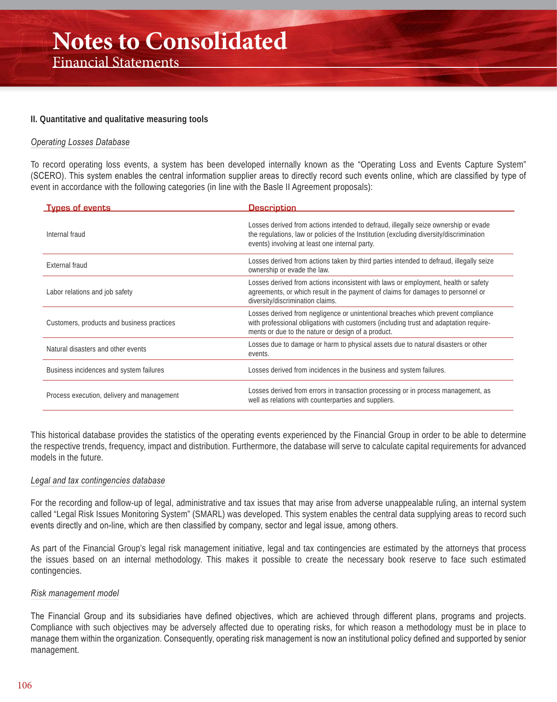#### **II. Quantitative and qualitative measuring tools**

#### *Operating Losses Database*

To record operating loss events, a system has been developed internally known as the "Operating Loss and Events Capture System" (SCERO). This system enables the central information supplier areas to directly record such events online, which are classified by type of event in accordance with the following categories (in line with the Basle II Agreement proposals):

| <b>Types of events</b>                     | <b>Description</b>                                                                                                                                                                                                               |
|--------------------------------------------|----------------------------------------------------------------------------------------------------------------------------------------------------------------------------------------------------------------------------------|
| Internal fraud                             | Losses derived from actions intended to defraud, illegally seize ownership or evade<br>the regulations, law or policies of the Institution (excluding diversity/discrimination<br>events) involving at least one internal party. |
| External fraud                             | Losses derived from actions taken by third parties intended to defraud, illegally seize<br>ownership or evade the law.                                                                                                           |
| Labor relations and job safety             | Losses derived from actions inconsistent with laws or employment, health or safety<br>agreements, or which result in the payment of claims for damages to personnel or<br>diversity/discrimination claims.                       |
| Customers, products and business practices | Losses derived from negligence or unintentional breaches which prevent compliance<br>with professional obligations with customers (including trust and adaptation require-<br>ments or due to the nature or design of a product. |
| Natural disasters and other events         | Losses due to damage or harm to physical assets due to natural disasters or other<br>events.                                                                                                                                     |
| Business incidences and system failures    | Losses derived from incidences in the business and system failures.                                                                                                                                                              |
| Process execution, delivery and management | Losses derived from errors in transaction processing or in process management, as<br>well as relations with counterparties and suppliers.                                                                                        |

This historical database provides the statistics of the operating events experienced by the Financial Group in order to be able to determine the respective trends, frequency, impact and distribution. Furthermore, the database will serve to calculate capital requirements for advanced models in the future.

#### *Legal and tax contingencies database*

For the recording and follow-up of legal, administrative and tax issues that may arise from adverse unappealable ruling, an internal system called "Legal Risk Issues Monitoring System" (SMARL) was developed. This system enables the central data supplying areas to record such events directly and on-line, which are then classified by company, sector and legal issue, among others.

As part of the Financial Group's legal risk management initiative, legal and tax contingencies are estimated by the attorneys that process the issues based on an internal methodology. This makes it possible to create the necessary book reserve to face such estimated contingencies.

#### *Risk management model*

The Financial Group and its subsidiaries have defined objectives, which are achieved through different plans, programs and projects. Compliance with such objectives may be adversely affected due to operating risks, for which reason a methodology must be in place to manage them within the organization. Consequently, operating risk management is now an institutional policy defined and supported by senior management.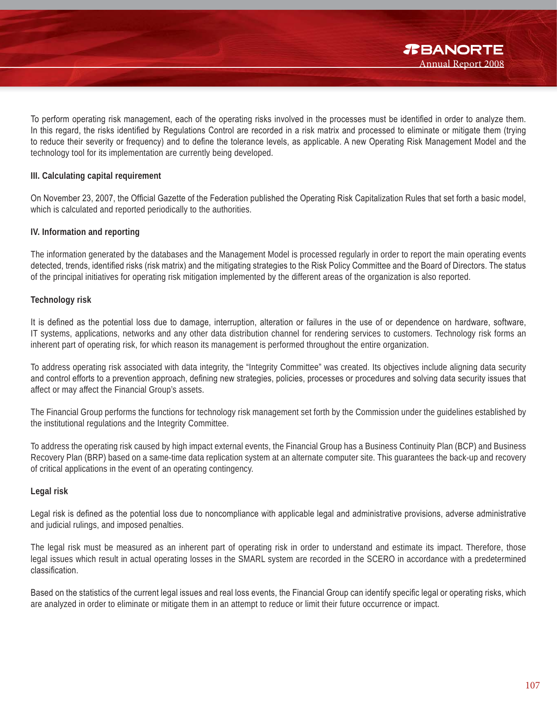To perform operating risk management, each of the operating risks involved in the processes must be identified in order to analyze them. In this regard, the risks identified by Regulations Control are recorded in a risk matrix and processed to eliminate or mitigate them (trying to reduce their severity or frequency) and to define the tolerance levels, as applicable. A new Operating Risk Management Model and the technology tool for its implementation are currently being developed.

#### **III. Calculating capital requirement**

On November 23, 2007, the Official Gazette of the Federation published the Operating Risk Capitalization Rules that set forth a basic model, which is calculated and reported periodically to the authorities.

#### **IV. Information and reporting**

The information generated by the databases and the Management Model is processed regularly in order to report the main operating events detected, trends, identified risks (risk matrix) and the mitigating strategies to the Risk Policy Committee and the Board of Directors. The status of the principal initiatives for operating risk mitigation implemented by the different areas of the organization is also reported.

#### **Technology risk**

It is defined as the potential loss due to damage, interruption, alteration or failures in the use of or dependence on hardware, software, IT systems, applications, networks and any other data distribution channel for rendering services to customers. Technology risk forms an inherent part of operating risk, for which reason its management is performed throughout the entire organization.

To address operating risk associated with data integrity, the "Integrity Committee" was created. Its objectives include aligning data security and control efforts to a prevention approach, defining new strategies, policies, processes or procedures and solving data security issues that affect or may affect the Financial Group's assets.

The Financial Group performs the functions for technology risk management set forth by the Commission under the guidelines established by the institutional regulations and the Integrity Committee.

To address the operating risk caused by high impact external events, the Financial Group has a Business Continuity Plan (BCP) and Business Recovery Plan (BRP) based on a same-time data replication system at an alternate computer site. This guarantees the back-up and recovery of critical applications in the event of an operating contingency.

#### **Legal risk**

Legal risk is defined as the potential loss due to noncompliance with applicable legal and administrative provisions, adverse administrative and judicial rulings, and imposed penalties.

The legal risk must be measured as an inherent part of operating risk in order to understand and estimate its impact. Therefore, those legal issues which result in actual operating losses in the SMARL system are recorded in the SCERO in accordance with a predetermined classification.

Based on the statistics of the current legal issues and real loss events, the Financial Group can identify specific legal or operating risks, which are analyzed in order to eliminate or mitigate them in an attempt to reduce or limit their future occurrence or impact.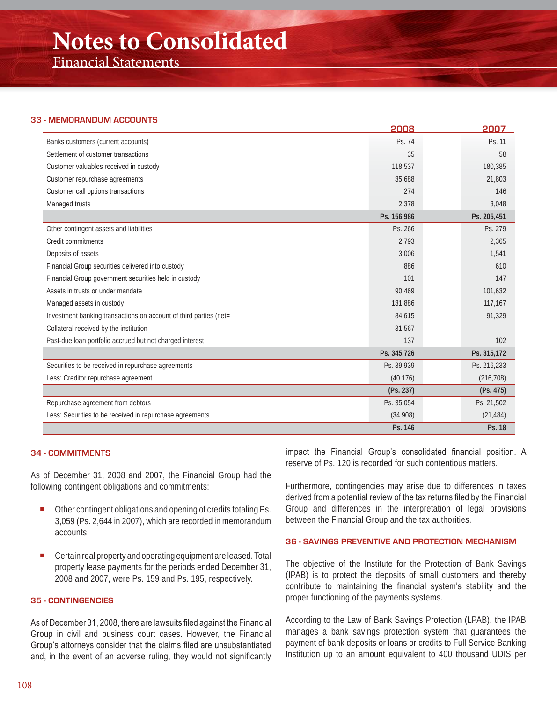### **Notes to Consolidated**

Financial Statements

#### **33 - MEMORANDUM ACCOUNTS**

|                                                                   | 2008        | 2007        |
|-------------------------------------------------------------------|-------------|-------------|
| Banks customers (current accounts)                                | Ps. 74      | Ps. 11      |
| Settlement of customer transactions                               | 35          | 58          |
| Customer valuables received in custody                            | 118,537     | 180,385     |
| Customer repurchase agreements                                    | 35,688      | 21,803      |
| Customer call options transactions                                | 274         | 146         |
| Managed trusts                                                    | 2,378       | 3,048       |
|                                                                   | Ps. 156,986 | Ps. 205,451 |
| Other contingent assets and liabilities                           | Ps. 266     | Ps. 279     |
| Credit commitments                                                | 2,793       | 2,365       |
| Deposits of assets                                                | 3,006       | 1,541       |
| Financial Group securities delivered into custody                 | 886         | 610         |
| Financial Group government securities held in custody             | 101         | 147         |
| Assets in trusts or under mandate                                 | 90,469      | 101,632     |
| Managed assets in custody                                         | 131,886     | 117,167     |
| Investment banking transactions on account of third parties (net= | 84,615      | 91,329      |
| Collateral received by the institution                            | 31,567      |             |
| Past-due loan portfolio accrued but not charged interest          | 137         | 102         |
|                                                                   | Ps. 345,726 | Ps. 315,172 |
| Securities to be received in repurchase agreements                | Ps. 39,939  | Ps. 216,233 |
| Less: Creditor repurchase agreement                               | (40, 176)   | (216, 708)  |
|                                                                   | (Ps. 237)   | (Ps. 475)   |
| Repurchase agreement from debtors                                 | Ps. 35,054  | Ps. 21,502  |
| Less: Securities to be received in repurchase agreements          | (34,908)    | (21, 484)   |
|                                                                   | Ps. 146     | Ps. 18      |

#### **34 - COMMITMENTS**

As of December 31, 2008 and 2007, the Financial Group had the following contingent obligations and commitments:

- Other contingent obligations and opening of credits totaling Ps. 3,059 (Ps. 2,644 in 2007), which are recorded in memorandum accounts.
- Certain real property and operating equipment are leased. Total property lease payments for the periods ended December 31, 2008 and 2007, were Ps. 159 and Ps. 195, respectively.

#### **35 - CONTINGENCIES**

As of December 31, 2008, there are lawsuits filed against the Financial Group in civil and business court cases. However, the Financial Group's attorneys consider that the claims filed are unsubstantiated and, in the event of an adverse ruling, they would not significantly impact the Financial Group's consolidated financial position. A reserve of Ps. 120 is recorded for such contentious matters.

Furthermore, contingencies may arise due to differences in taxes derived from a potential review of the tax returns filed by the Financial Group and differences in the interpretation of legal provisions between the Financial Group and the tax authorities.

#### **36 - SAVINGS PREVENTIVE AND PROTECTION MECHANISM**

The objective of the Institute for the Protection of Bank Savings (IPAB) is to protect the deposits of small customers and thereby contribute to maintaining the financial system's stability and the proper functioning of the payments systems.

According to the Law of Bank Savings Protection (LPAB), the IPAB manages a bank savings protection system that guarantees the payment of bank deposits or loans or credits to Full Service Banking Institution up to an amount equivalent to 400 thousand UDIS per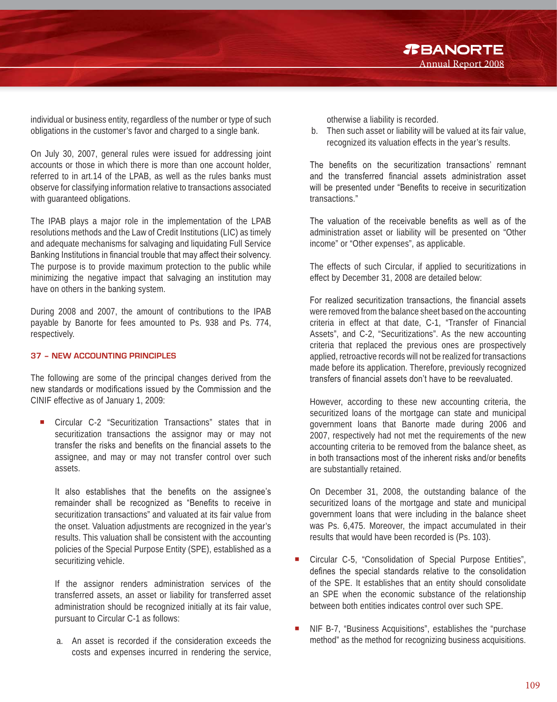individual or business entity, regardless of the number or type of such obligations in the customer's favor and charged to a single bank.

On July 30, 2007, general rules were issued for addressing joint accounts or those in which there is more than one account holder, referred to in art.14 of the LPAB, as well as the rules banks must observe for classifying information relative to transactions associated with guaranteed obligations.

The IPAB plays a major role in the implementation of the LPAB resolutions methods and the Law of Credit Institutions (LIC) as timely and adequate mechanisms for salvaging and liquidating Full Service Banking Institutions in financial trouble that may affect their solvency. The purpose is to provide maximum protection to the public while minimizing the negative impact that salvaging an institution may have on others in the banking system.

During 2008 and 2007, the amount of contributions to the IPAB payable by Banorte for fees amounted to Ps. 938 and Ps. 774, respectively.

#### **37 – NEW ACCOUNTING PRINCIPLES**

The following are some of the principal changes derived from the new standards or modifications issued by the Commission and the CINIF effective as of January 1, 2009:

 Circular C-2 "Securitization Transactions" states that in securitization transactions the assignor may or may not transfer the risks and benefits on the financial assets to the assignee, and may or may not transfer control over such assets.

It also establishes that the benefits on the assignee's remainder shall be recognized as "Benefits to receive in securitization transactions" and valuated at its fair value from the onset. Valuation adjustments are recognized in the year's results. This valuation shall be consistent with the accounting policies of the Special Purpose Entity (SPE), established as a securitizing vehicle.

If the assignor renders administration services of the transferred assets, an asset or liability for transferred asset administration should be recognized initially at its fair value, pursuant to Circular C-1 as follows:

a. An asset is recorded if the consideration exceeds the costs and expenses incurred in rendering the service, otherwise a liability is recorded.

b. Then such asset or liability will be valued at its fair value, recognized its valuation effects in the year's results.

Annual Report 2008

*R***BANORTE** 

The benefits on the securitization transactions' remnant and the transferred financial assets administration asset will be presented under "Benefits to receive in securitization transactions."

The valuation of the receivable benefits as well as of the administration asset or liability will be presented on "Other income" or "Other expenses", as applicable.

The effects of such Circular, if applied to securitizations in effect by December 31, 2008 are detailed below:

For realized securitization transactions, the financial assets were removed from the balance sheet based on the accounting criteria in effect at that date, C-1, "Transfer of Financial Assets", and C-2, "Securitizations". As the new accounting criteria that replaced the previous ones are prospectively applied, retroactive records will not be realized for transactions made before its application. Therefore, previously recognized transfers of financial assets don't have to be reevaluated.

However, according to these new accounting criteria, the securitized loans of the mortgage can state and municipal government loans that Banorte made during 2006 and 2007, respectively had not met the requirements of the new accounting criteria to be removed from the balance sheet, as in both transactions most of the inherent risks and/or benefits are substantially retained.

On December 31, 2008, the outstanding balance of the securitized loans of the mortgage and state and municipal government loans that were including in the balance sheet was Ps. 6,475. Moreover, the impact accumulated in their results that would have been recorded is (Ps. 103).

- Circular C-5, "Consolidation of Special Purpose Entities", defines the special standards relative to the consolidation of the SPE. It establishes that an entity should consolidate an SPE when the economic substance of the relationship between both entities indicates control over such SPE.
- NIF B-7, "Business Acquisitions", establishes the "purchase method" as the method for recognizing business acquisitions.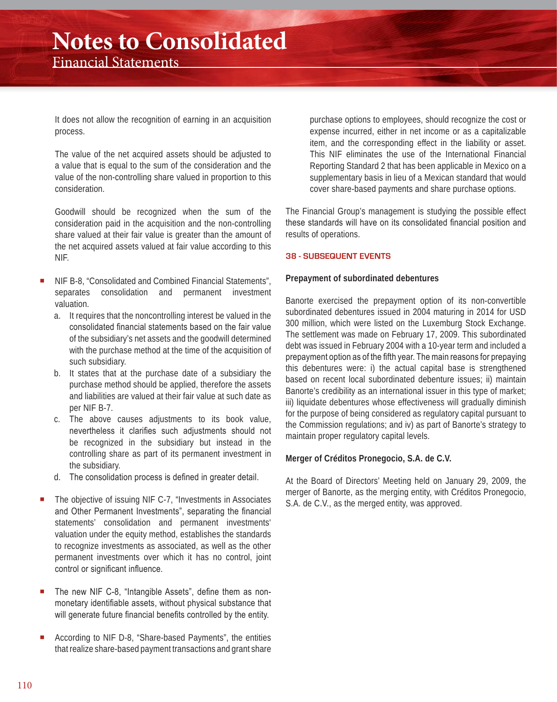It does not allow the recognition of earning in an acquisition process.

The value of the net acquired assets should be adjusted to a value that is equal to the sum of the consideration and the value of the non-controlling share valued in proportion to this consideration.

Goodwill should be recognized when the sum of the consideration paid in the acquisition and the non-controlling share valued at their fair value is greater than the amount of the net acquired assets valued at fair value according to this NIF.

- NIF B-8, "Consolidated and Combined Financial Statements", separates consolidation and permanent investment valuation.
	- a. It requires that the noncontrolling interest be valued in the consolidated financial statements based on the fair value of the subsidiary's net assets and the goodwill determined with the purchase method at the time of the acquisition of such subsidiary.
	- b. It states that at the purchase date of a subsidiary the purchase method should be applied, therefore the assets and liabilities are valued at their fair value at such date as per NIF B-7.
	- c. The above causes adjustments to its book value, nevertheless it clarifies such adjustments should not be recognized in the subsidiary but instead in the controlling share as part of its permanent investment in the subsidiary.
	- d. The consolidation process is defined in greater detail.
- The objective of issuing NIF C-7, "Investments in Associates and Other Permanent Investments", separating the financial statements' consolidation and permanent investments' valuation under the equity method, establishes the standards to recognize investments as associated, as well as the other permanent investments over which it has no control, joint control or significant influence.
- The new NIF C-8, "Intangible Assets", define them as nonmonetary identifiable assets, without physical substance that will generate future financial benefits controlled by the entity.
- According to NIF D-8, "Share-based Payments", the entities that realize share-based payment transactions and grant share

purchase options to employees, should recognize the cost or expense incurred, either in net income or as a capitalizable item, and the corresponding effect in the liability or asset. This NIF eliminates the use of the International Financial Reporting Standard 2 that has been applicable in Mexico on a supplementary basis in lieu of a Mexican standard that would cover share-based payments and share purchase options.

The Financial Group's management is studying the possible effect these standards will have on its consolidated financial position and results of operations.

#### **38 - SUBSEQUENT EVENTS**

#### **Prepayment of subordinated debentures**

Banorte exercised the prepayment option of its non-convertible subordinated debentures issued in 2004 maturing in 2014 for USD 300 million, which were listed on the Luxemburg Stock Exchange. The settlement was made on February 17, 2009. This subordinated debt was issued in February 2004 with a 10-year term and included a prepayment option as of the fifth year. The main reasons for prepaying this debentures were: i) the actual capital base is strengthened based on recent local subordinated debenture issues; ii) maintain Banorte's credibility as an international issuer in this type of market; iii) liquidate debentures whose effectiveness will gradually diminish for the purpose of being considered as regulatory capital pursuant to the Commission regulations; and iv) as part of Banorte's strategy to maintain proper regulatory capital levels.

#### **Merger of Créditos Pronegocio, S.A. de C.V.**

At the Board of Directors' Meeting held on January 29, 2009, the merger of Banorte, as the merging entity, with Créditos Pronegocio, S.A. de C.V., as the merged entity, was approved.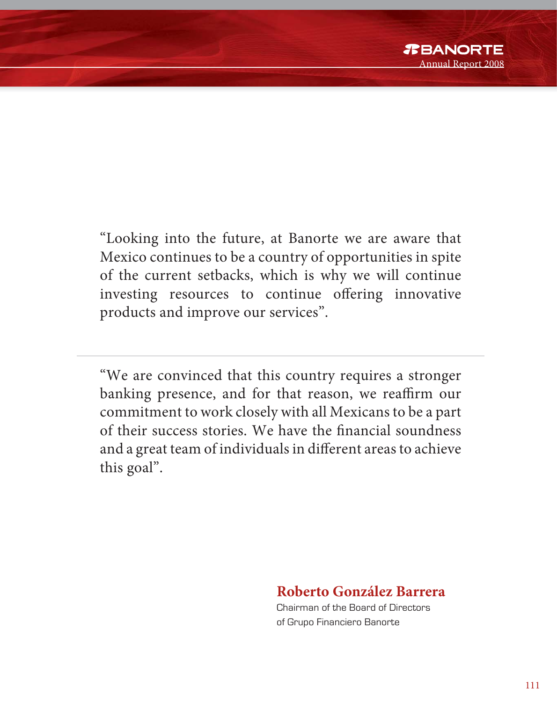"Looking into the future, at Banorte we are aware that Mexico continues to be a country of opportunities in spite of the current setbacks, which is why we will continue investing resources to continue offering innovative products and improve our services".

"We are convinced that this country requires a stronger banking presence, and for that reason, we reaffirm our commitment to work closely with all Mexicans to be a part of their success stories. We have the financial soundness and a great team of individuals in different areas to achieve this goal".

### **Roberto González Barrera**

Chairman of the Board of Directors of Grupo Financiero Banorte